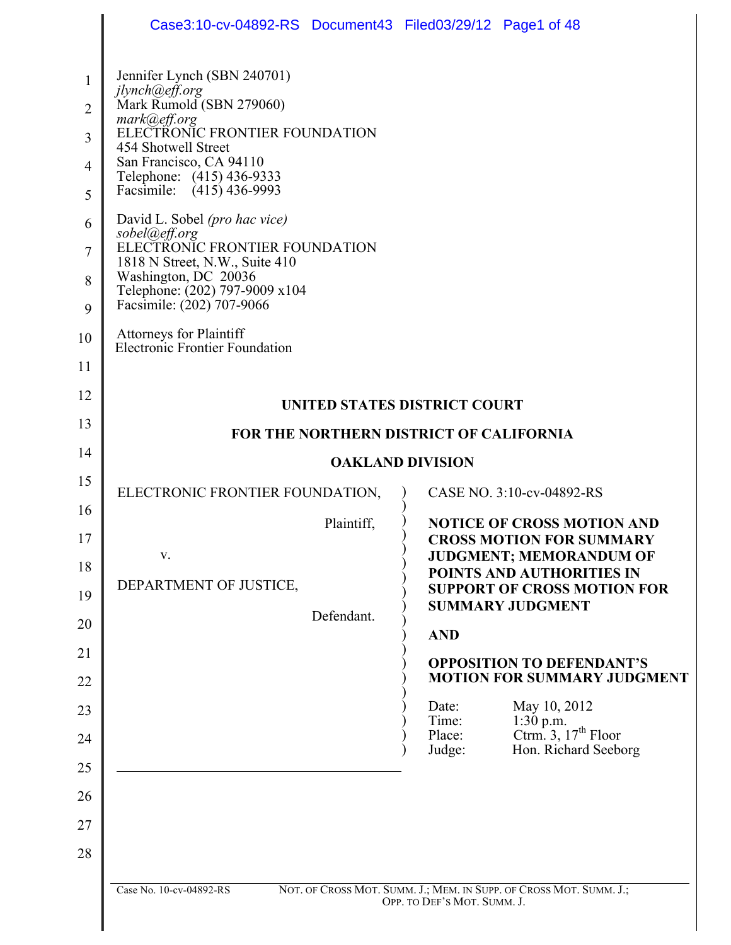|                                                              | Case3:10-cv-04892-RS Document43 Filed03/29/12 Page1 of 48                                                                                                                                                                                                                                                                                                                                                                                                                                                         |                                                                                                                                                                                                      |
|--------------------------------------------------------------|-------------------------------------------------------------------------------------------------------------------------------------------------------------------------------------------------------------------------------------------------------------------------------------------------------------------------------------------------------------------------------------------------------------------------------------------------------------------------------------------------------------------|------------------------------------------------------------------------------------------------------------------------------------------------------------------------------------------------------|
| 1<br>$\overline{2}$<br>3<br>4<br>5<br>6<br>7<br>8<br>9<br>10 | Jennifer Lynch (SBN 240701)<br>jlynch@eff.org<br>Mark Rumold (SBN 279060)<br>mark@eff.org<br>ELECTRONIC FRONTIER FOUNDATION<br>454 Shotwell Street<br>San Francisco, CA 94110<br>Telephone: (415) 436-9333<br>Facsimile: (415) 436-9993<br>David L. Sobel (pro hac vice)<br>sobel@eff.org<br>ELECTRONIC FRONTIER FOUNDATION<br>1818 N Street, N.W., Suite 410<br>Washington, DC 20036<br>Telephone: (202) 797-9009 x104<br>Facsimile: (202) 707-9066<br>Attorneys for Plaintiff<br>Electronic Frontier Foundation |                                                                                                                                                                                                      |
| 11<br>12                                                     |                                                                                                                                                                                                                                                                                                                                                                                                                                                                                                                   |                                                                                                                                                                                                      |
|                                                              |                                                                                                                                                                                                                                                                                                                                                                                                                                                                                                                   | UNITED STATES DISTRICT COURT                                                                                                                                                                         |
| 13                                                           |                                                                                                                                                                                                                                                                                                                                                                                                                                                                                                                   | FOR THE NORTHERN DISTRICT OF CALIFORNIA                                                                                                                                                              |
| 14                                                           |                                                                                                                                                                                                                                                                                                                                                                                                                                                                                                                   | <b>OAKLAND DIVISION</b>                                                                                                                                                                              |
| 15<br>16                                                     | ELECTRONIC FRONTIER FOUNDATION,                                                                                                                                                                                                                                                                                                                                                                                                                                                                                   | CASE NO. 3:10-cv-04892-RS                                                                                                                                                                            |
| 17<br>18<br>19                                               | Plaintiff,<br>V.<br>DEPARTMENT OF JUSTICE,                                                                                                                                                                                                                                                                                                                                                                                                                                                                        | <b>NOTICE OF CROSS MOTION AND</b><br><b>CROSS MOTION FOR SUMMARY</b><br><b>JUDGMENT; MEMORANDUM OF</b><br>POINTS AND AUTHORITIES IN<br><b>SUPPORT OF CROSS MOTION FOR</b><br><b>SUMMARY JUDGMENT</b> |
| 20                                                           | Defendant.                                                                                                                                                                                                                                                                                                                                                                                                                                                                                                        | <b>AND</b>                                                                                                                                                                                           |
| 21                                                           |                                                                                                                                                                                                                                                                                                                                                                                                                                                                                                                   | <b>OPPOSITION TO DEFENDANT'S</b>                                                                                                                                                                     |
| 22                                                           |                                                                                                                                                                                                                                                                                                                                                                                                                                                                                                                   | <b>MOTION FOR SUMMARY JUDGMENT</b>                                                                                                                                                                   |
| 23                                                           |                                                                                                                                                                                                                                                                                                                                                                                                                                                                                                                   | May 10, 2012<br>Date:<br>$1:30$ p.m.<br>Time:                                                                                                                                                        |
| 24                                                           |                                                                                                                                                                                                                                                                                                                                                                                                                                                                                                                   | Ctrm. 3, $17th$ Floor<br>Place:<br>Judge:<br>Hon. Richard Seeborg                                                                                                                                    |
| 25                                                           |                                                                                                                                                                                                                                                                                                                                                                                                                                                                                                                   |                                                                                                                                                                                                      |
| 26                                                           |                                                                                                                                                                                                                                                                                                                                                                                                                                                                                                                   |                                                                                                                                                                                                      |
| 27                                                           |                                                                                                                                                                                                                                                                                                                                                                                                                                                                                                                   |                                                                                                                                                                                                      |
| 28                                                           |                                                                                                                                                                                                                                                                                                                                                                                                                                                                                                                   |                                                                                                                                                                                                      |
|                                                              | Case No. 10-cv-04892-RS                                                                                                                                                                                                                                                                                                                                                                                                                                                                                           | NOT. OF CROSS MOT. SUMM. J.; MEM. IN SUPP. OF CROSS MOT. SUMM. J.;<br>OPP. TO DEF'S MOT. SUMM. J.                                                                                                    |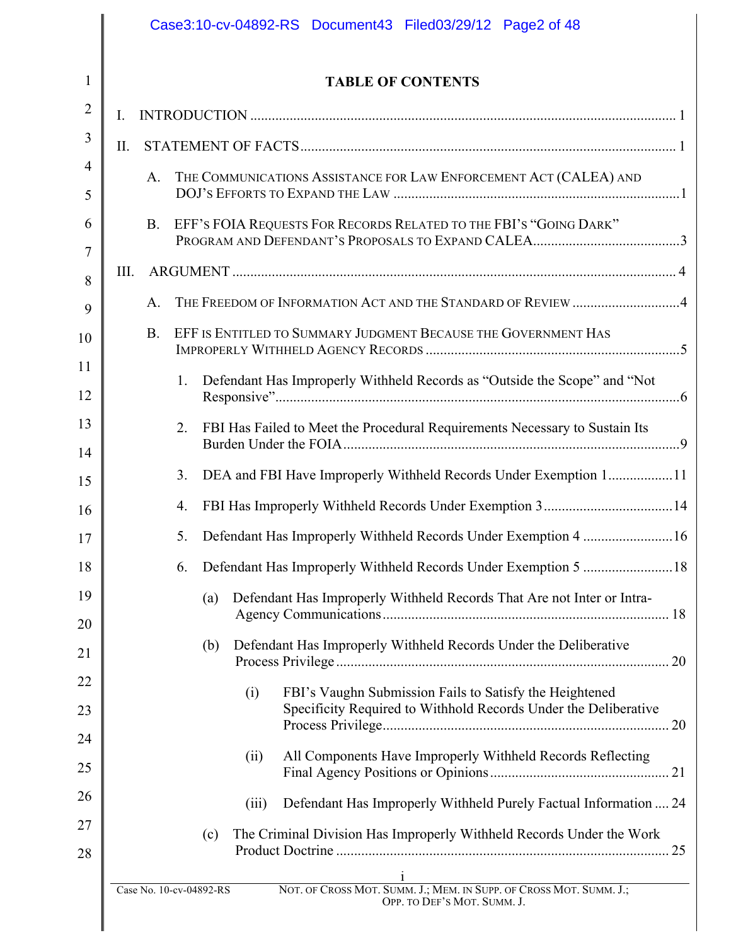|          |      |            |    |                         |       | Case3:10-cv-04892-RS Document43 Filed03/29/12 Page2 of 48                   |  |
|----------|------|------------|----|-------------------------|-------|-----------------------------------------------------------------------------|--|
| 1        |      |            |    |                         |       | <b>TABLE OF CONTENTS</b>                                                    |  |
| 2        | I.   |            |    |                         |       |                                                                             |  |
| 3        | II.  |            |    |                         |       |                                                                             |  |
| 4<br>5   |      | A.         |    |                         |       | THE COMMUNICATIONS ASSISTANCE FOR LAW ENFORCEMENT ACT (CALEA) AND           |  |
| 6        |      | <b>B.</b>  |    |                         |       | EFF'S FOIA REQUESTS FOR RECORDS RELATED TO THE FBI'S "GOING DARK"           |  |
| 7        |      |            |    |                         |       |                                                                             |  |
| 8        | III. |            |    |                         |       |                                                                             |  |
| 9        |      | A.         |    |                         |       | THE FREEDOM OF INFORMATION ACT AND THE STANDARD OF REVIEW 4                 |  |
| 10       |      | <b>B</b> . |    |                         |       | EFF IS ENTITLED TO SUMMARY JUDGMENT BECAUSE THE GOVERNMENT HAS              |  |
| 11       |      |            | 1. |                         |       | Defendant Has Improperly Withheld Records as "Outside the Scope" and "Not   |  |
| 12       |      |            |    |                         |       |                                                                             |  |
| 13<br>14 |      |            | 2. |                         |       | FBI Has Failed to Meet the Procedural Requirements Necessary to Sustain Its |  |
| 15       |      |            | 3. |                         |       | DEA and FBI Have Improperly Withheld Records Under Exemption 111            |  |
| 16       |      |            | 4. |                         |       |                                                                             |  |
| 17       |      |            | 5. |                         |       | Defendant Has Improperly Withheld Records Under Exemption 4 16              |  |
| 18       |      |            | 6. |                         |       |                                                                             |  |
| 19       |      |            |    | (a)                     |       | Defendant Has Improperly Withheld Records That Are not Inter or Intra-      |  |
| 20       |      |            |    | (b)                     |       | Defendant Has Improperly Withheld Records Under the Deliberative            |  |
| 21       |      |            |    |                         |       |                                                                             |  |
| 22       |      |            |    |                         | (i)   | FBI's Vaughn Submission Fails to Satisfy the Heightened                     |  |
| 23       |      |            |    |                         |       | Specificity Required to Withhold Records Under the Deliberative             |  |
| 24<br>25 |      |            |    |                         | (ii)  | All Components Have Improperly Withheld Records Reflecting                  |  |
| 26       |      |            |    |                         |       |                                                                             |  |
| 27       |      |            |    |                         | (iii) | Defendant Has Improperly Withheld Purely Factual Information  24            |  |
| 28       |      |            |    | (c)                     |       | The Criminal Division Has Improperly Withheld Records Under the Work        |  |
|          |      |            |    | Case No. 10-cv-04892-RS |       | 1<br>NOT. OF CROSS MOT. SUMM. J.; MEM. IN SUPP. OF CROSS MOT. SUMM. J.;     |  |
|          |      |            |    |                         |       | OPP. TO DEF'S MOT. SUMM. J.                                                 |  |

 $\mathsf{l}$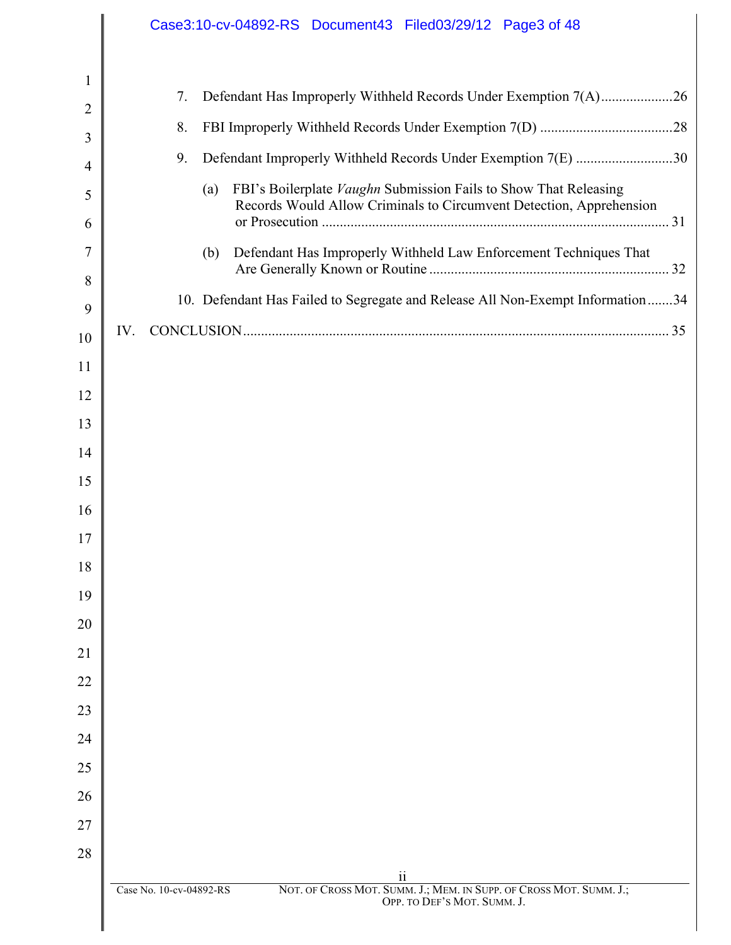|                   | Case3:10-cv-04892-RS Document43 Filed03/29/12 Page3 of 48                                           |
|-------------------|-----------------------------------------------------------------------------------------------------|
|                   |                                                                                                     |
| $\mathbf{1}$<br>2 | Defendant Has Improperly Withheld Records Under Exemption 7(A)26<br>7.                              |
| 3                 | 8.                                                                                                  |
| 4                 | Defendant Improperly Withheld Records Under Exemption 7(E) 30<br>9.                                 |
| 5                 | FBI's Boilerplate Vaughn Submission Fails to Show That Releasing<br>(a)                             |
| 6                 | Records Would Allow Criminals to Circumvent Detection, Apprehension                                 |
| 7                 | Defendant Has Improperly Withheld Law Enforcement Techniques That<br>(b)                            |
| 8                 |                                                                                                     |
| 9                 | 10. Defendant Has Failed to Segregate and Release All Non-Exempt Information34                      |
| 10                | IV.                                                                                                 |
| 11                |                                                                                                     |
| 12                |                                                                                                     |
| 13                |                                                                                                     |
| 14                |                                                                                                     |
| 15                |                                                                                                     |
| 16                |                                                                                                     |
| 17                |                                                                                                     |
| 18                |                                                                                                     |
| 19<br>20          |                                                                                                     |
| 21                |                                                                                                     |
| 22                |                                                                                                     |
| 23                |                                                                                                     |
| 24                |                                                                                                     |
| 25                |                                                                                                     |
| 26                |                                                                                                     |
| 27                |                                                                                                     |
| 28                |                                                                                                     |
|                   | 11<br>Case No. 10-cv-04892-RS<br>NOT. OF CROSS MOT. SUMM. J.; MEM. IN SUPP. OF CROSS MOT. SUMM. J.; |
|                   | OPP. TO DEF'S MOT. SUMM. J.                                                                         |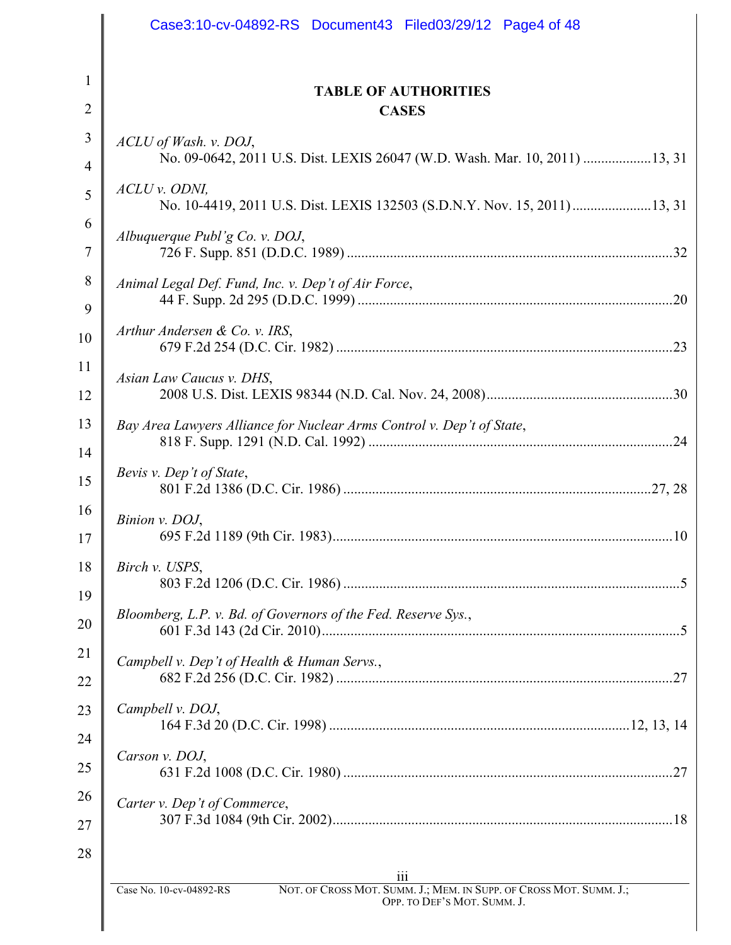|                | Case3:10-cv-04892-RS Document43 Filed03/29/12 Page4 of 48                                            |
|----------------|------------------------------------------------------------------------------------------------------|
|                |                                                                                                      |
| 1              | <b>TABLE OF AUTHORITIES</b>                                                                          |
| $\overline{2}$ | <b>CASES</b>                                                                                         |
| 3              | ACLU of Wash. v. DOJ,                                                                                |
| 4              | No. 09-0642, 2011 U.S. Dist. LEXIS 26047 (W.D. Wash. Mar. 10, 2011)  13, 31                          |
| 5              | ACLU v. ODNI,<br>No. 10-4419, 2011 U.S. Dist. LEXIS 132503 (S.D.N.Y. Nov. 15, 2011)  13, 31          |
| 6<br>7         | Albuquerque Publ'g Co. v. DOJ,                                                                       |
| 8<br>9         | Animal Legal Def. Fund, Inc. v. Dep't of Air Force,                                                  |
| 10             | Arthur Andersen & Co. v. IRS,                                                                        |
| 11<br>12       | Asian Law Caucus v. DHS,                                                                             |
| 13             | Bay Area Lawyers Alliance for Nuclear Arms Control v. Dep't of State,<br>.24                         |
| 14<br>15       | Bevis v. Dep't of State,                                                                             |
| 16<br>17       | Binion v. DOJ,                                                                                       |
| 18             | Birch v. USPS,                                                                                       |
| 19<br>20       | Bloomberg, L.P. v. Bd. of Governors of the Fed. Reserve Sys.,                                        |
| 21<br>22       | Campbell v. Dep't of Health & Human Servs.,<br>.27                                                   |
| 23             | Campbell v. DOJ,                                                                                     |
| 24<br>25       | Carson v. DOJ,                                                                                       |
| 26             | Carter v. Dep't of Commerce,                                                                         |
| 27<br>28       |                                                                                                      |
|                | 111<br>NOT. OF CROSS MOT. SUMM. J.; MEM. IN SUPP. OF CROSS MOT. SUMM. J.;<br>Case No. 10-cv-04892-RS |
|                | OPP. TO DEF'S MOT. SUMM. J.                                                                          |

 $\parallel$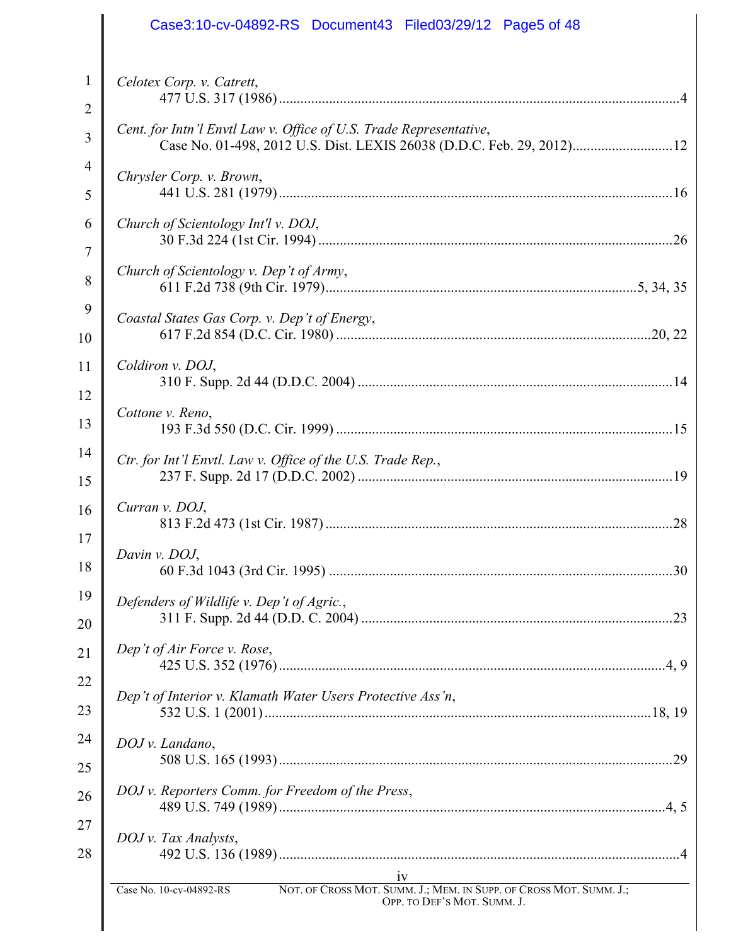| Case3:10-cv-04892-RS Document43 Filed03/29/12 Page5 of 48                                                                                   |
|---------------------------------------------------------------------------------------------------------------------------------------------|
| Celotex Corp. v. Catrett,                                                                                                                   |
|                                                                                                                                             |
| Cent. for Intn'l Envtl Law v. Office of U.S. Trade Representative,<br>Case No. 01-498, 2012 U.S. Dist. LEXIS 26038 (D.D.C. Feb. 29, 2012)12 |
| Chrysler Corp. v. Brown,                                                                                                                    |
|                                                                                                                                             |
| Church of Scientology Int'l v. DOJ,                                                                                                         |
|                                                                                                                                             |
| Church of Scientology v. Dep't of Army,                                                                                                     |
| Coastal States Gas Corp. v. Dep't of Energy,                                                                                                |
|                                                                                                                                             |
| Coldiron v. DOJ,                                                                                                                            |
|                                                                                                                                             |
| Cottone v. Reno,                                                                                                                            |
|                                                                                                                                             |
| Ctr. for Int'l Envtl. Law v. Office of the U.S. Trade Rep.,                                                                                 |
| Curran v. DOJ,                                                                                                                              |
|                                                                                                                                             |
| Davin v. DOJ,                                                                                                                               |
|                                                                                                                                             |
| Defenders of Wildlife v. Dep't of Agric.,                                                                                                   |
|                                                                                                                                             |
| Dep't of Air Force v. Rose,                                                                                                                 |
| Dep't of Interior v. Klamath Water Users Protective Ass'n,                                                                                  |
|                                                                                                                                             |
| DOJ v. Landano,                                                                                                                             |
|                                                                                                                                             |
| DOJ v. Reporters Comm. for Freedom of the Press,                                                                                            |
| DOJ v. Tax Analysts,                                                                                                                        |
|                                                                                                                                             |
| 1V<br>Case No. 10-cv-04892-RS NOT. OF CROSS MOT. SUMM. J.; MEM. IN SUPP. OF CROSS MOT. SUMM. J.;<br>OPP. TO DEF'S MOT. SUMM. J.             |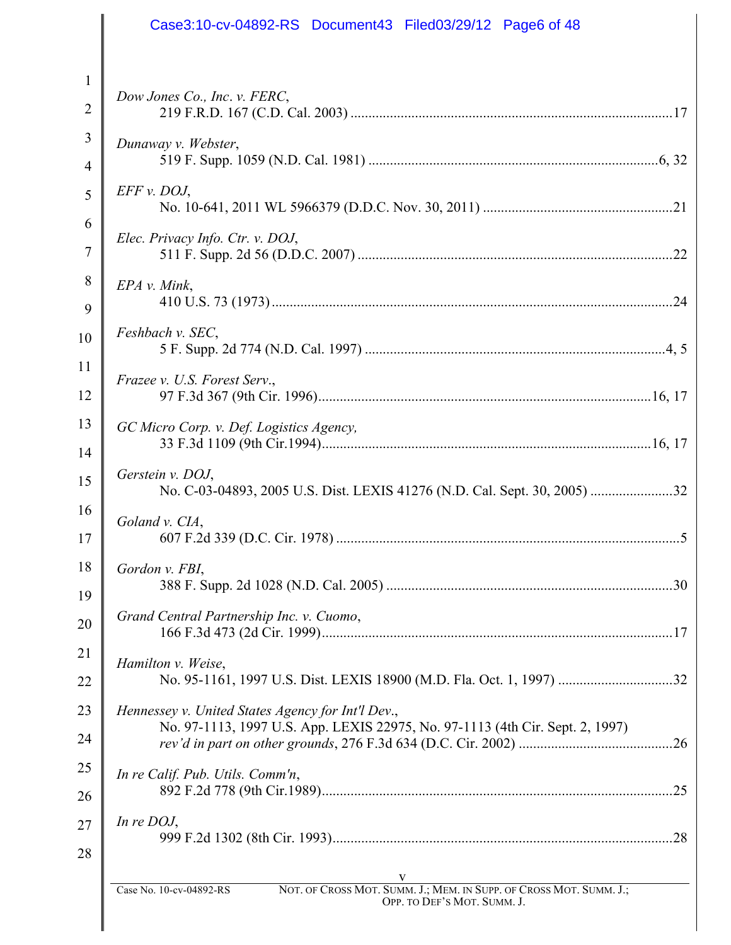|                | Case3:10-cv-04892-RS Document43 Filed03/29/12 Page6 of 48                                     |
|----------------|-----------------------------------------------------------------------------------------------|
|                |                                                                                               |
| 1              |                                                                                               |
| $\overline{2}$ | Dow Jones Co., Inc. v. FERC,                                                                  |
| 3              | Dunaway v. Webster,                                                                           |
| $\overline{4}$ |                                                                                               |
| 5              | $EFF$ v. DOJ,                                                                                 |
| 6              | Elec. Privacy Info. Ctr. v. DOJ,                                                              |
| $\overline{7}$ |                                                                                               |
| 8              | EPA v. Mink,                                                                                  |
| 9              |                                                                                               |
| 10             | Feshbach v. SEC,                                                                              |
| 11             | Frazee v. U.S. Forest Serv.,                                                                  |
| 12             |                                                                                               |
| 13             | GC Micro Corp. v. Def. Logistics Agency,                                                      |
| 14             |                                                                                               |
| 15             | Gerstein v. DOJ,                                                                              |
| 16             | Goland v. CIA,                                                                                |
| 17             |                                                                                               |
| 18             | Gordon v. FBI,                                                                                |
| 19             |                                                                                               |
| 20             | Grand Central Partnership Inc. v. Cuomo,                                                      |
| 21             | Hamilton v. Weise,                                                                            |
| 22             |                                                                                               |
| 23             | Hennessey v. United States Agency for Int'l Dev.,                                             |
| 24             | No. 97-1113, 1997 U.S. App. LEXIS 22975, No. 97-1113 (4th Cir. Sept. 2, 1997)                 |
| 25             | In re Calif. Pub. Utils. Comm'n,                                                              |
| 26             |                                                                                               |
| 27             | In re $DOJ$ ,                                                                                 |
| 28             |                                                                                               |
|                | NOT. OF CROSS MOT. SUMM. J.; MEM. IN SUPP. OF CROSS MOT. SUMM. J.;<br>Case No. 10-cv-04892-RS |
|                | OPP. TO DEF'S MOT. SUMM. J.                                                                   |
|                |                                                                                               |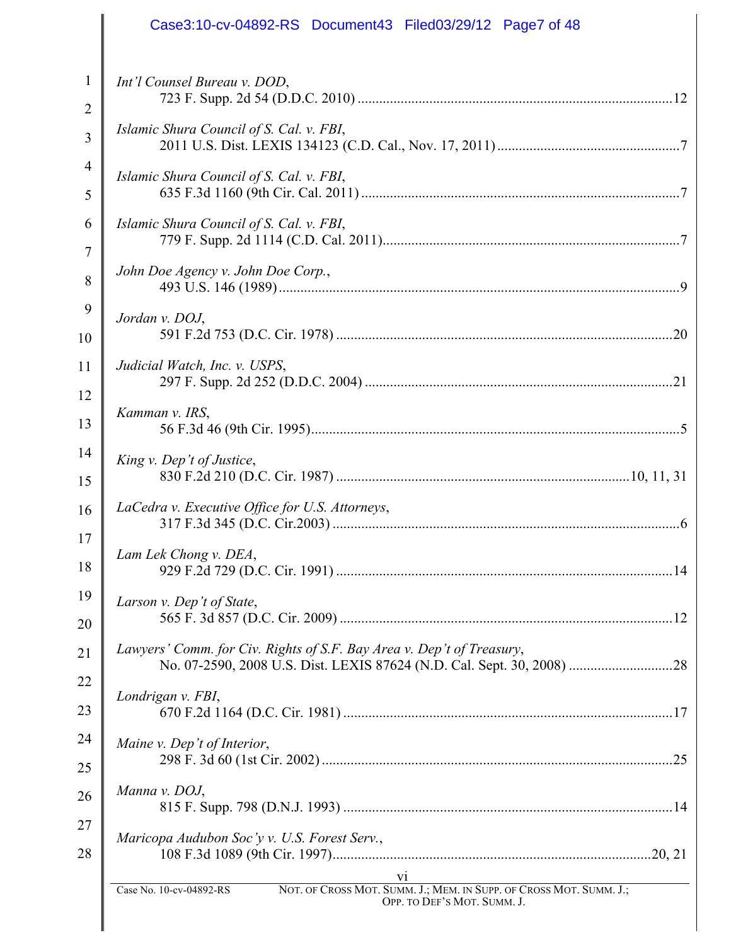|    | Case3:10-cv-04892-RS Document43 Filed03/29/12 Page7 of 48                                                                          |
|----|------------------------------------------------------------------------------------------------------------------------------------|
| 1  | Int'l Counsel Bureau v. DOD,                                                                                                       |
| 2  |                                                                                                                                    |
| 3  | Islamic Shura Council of S. Cal. v. FBI,                                                                                           |
| 4  | Islamic Shura Council of S. Cal. v. FBI,                                                                                           |
| 5  |                                                                                                                                    |
| 6  | Islamic Shura Council of S. Cal. v. FBI,                                                                                           |
| 7  |                                                                                                                                    |
| 8  | John Doe Agency v. John Doe Corp.,                                                                                                 |
| 9  | Jordan v. DOJ,                                                                                                                     |
| 10 |                                                                                                                                    |
| 11 | Judicial Watch, Inc. v. USPS,                                                                                                      |
| 12 |                                                                                                                                    |
| 13 | Kamman v. IRS,                                                                                                                     |
| 14 | King v. Dep't of Justice,                                                                                                          |
| 15 |                                                                                                                                    |
| 16 | LaCedra v. Executive Office for U.S. Attorneys,                                                                                    |
| 17 |                                                                                                                                    |
| 18 | Lam Lek Chong v. DEA,                                                                                                              |
| 19 | Larson v. Dep't of State,                                                                                                          |
| 20 |                                                                                                                                    |
| 21 | Lawyers' Comm. for Civ. Rights of S.F. Bay Area v. Dep't of Treasury,                                                              |
| 22 |                                                                                                                                    |
| 23 | Londrigan v. FBI,                                                                                                                  |
| 24 | Maine v. Dep't of Interior,                                                                                                        |
| 25 |                                                                                                                                    |
| 26 | Manna v. DOJ,                                                                                                                      |
| 27 |                                                                                                                                    |
| 28 | Maricopa Audubon Soc'y v. U.S. Forest Serv.,                                                                                       |
|    | V1<br>NOT. OF CROSS MOT. SUMM. J.; MEM. IN SUPP. OF CROSS MOT. SUMM. J.;<br>Case No. 10-cv-04892-RS<br>OPP. TO DEF'S MOT. SUMM. J. |
|    |                                                                                                                                    |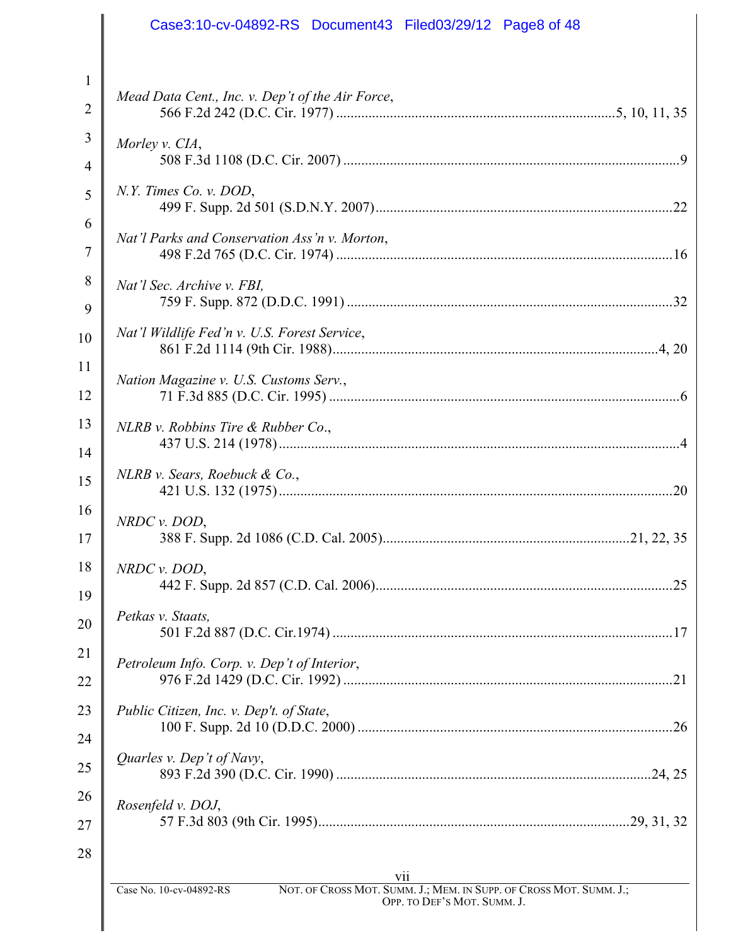|                | Case3:10-cv-04892-RS Document43 Filed03/29/12 Page8 of 48                                            |
|----------------|------------------------------------------------------------------------------------------------------|
|                |                                                                                                      |
| 1              | Mead Data Cent., Inc. v. Dep't of the Air Force,                                                     |
| $\overline{2}$ |                                                                                                      |
| 3              | Morley v. CIA,                                                                                       |
| 4              |                                                                                                      |
| 5              | $N.Y.$ Times Co. v. DOD,                                                                             |
| 6              | Nat'l Parks and Conservation Ass'n v. Morton,                                                        |
| 7              |                                                                                                      |
| 8<br>9         | Nat'l Sec. Archive v. FBI,                                                                           |
| 10             | Nat'l Wildlife Fed'n v. U.S. Forest Service,                                                         |
| 11             |                                                                                                      |
| 12             | Nation Magazine v. U.S. Customs Serv.,                                                               |
| 13             | NLRB v. Robbins Tire & Rubber Co.,                                                                   |
| 14             |                                                                                                      |
| 15             | $NLRB$ v. Sears, Roebuck & Co.,<br>.20                                                               |
| 16             | NRDC v. DOD,                                                                                         |
| 17             |                                                                                                      |
| 18             | $NRDC$ v. $DOD$ ,                                                                                    |
| 19             | Petkas v. Staats,                                                                                    |
| 20             |                                                                                                      |
| 21             | Petroleum Info. Corp. v. Dep't of Interior,                                                          |
| 22<br>23       |                                                                                                      |
| 24             | Public Citizen, Inc. v. Dep't. of State,                                                             |
| 25             | Quarles v. Dep't of Navy,                                                                            |
| 26             |                                                                                                      |
| 27             | Rosenfeld v. DOJ,                                                                                    |
| 28             |                                                                                                      |
|                | V11<br>NOT. OF CROSS MOT. SUMM. J.; MEM. IN SUPP. OF CROSS MOT. SUMM. J.;<br>Case No. 10-cv-04892-RS |
|                | OPP. TO DEF'S MOT. SUMM. J.                                                                          |
|                |                                                                                                      |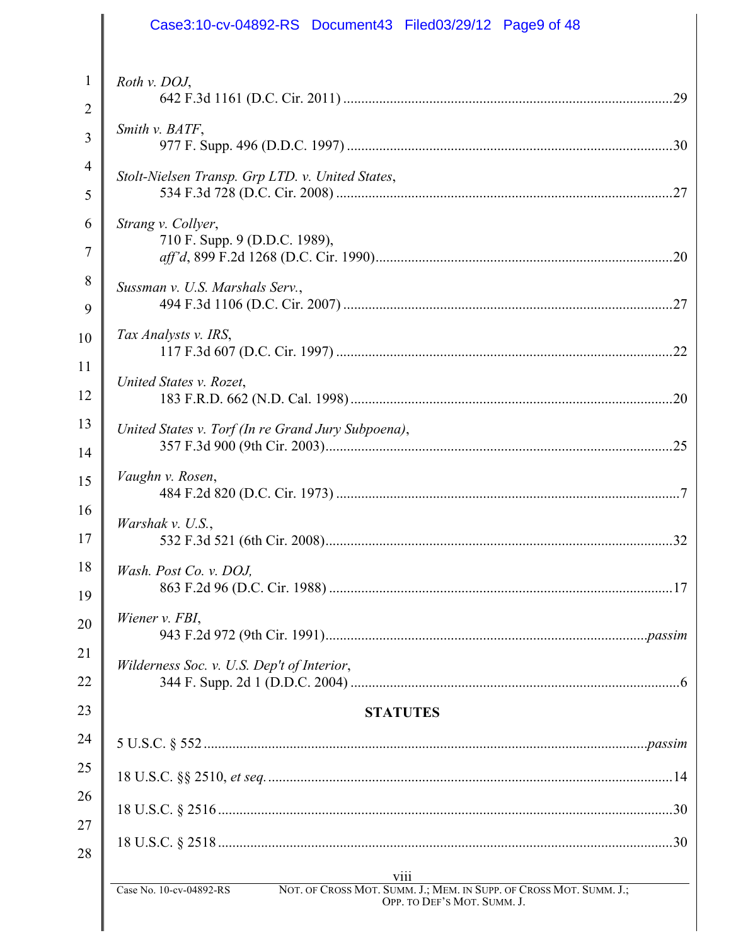| Case3:10-cv-04892-RS Document43 Filed03/29/12 Page9 of 48                                                                    |
|------------------------------------------------------------------------------------------------------------------------------|
| Roth v. DOJ,                                                                                                                 |
|                                                                                                                              |
| Smith v. BATF,                                                                                                               |
| Stolt-Nielsen Transp. Grp LTD. v. United States,<br>.27                                                                      |
|                                                                                                                              |
| Strang v. Collyer,<br>710 F. Supp. 9 (D.D.C. 1989),                                                                          |
| Sussman v. U.S. Marshals Serv.,                                                                                              |
| 27                                                                                                                           |
| Tax Analysts v. IRS,                                                                                                         |
|                                                                                                                              |
| United States v. Rozet,<br>.20                                                                                               |
| United States v. Torf (In re Grand Jury Subpoena),                                                                           |
|                                                                                                                              |
| Vaughn v. Rosen,                                                                                                             |
| Warshak v. U.S.,<br>32                                                                                                       |
| Wash. Post Co. v. DOJ,                                                                                                       |
| Wiener v. FBI,                                                                                                               |
| Wilderness Soc. v. U.S. Dep't of Interior,                                                                                   |
| <b>STATUTES</b>                                                                                                              |
|                                                                                                                              |
|                                                                                                                              |
|                                                                                                                              |
|                                                                                                                              |
| <b>V111</b>                                                                                                                  |
| Case No. 10-cv-04892-RS<br>NOT. OF CROSS MOT. SUMM. J.; MEM. IN SUPP. OF CROSS MOT. SUMM. J.;<br>OPP. TO DEF'S MOT. SUMM. J. |

 $\mathsf{I}$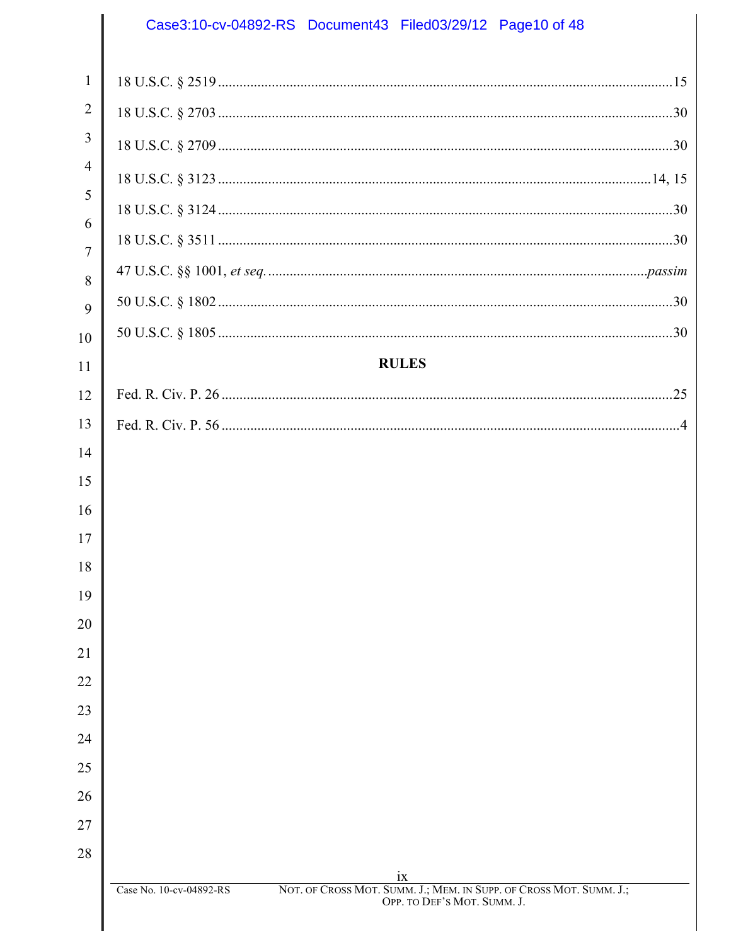# Case3:10-cv-04892-RS Document43 Filed03/29/12 Page10 of 48  $\mathbf{1}$  $\overline{2}$  $\overline{4}$  $\overline{7}$  $\overline{Q}$ **RULES** Case No. 10-cv-04892-RS NOT. OF CROSS MOT. SUMM. J.; MEM. IN SUPP. OF CROSS MOT. SUMM. J.; OPP. TO DEF'S MOT. SUMM. J.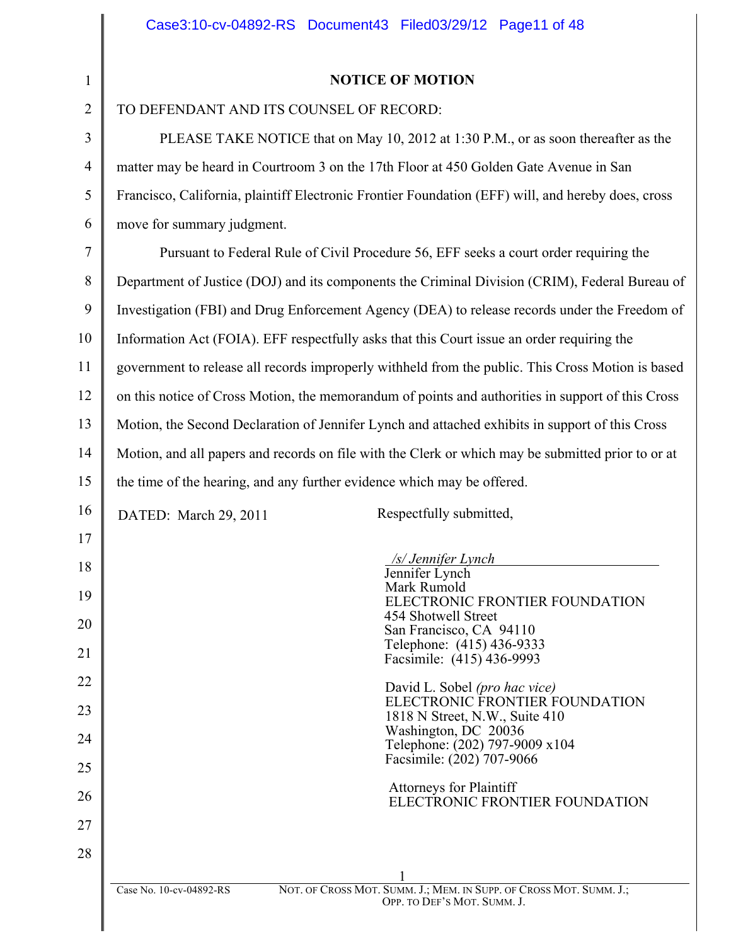17

18

19

20

21

22

23

24

25

26

27

28

TO DEFENDANT AND ITS COUNSEL OF RECORD:

PLEASE TAKE NOTICE that on May 10, 2012 at 1:30 P.M., or as soon thereafter as the matter may be heard in Courtroom 3 on the 17th Floor at 450 Golden Gate Avenue in San Francisco, California, plaintiff Electronic Frontier Foundation (EFF) will, and hereby does, cross move for summary judgment.

7 8 9 10 11 12 13 14 15 Pursuant to Federal Rule of Civil Procedure 56, EFF seeks a court order requiring the Department of Justice (DOJ) and its components the Criminal Division (CRIM), Federal Bureau of Investigation (FBI) and Drug Enforcement Agency (DEA) to release records under the Freedom of Information Act (FOIA). EFF respectfully asks that this Court issue an order requiring the government to release all records improperly withheld from the public. This Cross Motion is based on this notice of Cross Motion, the memorandum of points and authorities in support of this Cross Motion, the Second Declaration of Jennifer Lynch and attached exhibits in support of this Cross Motion, and all papers and records on file with the Clerk or which may be submitted prior to or at the time of the hearing, and any further evidence which may be offered.

16

DATED: March 29, 2011 Respectfully submitted,

|                         | /s/ Jennifer Lynch                                                                                |
|-------------------------|---------------------------------------------------------------------------------------------------|
|                         | Jennifer Lynch                                                                                    |
|                         | Mark Rumold                                                                                       |
|                         | ELECTRONIC FRONTIER FOUNDATION                                                                    |
|                         | 454 Shotwell Street                                                                               |
|                         | San Francisco, CA 94110<br>Telephone: (415) 436-9333                                              |
|                         | Facsimile: (415) 436-9993                                                                         |
|                         |                                                                                                   |
|                         | David L. Sobel (pro hac vice)                                                                     |
|                         | ELECTRONIC FRONTIER FOUNDATION                                                                    |
|                         | 1818 N Street, N.W., Suite 410                                                                    |
|                         | Washington, DC 20036                                                                              |
|                         | Telephone: (202) 797-9009 x104                                                                    |
|                         | Facsimile: (202) 707-9066                                                                         |
|                         | <b>Attorneys for Plaintiff</b>                                                                    |
|                         | ELECTRONIC FRONTIER FOUNDATION                                                                    |
|                         |                                                                                                   |
|                         |                                                                                                   |
|                         |                                                                                                   |
|                         |                                                                                                   |
|                         |                                                                                                   |
| Case No. 10-cv-04892-RS | NOT. OF CROSS MOT. SUMM. J.; MEM. IN SUPP. OF CROSS MOT. SUMM. J.;<br>OPP. TO DEF'S MOT. SUMM. J. |
|                         |                                                                                                   |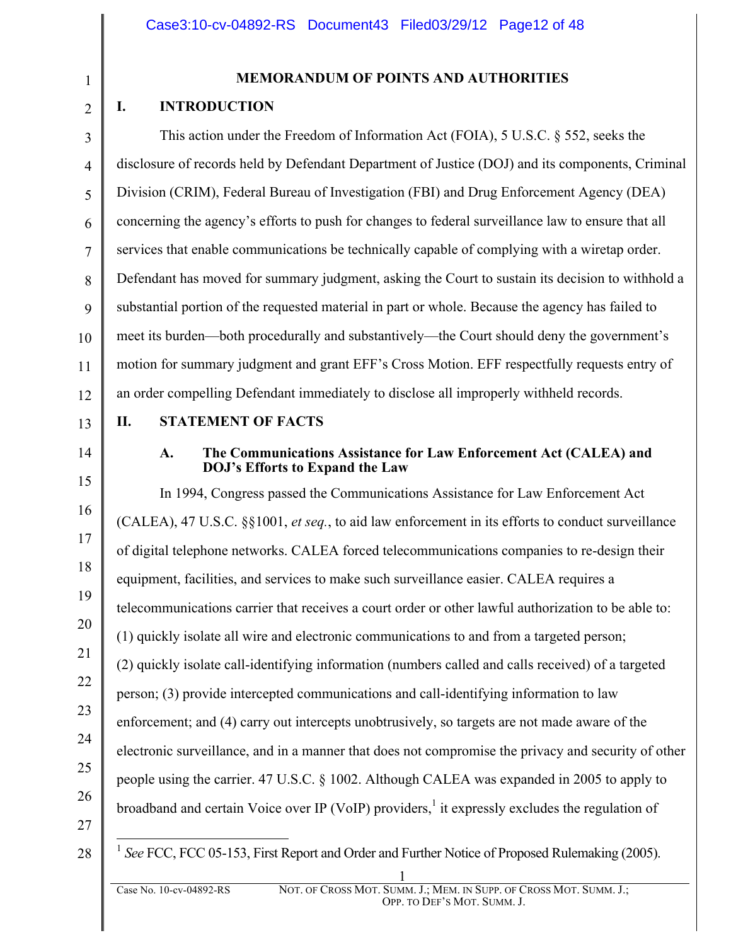1 2

3

4

5

6

7

8

9

10

11

## **MEMORANDUM OF POINTS AND AUTHORITIES**

## **I. INTRODUCTION**

This action under the Freedom of Information Act (FOIA), 5 U.S.C. § 552, seeks the disclosure of records held by Defendant Department of Justice (DOJ) and its components, Criminal Division (CRIM), Federal Bureau of Investigation (FBI) and Drug Enforcement Agency (DEA) concerning the agency's efforts to push for changes to federal surveillance law to ensure that all services that enable communications be technically capable of complying with a wiretap order. Defendant has moved for summary judgment, asking the Court to sustain its decision to withhold a substantial portion of the requested material in part or whole. Because the agency has failed to meet its burden—both procedurally and substantively—the Court should deny the government's motion for summary judgment and grant EFF's Cross Motion. EFF respectfully requests entry of an order compelling Defendant immediately to disclose all improperly withheld records.

13

12

#### **II. STATEMENT OF FACTS**

14

15

16

17

18

19

20

21

22

23

24

25

26

#### **A. The Communications Assistance for Law Enforcement Act (CALEA) and DOJ's Efforts to Expand the Law**

In 1994, Congress passed the Communications Assistance for Law Enforcement Act (CALEA), 47 U.S.C. §§1001, *et seq.*, to aid law enforcement in its efforts to conduct surveillance of digital telephone networks. CALEA forced telecommunications companies to re-design their equipment, facilities, and services to make such surveillance easier. CALEA requires a telecommunications carrier that receives a court order or other lawful authorization to be able to: (1) quickly isolate all wire and electronic communications to and from a targeted person; (2) quickly isolate call-identifying information (numbers called and calls received) of a targeted person; (3) provide intercepted communications and call-identifying information to law enforcement; and (4) carry out intercepts unobtrusively, so targets are not made aware of the electronic surveillance, and in a manner that does not compromise the privacy and security of other people using the carrier. 47 U.S.C. § 1002. Although CALEA was expanded in 2005 to apply to broadband and certain Voice over IP (VoIP) providers,<sup>1</sup> it expressly excludes the regulation of

27 28

1 *See* FCC, FCC 05-153, First Report and Order and Further Notice of Proposed Rulemaking (2005).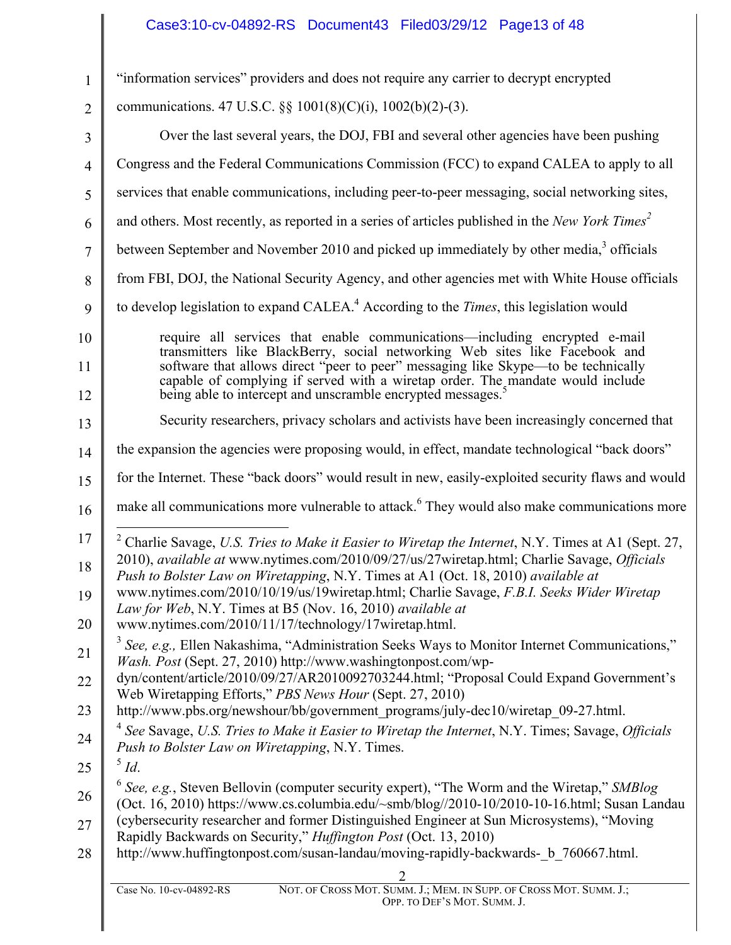## Case3:10-cv-04892-RS Document43 Filed03/29/12 Page13 of 48

| $\mathbf{1}$   | "information services" providers and does not require any carrier to decrypt encrypted                                                                                                             |
|----------------|----------------------------------------------------------------------------------------------------------------------------------------------------------------------------------------------------|
| $\overline{2}$ | communications. 47 U.S.C. §§ 1001(8)(C)(i), 1002(b)(2)-(3).                                                                                                                                        |
| 3              | Over the last several years, the DOJ, FBI and several other agencies have been pushing                                                                                                             |
| $\overline{4}$ | Congress and the Federal Communications Commission (FCC) to expand CALEA to apply to all                                                                                                           |
| 5              | services that enable communications, including peer-to-peer messaging, social networking sites,                                                                                                    |
| 6              | and others. Most recently, as reported in a series of articles published in the New York Times <sup>2</sup>                                                                                        |
| $\overline{7}$ | between September and November 2010 and picked up immediately by other media, <sup>3</sup> officials                                                                                               |
| 8              | from FBI, DOJ, the National Security Agency, and other agencies met with White House officials                                                                                                     |
| 9              | to develop legislation to expand CALEA. <sup>4</sup> According to the <i>Times</i> , this legislation would                                                                                        |
| 10             | require all services that enable communications—including encrypted e-mail                                                                                                                         |
| 11             | transmitters like BlackBerry, social networking Web sites like Facebook and<br>software that allows direct "peer to peer" messaging like Skype—to be technically                                   |
| 12             | capable of complying if served with a wiretap order. The mandate would include<br>being able to intercept and unscramble encrypted messages. <sup>5</sup>                                          |
| 13             | Security researchers, privacy scholars and activists have been increasingly concerned that                                                                                                         |
| 14             | the expansion the agencies were proposing would, in effect, mandate technological "back doors"                                                                                                     |
| 15             | for the Internet. These "back doors" would result in new, easily-exploited security flaws and would                                                                                                |
| 16             | make all communications more vulnerable to attack. <sup>6</sup> They would also make communications more                                                                                           |
| 17             | <sup>2</sup> Charlie Savage, <i>U.S. Tries to Make it Easier to Wiretap the Internet</i> , N.Y. Times at A1 (Sept. 27,                                                                             |
| 18             | 2010), <i>available at</i> www.nytimes.com/2010/09/27/us/27wiretap.html; Charlie Savage, <i>Officials</i><br>Push to Bolster Law on Wiretapping, N.Y. Times at A1 (Oct. 18, 2010) available at     |
| 19             | www.nytimes.com/2010/10/19/us/19wiretap.html; Charlie Savage, F.B.I. Seeks Wider Wiretap<br>Law for Web, N.Y. Times at B5 (Nov. 16, 2010) available at                                             |
| 20             | www.nytimes.com/2010/11/17/technology/17wiretap.html.                                                                                                                                              |
| 21             | See, e.g., Ellen Nakashima, "Administration Seeks Ways to Monitor Internet Communications,"<br>Wash. Post (Sept. 27, 2010) http://www.washingtonpost.com/wp-                                       |
| 22             | dyn/content/article/2010/09/27/AR2010092703244.html; "Proposal Could Expand Government's                                                                                                           |
| 23             | Web Wiretapping Efforts," PBS News Hour (Sept. 27, 2010)<br>http://www.pbs.org/newshour/bb/government_programs/july-dec10/wiretap_09-27.html.                                                      |
| 24             | $4$ See Savage, U.S. Tries to Make it Easier to Wiretap the Internet, N.Y. Times; Savage, Officials<br>Push to Bolster Law on Wiretapping, N.Y. Times.                                             |
| 25             | $\delta$ Id.                                                                                                                                                                                       |
| 26             | $\delta$ See, e.g., Steven Bellovin (computer security expert), "The Worm and the Wiretap," SMBlog<br>(Oct. 16, 2010) https://www.cs.columbia.edu/~smb/blog//2010-10/2010-10-16.html; Susan Landau |
| 27             | (cybersecurity researcher and former Distinguished Engineer at Sun Microsystems), "Moving<br>Rapidly Backwards on Security," Huffington Post (Oct. 13, 2010)                                       |
| 28             | http://www.huffingtonpost.com/susan-landau/moving-rapidly-backwards-_b_760667.html.                                                                                                                |
|                |                                                                                                                                                                                                    |
|                | NOT. OF CROSS MOT. SUMM. J.; MEM. IN SUPP. OF CROSS MOT. SUMM. J.;<br>Case No. 10-cv-04892-RS<br>OPP. TO DEF'S MOT. SUMM. J.                                                                       |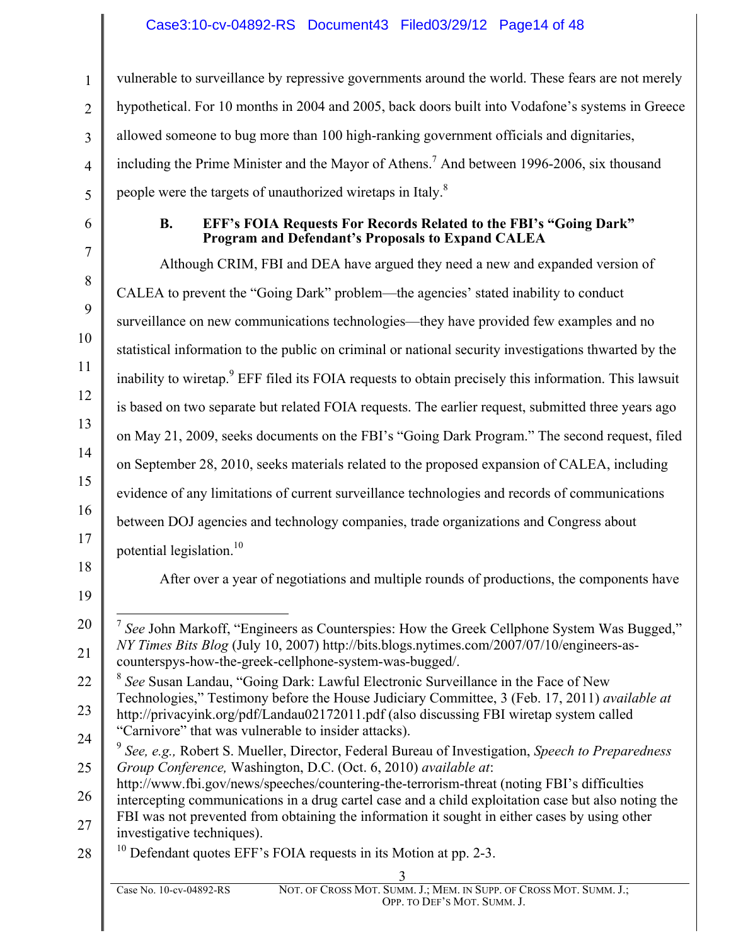## Case3:10-cv-04892-RS Document43 Filed03/29/12 Page14 of 48

vulnerable to surveillance by repressive governments around the world. These fears are not merely hypothetical. For 10 months in 2004 and 2005, back doors built into Vodafone's systems in Greece allowed someone to bug more than 100 high-ranking government officials and dignitaries, including the Prime Minister and the Mayor of Athens. <sup>7</sup> And between 1996-2006, six thousand people were the targets of unauthorized wiretaps in Italy.<sup>8</sup>

1

2

3

4

5

6

7

8

9

10

11

12

13

14

15

16

17

#### **B. EFF's FOIA Requests For Records Related to the FBI's "Going Dark" Program and Defendant's Proposals to Expand CALEA**

Although CRIM, FBI and DEA have argued they need a new and expanded version of CALEA to prevent the "Going Dark" problem—the agencies' stated inability to conduct surveillance on new communications technologies—they have provided few examples and no statistical information to the public on criminal or national security investigations thwarted by the inability to wiretap.<sup>9</sup> EFF filed its FOIA requests to obtain precisely this information. This lawsuit is based on two separate but related FOIA requests. The earlier request, submitted three years ago on May 21, 2009, seeks documents on the FBI's "Going Dark Program." The second request, filed on September 28, 2010, seeks materials related to the proposed expansion of CALEA, including evidence of any limitations of current surveillance technologies and records of communications between DOJ agencies and technology companies, trade organizations and Congress about potential legislation.<sup>10</sup>

18 19

After over a year of negotiations and multiple rounds of productions, the components have

<sup>20</sup> 21 7 *See* John Markoff, "Engineers as Counterspies: How the Greek Cellphone System Was Bugged," *NY Times Bits Blog* (July 10, 2007) http://bits.blogs.nytimes.com/2007/07/10/engineers-ascounterspys-how-the-greek-cellphone-system-was-bugged/.

<sup>22</sup> 23 <sup>8</sup> *See* Susan Landau, "Going Dark: Lawful Electronic Surveillance in the Face of New Technologies," Testimony before the House Judiciary Committee, 3 (Feb. 17, 2011) *available at* http://privacyink.org/pdf/Landau02172011.pdf (also discussing FBI wiretap system called "Carnivore" that was vulnerable to insider attacks).

<sup>24</sup> 25 <sup>9</sup> *See, e.g.,* Robert S. Mueller, Director, Federal Bureau of Investigation, *Speech to Preparedness Group Conference,* Washington, D.C. (Oct. 6, 2010) *available at*:

http://www.fbi.gov/news/speeches/countering-the-terrorism-threat (noting FBI's difficulties

<sup>26</sup> 27 intercepting communications in a drug cartel case and a child exploitation case but also noting the FBI was not prevented from obtaining the information it sought in either cases by using other

investigative techniques).

<sup>28</sup> <sup>10</sup> Defendant quotes EFF's FOIA requests in its Motion at pp. 2-3.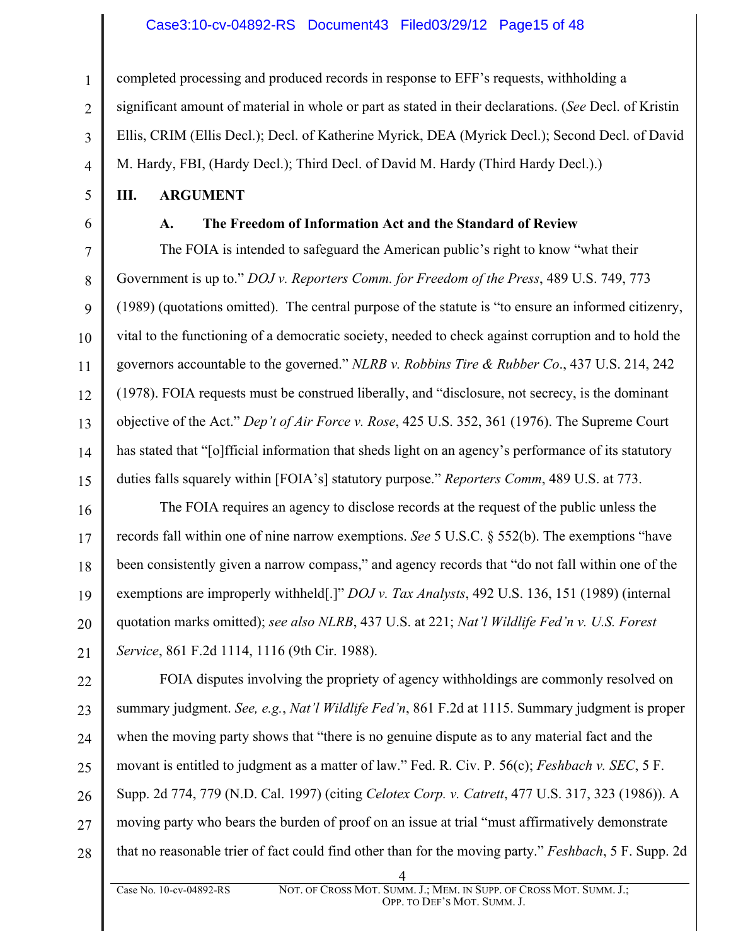#### Case3:10-cv-04892-RS Document43 Filed03/29/12 Page15 of 48

completed processing and produced records in response to EFF's requests, withholding a significant amount of material in whole or part as stated in their declarations. (*See* Decl. of Kristin Ellis, CRIM (Ellis Decl.); Decl. of Katherine Myrick, DEA (Myrick Decl.); Second Decl. of David M. Hardy, FBI, (Hardy Decl.); Third Decl. of David M. Hardy (Third Hardy Decl.).)

**III. ARGUMENT**

1

2

3

4

5

6

**A. The Freedom of Information Act and the Standard of Review** 

7 8 9 10 11 12 13 14 15 The FOIA is intended to safeguard the American public's right to know "what their Government is up to." *DOJ v. Reporters Comm. for Freedom of the Press*, 489 U.S. 749, 773 (1989) (quotations omitted). The central purpose of the statute is "to ensure an informed citizenry, vital to the functioning of a democratic society, needed to check against corruption and to hold the governors accountable to the governed." *NLRB v. Robbins Tire & Rubber Co*., 437 U.S. 214, 242 (1978). FOIA requests must be construed liberally, and "disclosure, not secrecy, is the dominant objective of the Act." *Dep't of Air Force v. Rose*, 425 U.S. 352, 361 (1976). The Supreme Court has stated that "[o]fficial information that sheds light on an agency's performance of its statutory duties falls squarely within [FOIA's] statutory purpose." *Reporters Comm*, 489 U.S. at 773.

16 17 18 19 20 21 The FOIA requires an agency to disclose records at the request of the public unless the records fall within one of nine narrow exemptions. *See* 5 U.S.C. § 552(b). The exemptions "have been consistently given a narrow compass," and agency records that "do not fall within one of the exemptions are improperly withheld[.]" *DOJ v. Tax Analysts*, 492 U.S. 136, 151 (1989) (internal quotation marks omitted); *see also NLRB*, 437 U.S. at 221; *Nat'l Wildlife Fed'n v. U.S. Forest Service*, 861 F.2d 1114, 1116 (9th Cir. 1988).

22 23 24 25 26 27 28 FOIA disputes involving the propriety of agency withholdings are commonly resolved on summary judgment. *See, e.g.*, *Nat'l Wildlife Fed'n*, 861 F.2d at 1115. Summary judgment is proper when the moving party shows that "there is no genuine dispute as to any material fact and the movant is entitled to judgment as a matter of law." Fed. R. Civ. P. 56(c); *Feshbach v. SEC*, 5 F. Supp. 2d 774, 779 (N.D. Cal. 1997) (citing *Celotex Corp. v. Catrett*, 477 U.S. 317, 323 (1986)). A moving party who bears the burden of proof on an issue at trial "must affirmatively demonstrate that no reasonable trier of fact could find other than for the moving party." *Feshbach*, 5 F. Supp. 2d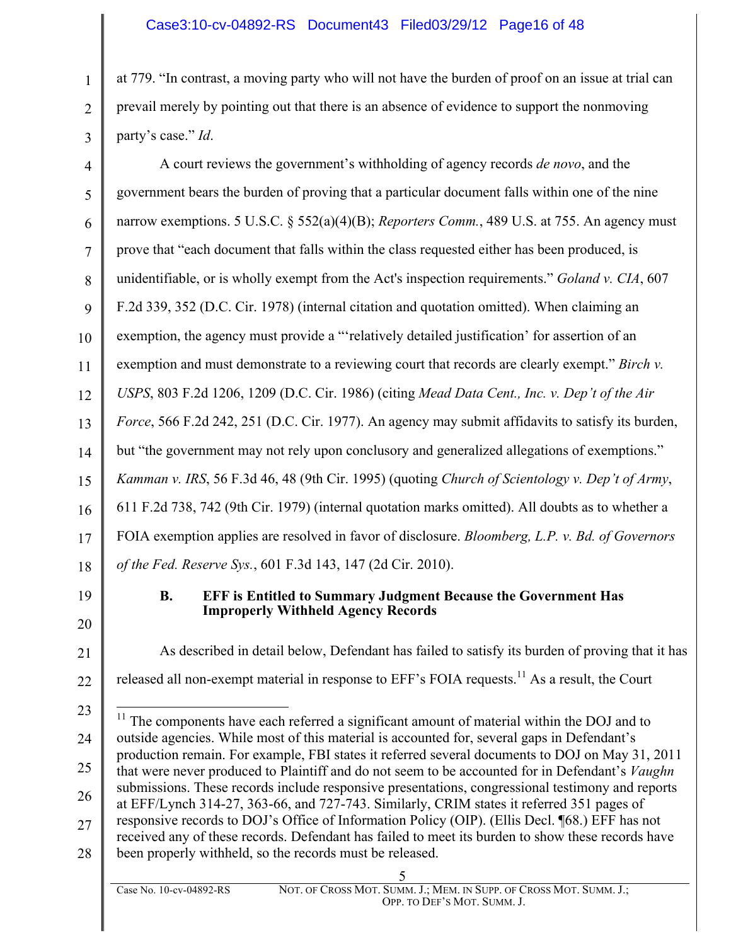## Case3:10-cv-04892-RS Document43 Filed03/29/12 Page16 of 48

at 779. "In contrast, a moving party who will not have the burden of proof on an issue at trial can prevail merely by pointing out that there is an absence of evidence to support the nonmoving party's case." *Id*.

4 5 6 7 8 9 10 11 12 13 14 15 16 17 18 A court reviews the government's withholding of agency records *de novo*, and the government bears the burden of proving that a particular document falls within one of the nine narrow exemptions. 5 U.S.C. § 552(a)(4)(B); *Reporters Comm.*, 489 U.S. at 755. An agency must prove that "each document that falls within the class requested either has been produced, is unidentifiable, or is wholly exempt from the Act's inspection requirements." *Goland v. CIA*, 607 F.2d 339, 352 (D.C. Cir. 1978) (internal citation and quotation omitted). When claiming an exemption, the agency must provide a "'relatively detailed justification' for assertion of an exemption and must demonstrate to a reviewing court that records are clearly exempt." *Birch v. USPS*, 803 F.2d 1206, 1209 (D.C. Cir. 1986) (citing *Mead Data Cent., Inc. v. Dep't of the Air Force*, 566 F.2d 242, 251 (D.C. Cir. 1977). An agency may submit affidavits to satisfy its burden, but "the government may not rely upon conclusory and generalized allegations of exemptions." *Kamman v. IRS*, 56 F.3d 46, 48 (9th Cir. 1995) (quoting *Church of Scientology v. Dep't of Army*, 611 F.2d 738, 742 (9th Cir. 1979) (internal quotation marks omitted). All doubts as to whether a FOIA exemption applies are resolved in favor of disclosure. *Bloomberg, L.P. v. Bd. of Governors of the Fed. Reserve Sys.*, 601 F.3d 143, 147 (2d Cir. 2010).

19

22

1

2

3

#### **B. EFF is Entitled to Summary Judgment Because the Government Has Improperly Withheld Agency Records**

20 21

As described in detail below, Defendant has failed to satisfy its burden of proving that it has released all non-exempt material in response to  $EFF$ 's FOIA requests.<sup>11</sup> As a result, the Court

<sup>23</sup> 24 25 26 27 28  $11$  The components have each referred a significant amount of material within the DOJ and to outside agencies. While most of this material is accounted for, several gaps in Defendant's production remain. For example, FBI states it referred several documents to DOJ on May 31, 2011 that were never produced to Plaintiff and do not seem to be accounted for in Defendant's *Vaughn* submissions. These records include responsive presentations, congressional testimony and reports at EFF/Lynch 314-27, 363-66, and 727-743. Similarly, CRIM states it referred 351 pages of responsive records to DOJ's Office of Information Policy (OIP). (Ellis Decl. ¶68.) EFF has not received any of these records. Defendant has failed to meet its burden to show these records have been properly withheld, so the records must be released.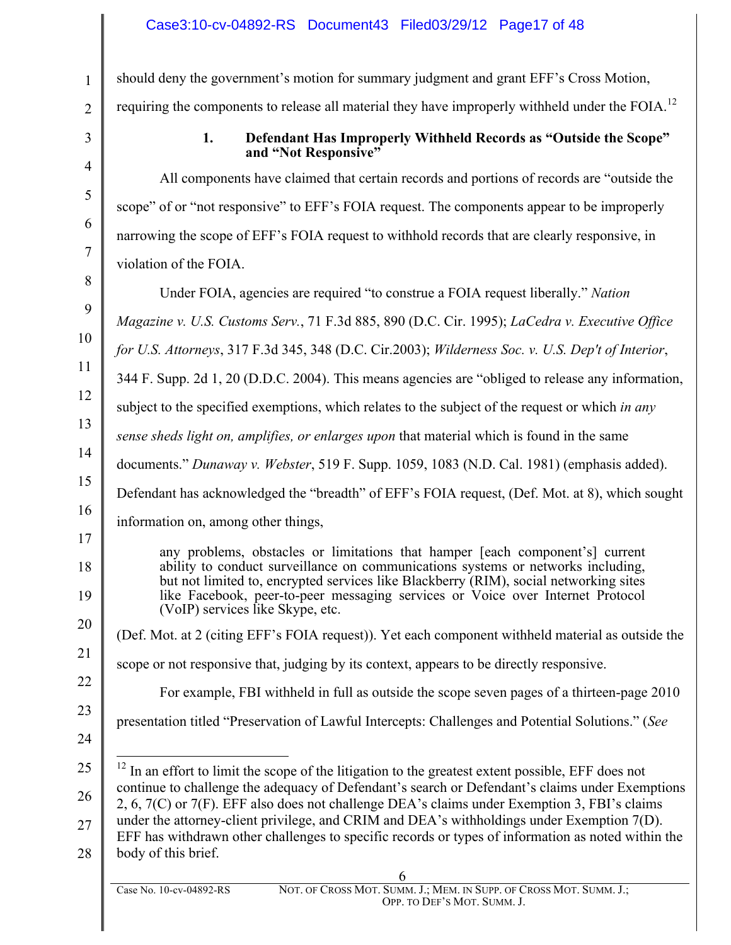should deny the government's motion for summary judgment and grant EFF's Cross Motion, requiring the components to release all material they have improperly withheld under the FOIA.<sup>12</sup>

1

2

3

4

5

6

7

8

9

10

11

12

14

15

16

17

18

19

20

21

22

23

24

#### **1. Defendant Has Improperly Withheld Records as "Outside the Scope" and "Not Responsive"**

All components have claimed that certain records and portions of records are "outside the scope" of or "not responsive" to EFF's FOIA request. The components appear to be improperly narrowing the scope of EFF's FOIA request to withhold records that are clearly responsive, in violation of the FOIA.

Under FOIA, agencies are required "to construe a FOIA request liberally." *Nation* 

*Magazine v. U.S. Customs Serv.*, 71 F.3d 885, 890 (D.C. Cir. 1995); *LaCedra v. Executive Office* 

*for U.S. Attorneys*, 317 F.3d 345, 348 (D.C. Cir.2003); *Wilderness Soc. v. U.S. Dep't of Interior*,

344 F. Supp. 2d 1, 20 (D.D.C. 2004). This means agencies are "obliged to release any information,

subject to the specified exemptions, which relates to the subject of the request or which *in any* 

13 *sense sheds light on, amplifies, or enlarges upon* that material which is found in the same

documents." *Dunaway v. Webster*, 519 F. Supp. 1059, 1083 (N.D. Cal. 1981) (emphasis added).

Defendant has acknowledged the "breadth" of EFF's FOIA request, (Def. Mot. at 8), which sought

information on, among other things,

any problems, obstacles or limitations that hamper [each component's] current ability to conduct surveillance on communications systems or networks including, but not limited to, encrypted services like Blackberry (RIM), social networking sites like Facebook, peer-to-peer messaging services or Voice over Internet Protocol (VoIP) services like Skype, etc.

(Def. Mot. at 2 (citing EFF's FOIA request)). Yet each component withheld material as outside the

scope or not responsive that, judging by its context, appears to be directly responsive.

For example, FBI withheld in full as outside the scope seven pages of a thirteen-page 2010

presentation titled "Preservation of Lawful Intercepts: Challenges and Potential Solutions." (*See*

25 26 27 28 <sup>12</sup> In an effort to limit the scope of the litigation to the greatest extent possible, EFF does not continue to challenge the adequacy of Defendant's search or Defendant's claims under Exemptions 2, 6, 7(C) or 7(F). EFF also does not challenge DEA's claims under Exemption 3, FBI's claims under the attorney-client privilege, and CRIM and DEA's withholdings under Exemption 7(D). EFF has withdrawn other challenges to specific records or types of information as noted within the body of this brief.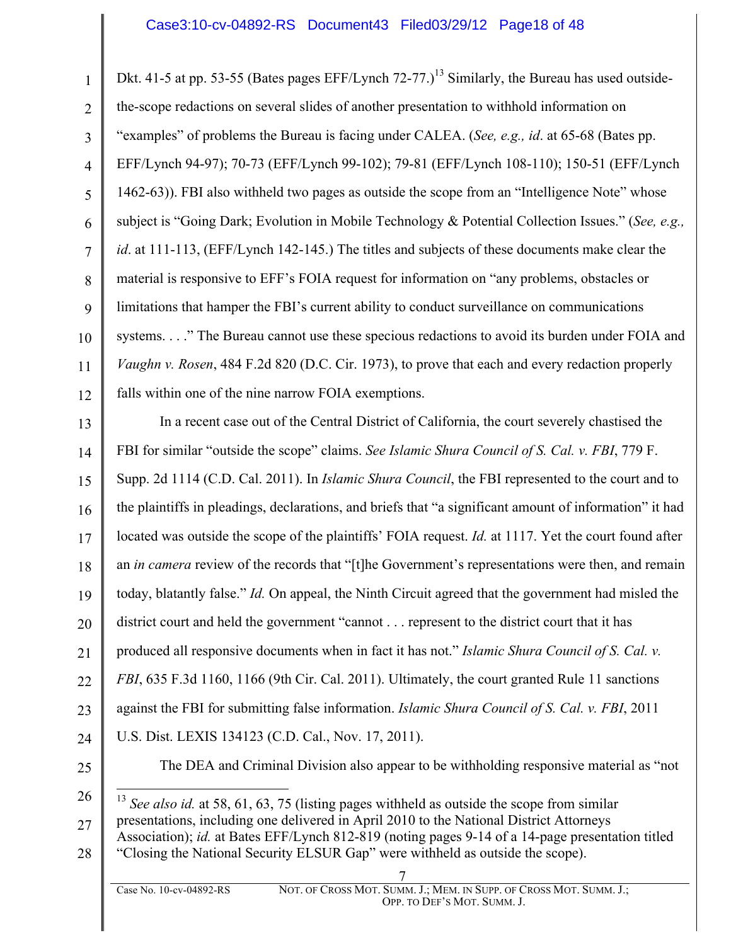#### Case3:10-cv-04892-RS Document43 Filed03/29/12 Page18 of 48

1 2 3 4 5 6 7 8 9 10 11 12 Dkt. 41-5 at pp. 53-55 (Bates pages EFF/Lynch  $72-77$ .)<sup>13</sup> Similarly, the Bureau has used outsidethe-scope redactions on several slides of another presentation to withhold information on "examples" of problems the Bureau is facing under CALEA. (*See, e.g., id*. at 65-68 (Bates pp. EFF/Lynch 94-97); 70-73 (EFF/Lynch 99-102); 79-81 (EFF/Lynch 108-110); 150-51 (EFF/Lynch 1462-63)). FBI also withheld two pages as outside the scope from an "Intelligence Note" whose subject is "Going Dark; Evolution in Mobile Technology & Potential Collection Issues." (*See, e.g., id*. at 111-113, (EFF/Lynch 142-145.) The titles and subjects of these documents make clear the material is responsive to EFF's FOIA request for information on "any problems, obstacles or limitations that hamper the FBI's current ability to conduct surveillance on communications systems. . . ." The Bureau cannot use these specious redactions to avoid its burden under FOIA and *Vaughn v. Rosen*, 484 F.2d 820 (D.C. Cir. 1973), to prove that each and every redaction properly falls within one of the nine narrow FOIA exemptions.

13 14 15 16 17 18 19 20 21 22 23 24 25 In a recent case out of the Central District of California, the court severely chastised the FBI for similar "outside the scope" claims. *See Islamic Shura Council of S. Cal. v. FBI*, 779 F. Supp. 2d 1114 (C.D. Cal. 2011). In *Islamic Shura Council*, the FBI represented to the court and to the plaintiffs in pleadings, declarations, and briefs that "a significant amount of information" it had located was outside the scope of the plaintiffs' FOIA request. *Id.* at 1117. Yet the court found after an *in camera* review of the records that "[t]he Government's representations were then, and remain today, blatantly false." *Id.* On appeal, the Ninth Circuit agreed that the government had misled the district court and held the government "cannot . . . represent to the district court that it has produced all responsive documents when in fact it has not." *Islamic Shura Council of S. Cal. v. FBI*, 635 F.3d 1160, 1166 (9th Cir. Cal. 2011). Ultimately, the court granted Rule 11 sanctions against the FBI for submitting false information. *Islamic Shura Council of S. Cal. v. FBI*, 2011 U.S. Dist. LEXIS 134123 (C.D. Cal., Nov. 17, 2011). The DEA and Criminal Division also appear to be withholding responsive material as "not

27 28 13 *See also id.* at 58, 61, 63, 75 (listing pages withheld as outside the scope from similar presentations, including one delivered in April 2010 to the National District Attorneys Association); *id.* at Bates EFF/Lynch 812-819 (noting pages 9-14 of a 14-page presentation titled "Closing the National Security ELSUR Gap" were withheld as outside the scope).

<sup>26</sup>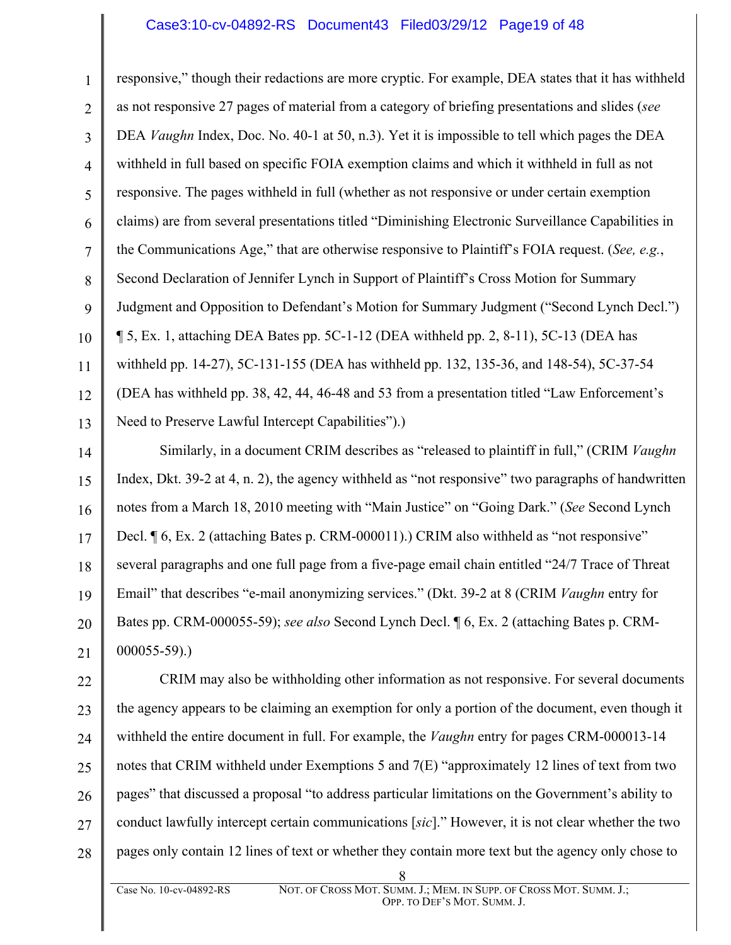#### Case3:10-cv-04892-RS Document43 Filed03/29/12 Page19 of 48

1 2 3 4 5 6 7 8 9 10 11 12 13 responsive," though their redactions are more cryptic. For example, DEA states that it has withheld as not responsive 27 pages of material from a category of briefing presentations and slides (*see* DEA *Vaughn* Index, Doc. No. 40-1 at 50, n.3). Yet it is impossible to tell which pages the DEA withheld in full based on specific FOIA exemption claims and which it withheld in full as not responsive. The pages withheld in full (whether as not responsive or under certain exemption claims) are from several presentations titled "Diminishing Electronic Surveillance Capabilities in the Communications Age," that are otherwise responsive to Plaintiff's FOIA request. (*See, e.g.*, Second Declaration of Jennifer Lynch in Support of Plaintiff's Cross Motion for Summary Judgment and Opposition to Defendant's Motion for Summary Judgment ("Second Lynch Decl.") ¶ 5, Ex. 1, attaching DEA Bates pp. 5C-1-12 (DEA withheld pp. 2, 8-11), 5C-13 (DEA has withheld pp. 14-27), 5C-131-155 (DEA has withheld pp. 132, 135-36, and 148-54), 5C-37-54 (DEA has withheld pp. 38, 42, 44, 46-48 and 53 from a presentation titled "Law Enforcement's Need to Preserve Lawful Intercept Capabilities").)

14 15 16 17 18 19 20 21 Similarly, in a document CRIM describes as "released to plaintiff in full," (CRIM *Vaughn* Index, Dkt. 39-2 at 4, n. 2), the agency withheld as "not responsive" two paragraphs of handwritten notes from a March 18, 2010 meeting with "Main Justice" on "Going Dark." (*See* Second Lynch Decl.  $\P$  6, Ex. 2 (attaching Bates p. CRM-000011).) CRIM also withheld as "not responsive" several paragraphs and one full page from a five-page email chain entitled "24/7 Trace of Threat Email" that describes "e-mail anonymizing services." (Dkt. 39-2 at 8 (CRIM *Vaughn* entry for Bates pp. CRM-000055-59); *see also* Second Lynch Decl. ¶ 6, Ex. 2 (attaching Bates p. CRM-000055-59).)

22 23 24 25 26 27 28 CRIM may also be withholding other information as not responsive. For several documents the agency appears to be claiming an exemption for only a portion of the document, even though it withheld the entire document in full. For example, the *Vaughn* entry for pages CRM-000013-14 notes that CRIM withheld under Exemptions 5 and 7(E) "approximately 12 lines of text from two pages" that discussed a proposal "to address particular limitations on the Government's ability to conduct lawfully intercept certain communications [*sic*]." However, it is not clear whether the two pages only contain 12 lines of text or whether they contain more text but the agency only chose to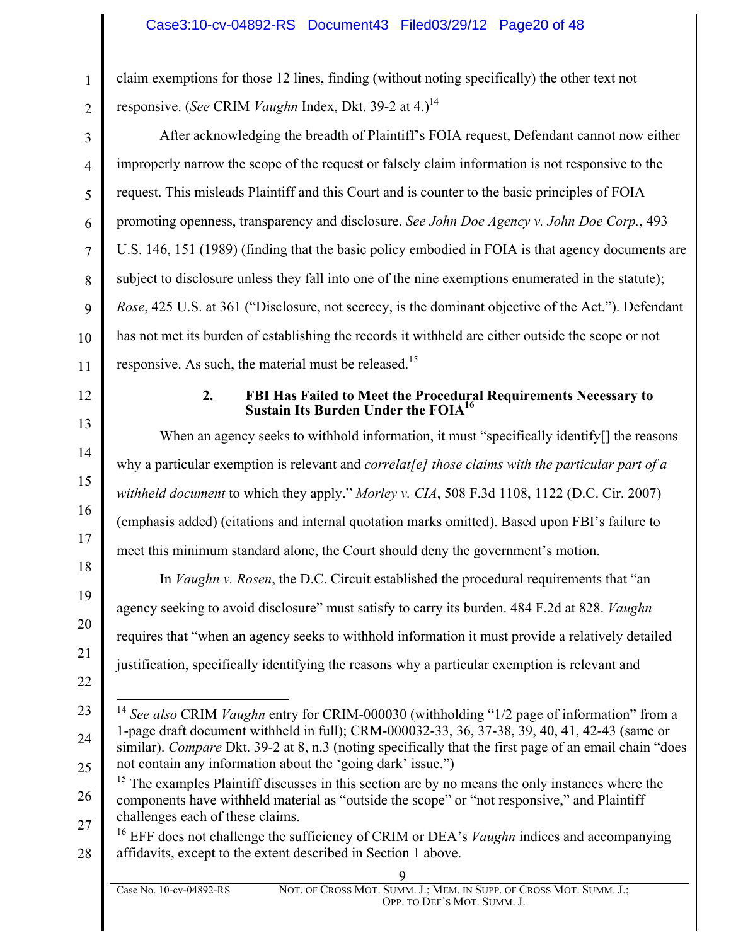claim exemptions for those 12 lines, finding (without noting specifically) the other text not responsive. (*See* CRIM *Vaughn* Index, Dkt. 39-2 at 4.)<sup>14</sup>

4 10 After acknowledging the breadth of Plaintiff's FOIA request, Defendant cannot now either improperly narrow the scope of the request or falsely claim information is not responsive to the request. This misleads Plaintiff and this Court and is counter to the basic principles of FOIA promoting openness, transparency and disclosure. *See John Doe Agency v. John Doe Corp.*, 493 U.S. 146, 151 (1989) (finding that the basic policy embodied in FOIA is that agency documents are subject to disclosure unless they fall into one of the nine exemptions enumerated in the statute); *Rose*, 425 U.S. at 361 ("Disclosure, not secrecy, is the dominant objective of the Act."). Defendant has not met its burden of establishing the records it withheld are either outside the scope or not responsive. As such, the material must be released.<sup>15</sup>

12

13

14

15

16

17

18

19

20

21

11

1

2

3

5

6

7

8

9

#### **2. FBI Has Failed to Meet the Procedural Requirements Necessary to Sustain Its Burden Under the FOIA16**

When an agency seeks to withhold information, it must "specifically identify<sup>[]</sup> the reasons why a particular exemption is relevant and *correlat[e] those claims with the particular part of a withheld document* to which they apply." *Morley v. CIA*, 508 F.3d 1108, 1122 (D.C. Cir. 2007) (emphasis added) (citations and internal quotation marks omitted). Based upon FBI's failure to meet this minimum standard alone, the Court should deny the government's motion.

In *Vaughn v. Rosen*, the D.C. Circuit established the procedural requirements that "an agency seeking to avoid disclosure" must satisfy to carry its burden. 484 F.2d at 828. *Vaughn* requires that "when an agency seeks to withhold information it must provide a relatively detailed justification, specifically identifying the reasons why a particular exemption is relevant and

- 22
- 23

24

25

<sup>14</sup> See also CRIM *Vaughn* entry for CRIM-000030 (withholding "1/2 page of information" from a 1-page draft document withheld in full); CRM-000032-33, 36, 37-38, 39, 40, 41, 42-43 (same or similar). *Compare* Dkt. 39-2 at 8, n.3 (noting specifically that the first page of an email chain "does not contain any information about the 'going dark' issue.")

26 27 <sup>15</sup> The examples Plaintiff discusses in this section are by no means the only instances where the components have withheld material as "outside the scope" or "not responsive," and Plaintiff challenges each of these claims.

28 <sup>16</sup> EFF does not challenge the sufficiency of CRIM or DEA's *Vaughn* indices and accompanying affidavits, except to the extent described in Section 1 above.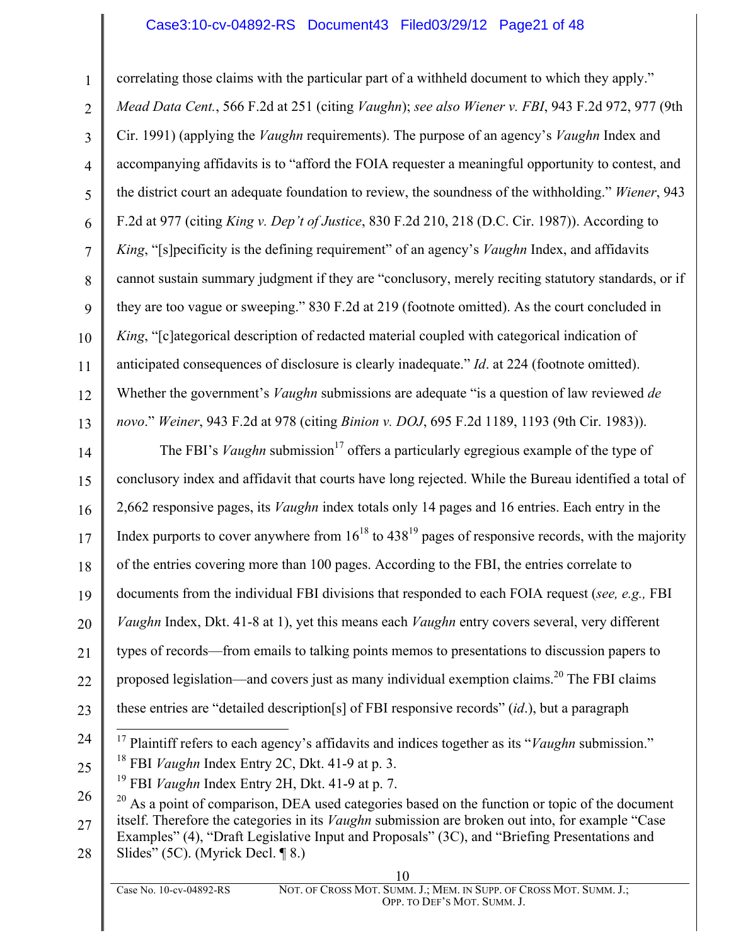### Case3:10-cv-04892-RS Document43 Filed03/29/12 Page21 of 48

1 2 3 4 5 6 7 8 9 10 11 12 13 correlating those claims with the particular part of a withheld document to which they apply." *Mead Data Cent.*, 566 F.2d at 251 (citing *Vaughn*); *see also Wiener v. FBI*, 943 F.2d 972, 977 (9th Cir. 1991) (applying the *Vaughn* requirements). The purpose of an agency's *Vaughn* Index and accompanying affidavits is to "afford the FOIA requester a meaningful opportunity to contest, and the district court an adequate foundation to review, the soundness of the withholding." *Wiener*, 943 F.2d at 977 (citing *King v. Dep't of Justice*, 830 F.2d 210, 218 (D.C. Cir. 1987)). According to *King*, "[s]pecificity is the defining requirement" of an agency's *Vaughn* Index, and affidavits cannot sustain summary judgment if they are "conclusory, merely reciting statutory standards, or if they are too vague or sweeping." 830 F.2d at 219 (footnote omitted). As the court concluded in *King*, "[c]ategorical description of redacted material coupled with categorical indication of anticipated consequences of disclosure is clearly inadequate." *Id*. at 224 (footnote omitted). Whether the government's *Vaughn* submissions are adequate "is a question of law reviewed *de novo*." *Weiner*, 943 F.2d at 978 (citing *Binion v. DOJ*, 695 F.2d 1189, 1193 (9th Cir. 1983)).

14 15 16 17 18 19 20 21 22 23 The FBI's *Vaughn* submission<sup>17</sup> offers a particularly egregious example of the type of conclusory index and affidavit that courts have long rejected. While the Bureau identified a total of 2,662 responsive pages, its *Vaughn* index totals only 14 pages and 16 entries. Each entry in the Index purports to cover anywhere from  $16^{18}$  to  $438^{19}$  pages of responsive records, with the majority of the entries covering more than 100 pages. According to the FBI, the entries correlate to documents from the individual FBI divisions that responded to each FOIA request (*see, e.g.,* FBI *Vaughn* Index, Dkt. 41-8 at 1), yet this means each *Vaughn* entry covers several, very different types of records—from emails to talking points memos to presentations to discussion papers to proposed legislation—and covers just as many individual exemption claims.<sup>20</sup> The FBI claims these entries are "detailed description[s] of FBI responsive records" (*id*.), but a paragraph

- 24 <sup>17</sup> Plaintiff refers to each agency's affidavits and indices together as its "*Vaughn* submission."
- 25 <sup>18</sup> FBI *Vaughn* Index Entry 2C, Dkt. 41-9 at p. 3.
	- <sup>19</sup> FBI *Vaughn* Index Entry 2H, Dkt. 41-9 at p. 7.
- 26 27 28  $20$  As a point of comparison, DEA used categories based on the function or topic of the document itself. Therefore the categories in its *Vaughn* submission are broken out into, for example "Case Examples" (4), "Draft Legislative Input and Proposals" (3C), and "Briefing Presentations and Slides" (5C). (Myrick Decl. ¶ 8.)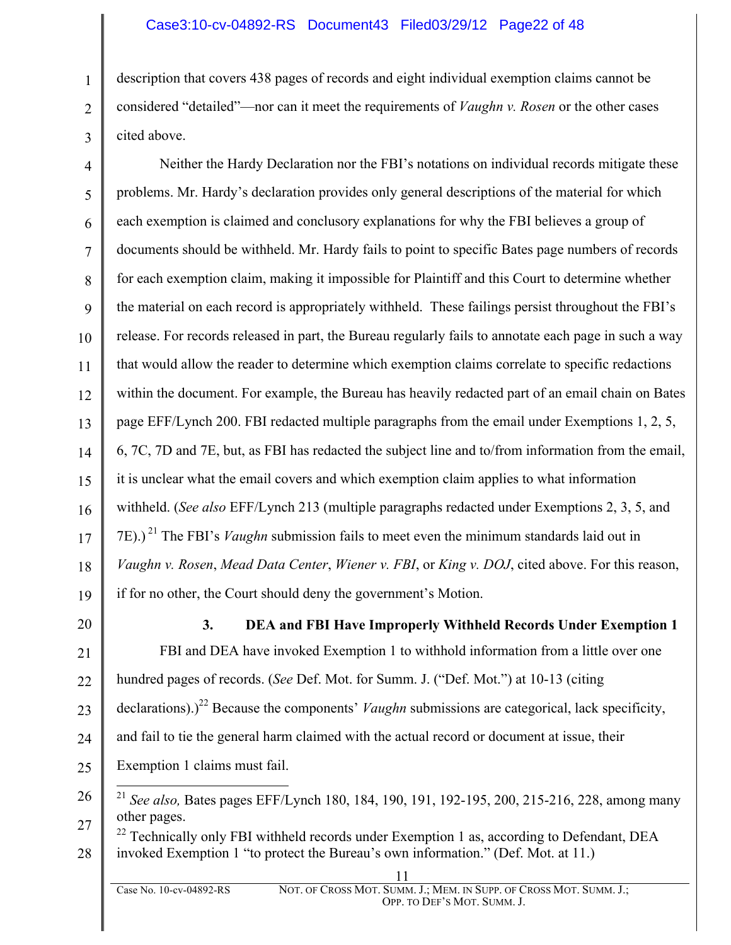## Case3:10-cv-04892-RS Document43 Filed03/29/12 Page22 of 48

description that covers 438 pages of records and eight individual exemption claims cannot be considered "detailed"—nor can it meet the requirements of *Vaughn v. Rosen* or the other cases cited above.

4 5 6 7 8 9 10 11 12 13 14 15 16 17 18 19 Neither the Hardy Declaration nor the FBI's notations on individual records mitigate these problems. Mr. Hardy's declaration provides only general descriptions of the material for which each exemption is claimed and conclusory explanations for why the FBI believes a group of documents should be withheld. Mr. Hardy fails to point to specific Bates page numbers of records for each exemption claim, making it impossible for Plaintiff and this Court to determine whether the material on each record is appropriately withheld. These failings persist throughout the FBI's release. For records released in part, the Bureau regularly fails to annotate each page in such a way that would allow the reader to determine which exemption claims correlate to specific redactions within the document. For example, the Bureau has heavily redacted part of an email chain on Bates page EFF/Lynch 200. FBI redacted multiple paragraphs from the email under Exemptions 1, 2, 5, 6, 7C, 7D and 7E, but, as FBI has redacted the subject line and to/from information from the email, it is unclear what the email covers and which exemption claim applies to what information withheld. (*See also* EFF/Lynch 213 (multiple paragraphs redacted under Exemptions 2, 3, 5, and 7E).) <sup>21</sup> The FBI's *Vaughn* submission fails to meet even the minimum standards laid out in *Vaughn v. Rosen*, *Mead Data Center*, *Wiener v. FBI*, or *King v. DOJ*, cited above. For this reason, if for no other, the Court should deny the government's Motion.

20

21

22

23

24

25

1

2

3

**3. DEA and FBI Have Improperly Withheld Records Under Exemption 1** FBI and DEA have invoked Exemption 1 to withhold information from a little over one hundred pages of records. (*See* Def. Mot. for Summ. J. ("Def. Mot.") at 10-13 (citing declarations).)<sup>22</sup> Because the components' *Vaughn* submissions are categorical, lack specificity, and fail to tie the general harm claimed with the actual record or document at issue, their Exemption 1 claims must fail.

- 26 27 21 *See also,* Bates pages EFF/Lynch 180, 184, 190, 191, 192-195, 200, 215-216, 228, among many other pages.
- 28  $^{22}$  Technically only FBI withheld records under Exemption 1 as, according to Defendant, DEA invoked Exemption 1 "to protect the Bureau's own information." (Def. Mot. at 11.)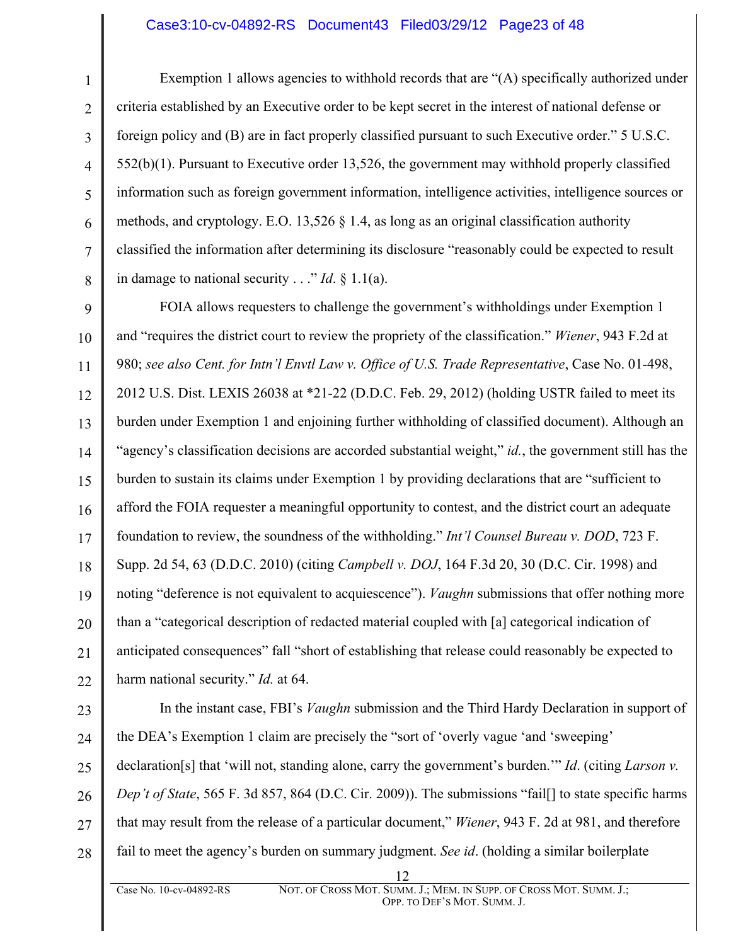#### Case3:10-cv-04892-RS Document43 Filed03/29/12 Page23 of 48

1

2

3

4

5

6

7

8

Exemption 1 allows agencies to withhold records that are "(A) specifically authorized under criteria established by an Executive order to be kept secret in the interest of national defense or foreign policy and (B) are in fact properly classified pursuant to such Executive order." 5 U.S.C. 552(b)(1). Pursuant to Executive order 13,526, the government may withhold properly classified information such as foreign government information, intelligence activities, intelligence sources or methods, and cryptology. E.O. 13,526 § 1.4, as long as an original classification authority classified the information after determining its disclosure "reasonably could be expected to result in damage to national security . . ." *Id*. § 1.1(a).

9 10 11 12 13 14 15 16 17 18 19 20 21 22 FOIA allows requesters to challenge the government's withholdings under Exemption 1 and "requires the district court to review the propriety of the classification." *Wiener*, 943 F.2d at 980; *see also Cent. for Intn'l Envtl Law v. Office of U.S. Trade Representative*, Case No. 01-498, 2012 U.S. Dist. LEXIS 26038 at \*21-22 (D.D.C. Feb. 29, 2012) (holding USTR failed to meet its burden under Exemption 1 and enjoining further withholding of classified document). Although an "agency's classification decisions are accorded substantial weight," *id.*, the government still has the burden to sustain its claims under Exemption 1 by providing declarations that are "sufficient to afford the FOIA requester a meaningful opportunity to contest, and the district court an adequate foundation to review, the soundness of the withholding." *Int'l Counsel Bureau v. DOD*, 723 F. Supp. 2d 54, 63 (D.D.C. 2010) (citing *Campbell v. DOJ*, 164 F.3d 20, 30 (D.C. Cir. 1998) and noting "deference is not equivalent to acquiescence"). *Vaughn* submissions that offer nothing more than a "categorical description of redacted material coupled with [a] categorical indication of anticipated consequences" fall "short of establishing that release could reasonably be expected to harm national security." *Id.* at 64.

23 24 25 26 27 28 In the instant case, FBI's *Vaughn* submission and the Third Hardy Declaration in support of the DEA's Exemption 1 claim are precisely the "sort of 'overly vague 'and 'sweeping' declaration[s] that 'will not, standing alone, carry the government's burden.'" *Id*. (citing *Larson v. Dep't of State*, 565 F. 3d 857, 864 (D.C. Cir. 2009)). The submissions "fail[] to state specific harms that may result from the release of a particular document," *Wiener*, 943 F. 2d at 981, and therefore fail to meet the agency's burden on summary judgment. *See id*. (holding a similar boilerplate

<sup>12</sup>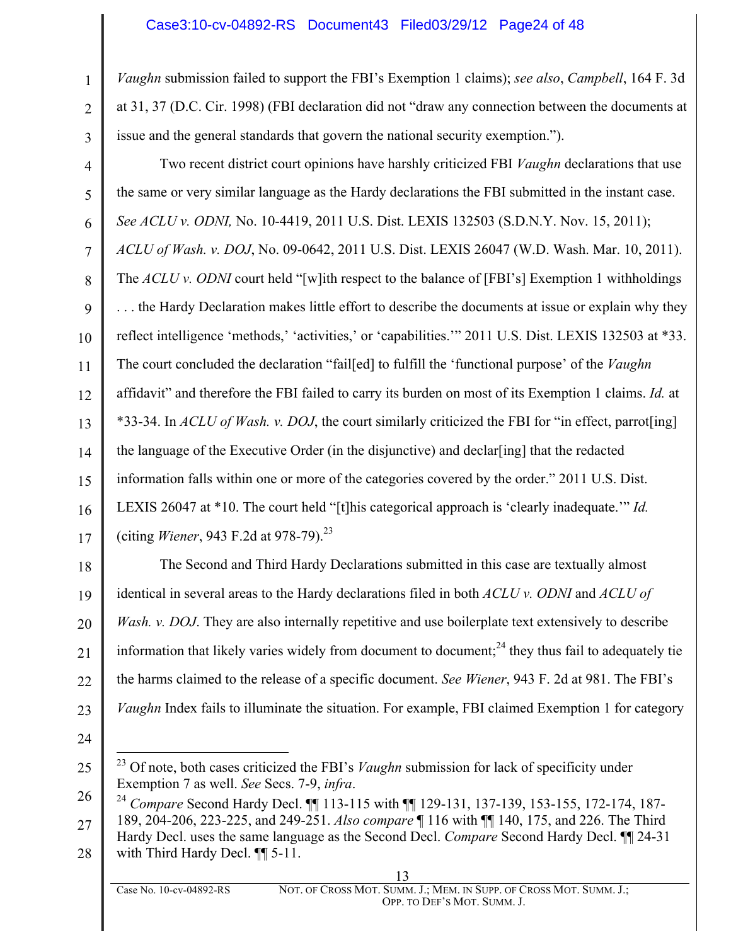#### Case3:10-cv-04892-RS Document43 Filed03/29/12 Page24 of 48

*Vaughn* submission failed to support the FBI's Exemption 1 claims); *see also*, *Campbell*, 164 F. 3d at 31, 37 (D.C. Cir. 1998) (FBI declaration did not "draw any connection between the documents at issue and the general standards that govern the national security exemption.").

4 5 6 7 8 9 10 11 12 13 14 15 16 17 Two recent district court opinions have harshly criticized FBI *Vaughn* declarations that use the same or very similar language as the Hardy declarations the FBI submitted in the instant case. *See ACLU v. ODNI,* No. 10-4419, 2011 U.S. Dist. LEXIS 132503 (S.D.N.Y. Nov. 15, 2011); *ACLU of Wash. v. DOJ*, No. 09-0642, 2011 U.S. Dist. LEXIS 26047 (W.D. Wash. Mar. 10, 2011). The *ACLU v. ODNI* court held "[w]ith respect to the balance of [FBI's] Exemption 1 withholdings . . . the Hardy Declaration makes little effort to describe the documents at issue or explain why they reflect intelligence 'methods,' 'activities,' or 'capabilities.'" 2011 U.S. Dist. LEXIS 132503 at \*33. The court concluded the declaration "fail[ed] to fulfill the 'functional purpose' of the *Vaughn* affidavit" and therefore the FBI failed to carry its burden on most of its Exemption 1 claims. *Id.* at \*33-34. In *ACLU of Wash. v. DOJ*, the court similarly criticized the FBI for "in effect, parrot[ing] the language of the Executive Order (in the disjunctive) and declar[ing] that the redacted information falls within one or more of the categories covered by the order." 2011 U.S. Dist. LEXIS 26047 at \*10. The court held "[t]his categorical approach is 'clearly inadequate.'" *Id.* (citing *Wiener*, 943 F.2d at 978-79).23

18 19 20 21 22 23 The Second and Third Hardy Declarations submitted in this case are textually almost identical in several areas to the Hardy declarations filed in both *ACLU v. ODNI* and *ACLU of Wash. v. DOJ.* They are also internally repetitive and use boilerplate text extensively to describe information that likely varies widely from document to document; $^{24}$  they thus fail to adequately tie the harms claimed to the release of a specific document. *See Wiener*, 943 F. 2d at 981. The FBI's *Vaughn* Index fails to illuminate the situation. For example, FBI claimed Exemption 1 for category

24

1

2

<sup>25</sup> <sup>23</sup> Of note, both cases criticized the FBI's *Vaughn* submission for lack of specificity under Exemption 7 as well. *See* Secs. 7-9, *infra*.

<sup>26</sup> <sup>24</sup> *Compare* Second Hardy Decl. ¶¶ 113-115 with ¶¶ 129-131, 137-139, 153-155, 172-174, 187- 189, 204-206, 223-225, and 249-251. *Also compare* ¶ 116 with ¶¶ 140, 175, and 226. The Third

<sup>27</sup> 28 Hardy Decl. uses the same language as the Second Decl. *Compare* Second Hardy Decl. ¶¶ 24-31 with Third Hardy Decl. ¶ 5-11.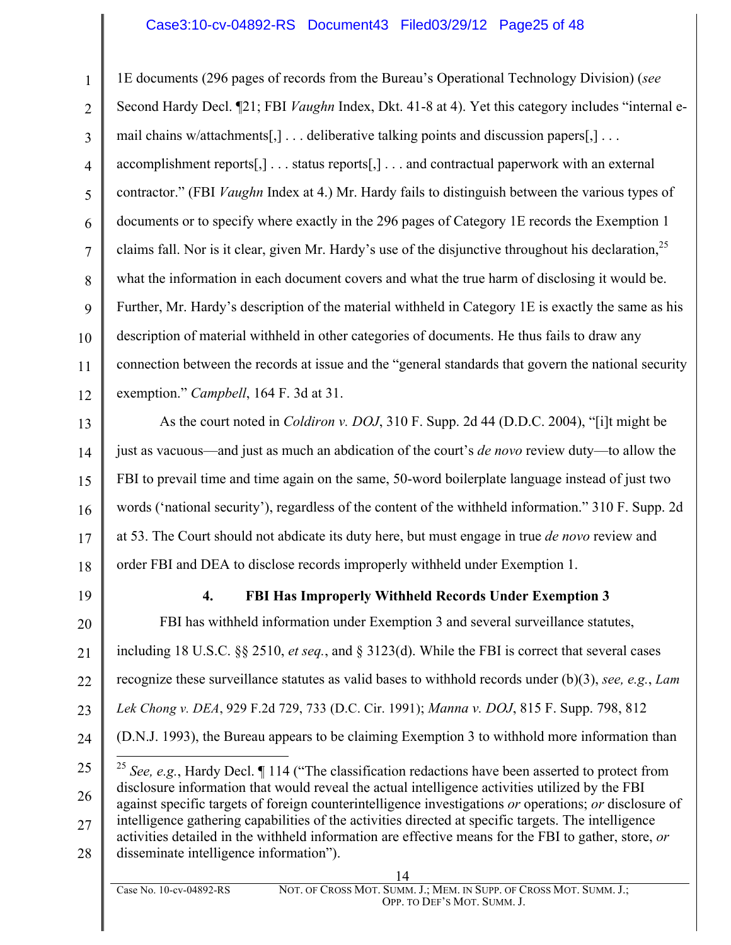## Case3:10-cv-04892-RS Document43 Filed03/29/12 Page25 of 48

1 2 3 4 5 6 7 8 9 10 11 12 1E documents (296 pages of records from the Bureau's Operational Technology Division) (*see* Second Hardy Decl. ¶21; FBI *Vaughn* Index, Dkt. 41-8 at 4). Yet this category includes "internal email chains w/attachments[,] . . . deliberative talking points and discussion papers[,] . . . accomplishment reports[,] . . . status reports[,] . . . and contractual paperwork with an external contractor." (FBI *Vaughn* Index at 4.) Mr. Hardy fails to distinguish between the various types of documents or to specify where exactly in the 296 pages of Category 1E records the Exemption 1 claims fall. Nor is it clear, given Mr. Hardy's use of the disjunctive throughout his declaration,<sup>25</sup> what the information in each document covers and what the true harm of disclosing it would be. Further, Mr. Hardy's description of the material withheld in Category 1E is exactly the same as his description of material withheld in other categories of documents. He thus fails to draw any connection between the records at issue and the "general standards that govern the national security exemption." *Campbell*, 164 F. 3d at 31.

13 14 15 16 17 18 As the court noted in *Coldiron v. DOJ*, 310 F. Supp. 2d 44 (D.D.C. 2004), "[i]t might be just as vacuous—and just as much an abdication of the court's *de novo* review duty—to allow the FBI to prevail time and time again on the same, 50-word boilerplate language instead of just two words ('national security'), regardless of the content of the withheld information." 310 F. Supp. 2d at 53. The Court should not abdicate its duty here, but must engage in true *de novo* review and order FBI and DEA to disclose records improperly withheld under Exemption 1.

19

#### **4. FBI Has Improperly Withheld Records Under Exemption 3**

20 21 22 23 24 25 26 FBI has withheld information under Exemption 3 and several surveillance statutes, including 18 U.S.C. §§ 2510, *et seq.*, and § 3123(d). While the FBI is correct that several cases recognize these surveillance statutes as valid bases to withhold records under (b)(3), *see, e.g.*, *Lam Lek Chong v. DEA*, 929 F.2d 729, 733 (D.C. Cir. 1991); *Manna v. DOJ*, 815 F. Supp. 798, 812 (D.N.J. 1993), the Bureau appears to be claiming Exemption 3 to withhold more information than 25 *See, e.g.*, Hardy Decl. ¶ 114 ("The classification redactions have been asserted to protect from disclosure information that would reveal the actual intelligence activities utilized by the FBI against specific targets of foreign counterintelligence investigations *or* operations; *or* disclosure of

27 28 intelligence gathering capabilities of the activities directed at specific targets. The intelligence activities detailed in the withheld information are effective means for the FBI to gather, store, *or* disseminate intelligence information").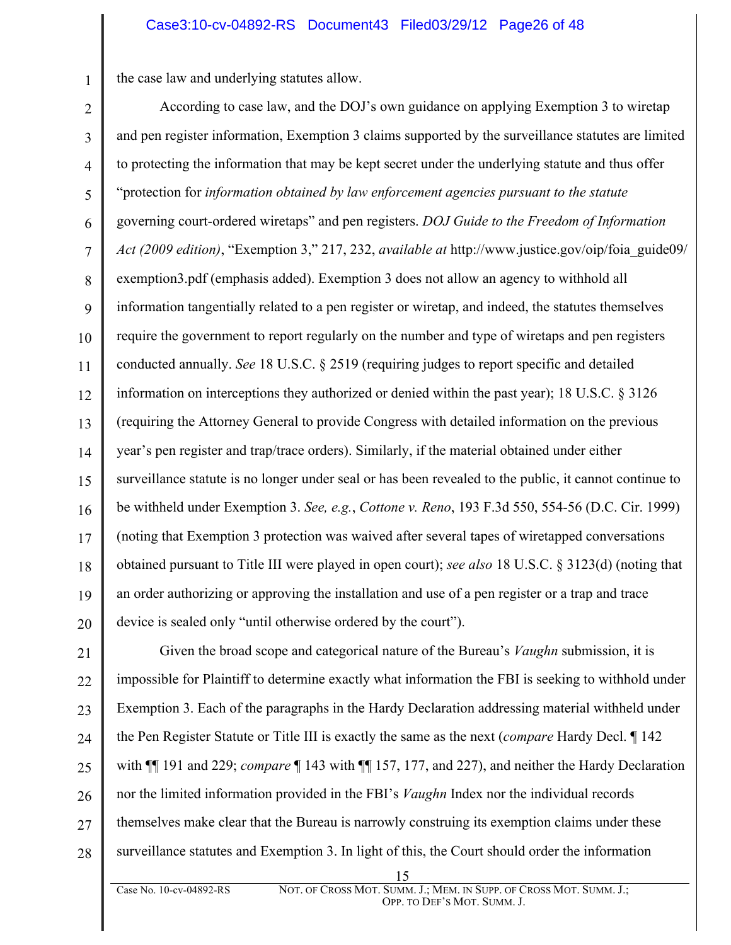the case law and underlying statutes allow.

1

2 3 4 5 6 7 8 9 10 11 12 13 14 15 16 17 18 19 20 According to case law, and the DOJ's own guidance on applying Exemption 3 to wiretap and pen register information, Exemption 3 claims supported by the surveillance statutes are limited to protecting the information that may be kept secret under the underlying statute and thus offer "protection for *information obtained by law enforcement agencies pursuant to the statute* governing court-ordered wiretaps" and pen registers. *DOJ Guide to the Freedom of Information Act (2009 edition)*, "Exemption 3," 217, 232, *available at* http://www.justice.gov/oip/foia\_guide09/ exemption3.pdf (emphasis added). Exemption 3 does not allow an agency to withhold all information tangentially related to a pen register or wiretap, and indeed, the statutes themselves require the government to report regularly on the number and type of wiretaps and pen registers conducted annually. *See* 18 U.S.C. § 2519 (requiring judges to report specific and detailed information on interceptions they authorized or denied within the past year); 18 U.S.C. § 3126 (requiring the Attorney General to provide Congress with detailed information on the previous year's pen register and trap/trace orders). Similarly, if the material obtained under either surveillance statute is no longer under seal or has been revealed to the public, it cannot continue to be withheld under Exemption 3. *See, e.g.*, *Cottone v. Reno*, 193 F.3d 550, 554-56 (D.C. Cir. 1999) (noting that Exemption 3 protection was waived after several tapes of wiretapped conversations obtained pursuant to Title III were played in open court); *see also* 18 U.S.C. § 3123(d) (noting that an order authorizing or approving the installation and use of a pen register or a trap and trace device is sealed only "until otherwise ordered by the court").

21 22 23 24 25 26 27 28 Given the broad scope and categorical nature of the Bureau's *Vaughn* submission, it is impossible for Plaintiff to determine exactly what information the FBI is seeking to withhold under Exemption 3. Each of the paragraphs in the Hardy Declaration addressing material withheld under the Pen Register Statute or Title III is exactly the same as the next (*compare* Hardy Decl. ¶ 142 with ¶¶ 191 and 229; *compare* ¶ 143 with ¶¶ 157, 177, and 227), and neither the Hardy Declaration nor the limited information provided in the FBI's *Vaughn* Index nor the individual records themselves make clear that the Bureau is narrowly construing its exemption claims under these surveillance statutes and Exemption 3. In light of this, the Court should order the information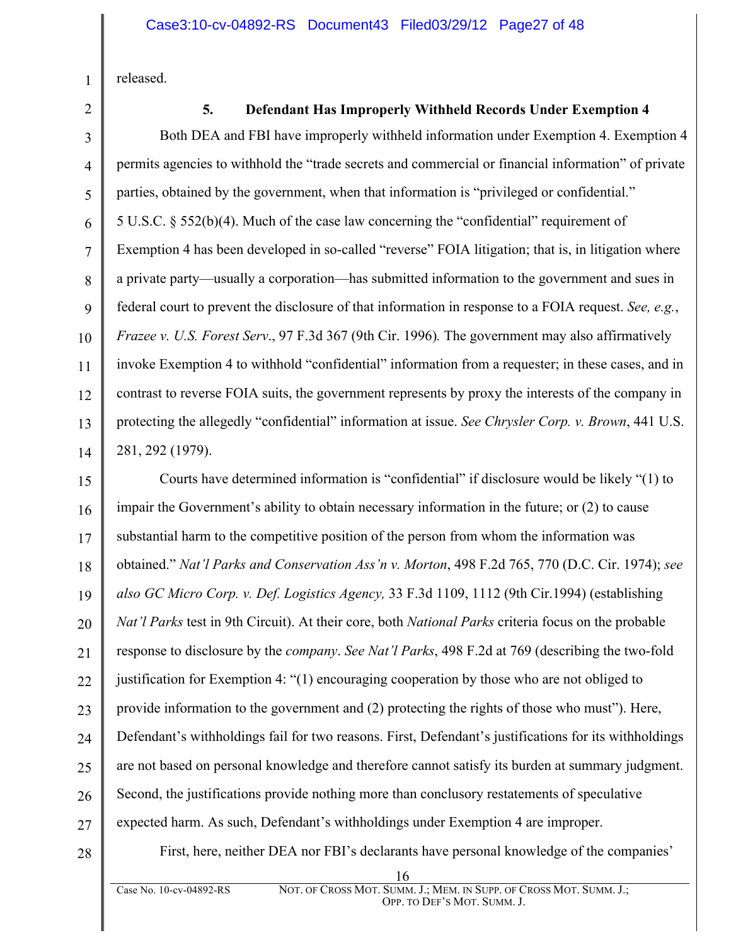released.

1

2

3

5

11

## **5. Defendant Has Improperly Withheld Records Under Exemption 4**

4 6 7 8 9 10 12 13 14 Both DEA and FBI have improperly withheld information under Exemption 4. Exemption 4 permits agencies to withhold the "trade secrets and commercial or financial information" of private parties, obtained by the government, when that information is "privileged or confidential." 5 U.S.C. § 552(b)(4). Much of the case law concerning the "confidential" requirement of Exemption 4 has been developed in so-called "reverse" FOIA litigation; that is, in litigation where a private party—usually a corporation—has submitted information to the government and sues in federal court to prevent the disclosure of that information in response to a FOIA request. *See, e.g.*, *Frazee v. U.S. Forest Serv*., 97 F.3d 367 (9th Cir. 1996)*.* The government may also affirmatively invoke Exemption 4 to withhold "confidential" information from a requester; in these cases, and in contrast to reverse FOIA suits, the government represents by proxy the interests of the company in protecting the allegedly "confidential" information at issue. *See Chrysler Corp. v. Brown*, 441 U.S. 281, 292 (1979).

15 16 17 18 19 20 21 22 23 24 25 26 27 Courts have determined information is "confidential" if disclosure would be likely "(1) to impair the Government's ability to obtain necessary information in the future; or (2) to cause substantial harm to the competitive position of the person from whom the information was obtained." *Nat'l Parks and Conservation Ass'n v. Morton*, 498 F.2d 765, 770 (D.C. Cir. 1974); *see also GC Micro Corp. v. Def. Logistics Agency,* 33 F.3d 1109, 1112 (9th Cir.1994) (establishing *Nat'l Parks* test in 9th Circuit). At their core, both *National Parks* criteria focus on the probable response to disclosure by the *company*. *See Nat'l Parks*, 498 F.2d at 769 (describing the two-fold justification for Exemption 4: "(1) encouraging cooperation by those who are not obliged to provide information to the government and (2) protecting the rights of those who must"). Here, Defendant's withholdings fail for two reasons. First, Defendant's justifications for its withholdings are not based on personal knowledge and therefore cannot satisfy its burden at summary judgment. Second, the justifications provide nothing more than conclusory restatements of speculative expected harm. As such, Defendant's withholdings under Exemption 4 are improper.

28

First, here, neither DEA nor FBI's declarants have personal knowledge of the companies'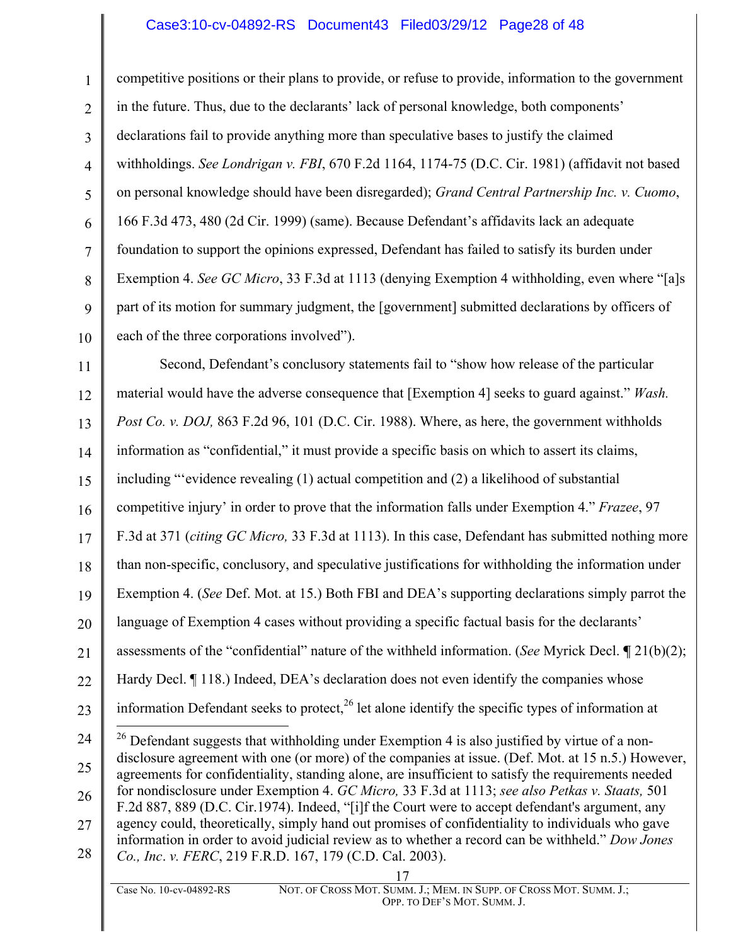### Case3:10-cv-04892-RS Document43 Filed03/29/12 Page28 of 48

competitive positions or their plans to provide, or refuse to provide, information to the government in the future. Thus, due to the declarants' lack of personal knowledge, both components' declarations fail to provide anything more than speculative bases to justify the claimed withholdings. *See Londrigan v. FBI*, 670 F.2d 1164, 1174-75 (D.C. Cir. 1981) (affidavit not based on personal knowledge should have been disregarded); *Grand Central Partnership Inc. v. Cuomo*, 166 F.3d 473, 480 (2d Cir. 1999) (same). Because Defendant's affidavits lack an adequate foundation to support the opinions expressed, Defendant has failed to satisfy its burden under Exemption 4. *See GC Micro*, 33 F.3d at 1113 (denying Exemption 4 withholding, even where "[a]s part of its motion for summary judgment, the [government] submitted declarations by officers of each of the three corporations involved").

11 12 13 14 15 16 17 18 19 20 21 22 23 24 25 26 27 28 Second, Defendant's conclusory statements fail to "show how release of the particular material would have the adverse consequence that [Exemption 4] seeks to guard against." *Wash. Post Co. v. DOJ,* 863 F.2d 96, 101 (D.C. Cir. 1988). Where, as here, the government withholds information as "confidential," it must provide a specific basis on which to assert its claims, including "'evidence revealing (1) actual competition and (2) a likelihood of substantial competitive injury' in order to prove that the information falls under Exemption 4." *Frazee*, 97 F.3d at 371 (*citing GC Micro,* 33 F.3d at 1113). In this case, Defendant has submitted nothing more than non-specific, conclusory, and speculative justifications for withholding the information under Exemption 4. (*See* Def. Mot. at 15.) Both FBI and DEA's supporting declarations simply parrot the language of Exemption 4 cases without providing a specific factual basis for the declarants' assessments of the "confidential" nature of the withheld information. (*See* Myrick Decl. **¶** 21(b)(2); Hardy Decl.  $\P$  118.) Indeed, DEA's declaration does not even identify the companies whose information Defendant seeks to protect,  $^{26}$  let alone identify the specific types of information at  $26$  Defendant suggests that withholding under Exemption 4 is also justified by virtue of a nondisclosure agreement with one (or more) of the companies at issue. (Def. Mot. at 15 n.5.) However, agreements for confidentiality, standing alone, are insufficient to satisfy the requirements needed for nondisclosure under Exemption 4. *GC Micro,* 33 F.3d at 1113; *see also Petkas v. Staats,* 501 F.2d 887, 889 (D.C. Cir.1974). Indeed, "[i]f the Court were to accept defendant's argument, any agency could, theoretically, simply hand out promises of confidentiality to individuals who gave information in order to avoid judicial review as to whether a record can be withheld." *Dow Jones Co., Inc*. *v. FERC*, 219 F.R.D. 167, 179 (C.D. Cal. 2003).

1

2

3

4

5

6

7

8

9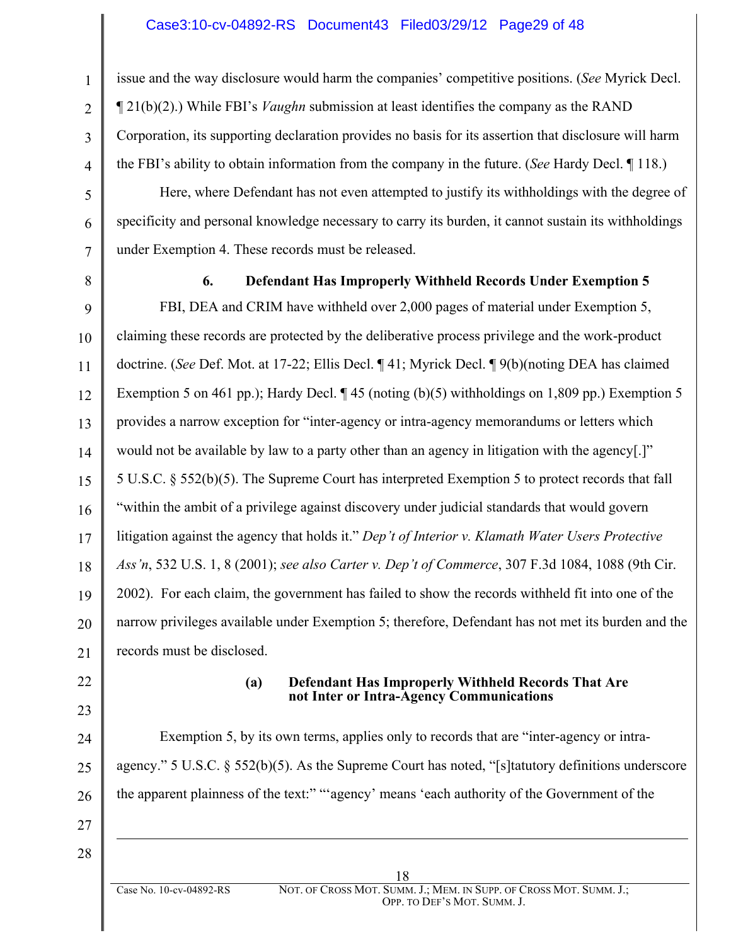issue and the way disclosure would harm the companies' competitive positions. (*See* Myrick Decl. ¶ 21(b)(2).) While FBI's *Vaughn* submission at least identifies the company as the RAND Corporation, its supporting declaration provides no basis for its assertion that disclosure will harm the FBI's ability to obtain information from the company in the future. (*See* Hardy Decl. ¶ 118.)

Here, where Defendant has not even attempted to justify its withholdings with the degree of specificity and personal knowledge necessary to carry its burden, it cannot sustain its withholdings under Exemption 4. These records must be released.

1

2

3

4

5

6

7

8

#### **6. Defendant Has Improperly Withheld Records Under Exemption 5**

9 10 11 12 13 14 15 16 17 18 19 20 21 FBI, DEA and CRIM have withheld over 2,000 pages of material under Exemption 5, claiming these records are protected by the deliberative process privilege and the work-product doctrine. (*See* Def. Mot. at 17-22; Ellis Decl. ¶ 41; Myrick Decl. ¶ 9(b)(noting DEA has claimed Exemption 5 on 461 pp.); Hardy Decl.  $\P$  45 (noting (b)(5) withholdings on 1,809 pp.) Exemption 5 provides a narrow exception for "inter-agency or intra-agency memorandums or letters which would not be available by law to a party other than an agency in litigation with the agency[.]" 5 U.S.C. § 552(b)(5). The Supreme Court has interpreted Exemption 5 to protect records that fall "within the ambit of a privilege against discovery under judicial standards that would govern litigation against the agency that holds it." *Dep't of Interior v. Klamath Water Users Protective Ass'n*, 532 U.S. 1, 8 (2001); *see also Carter v. Dep't of Commerce*, 307 F.3d 1084, 1088 (9th Cir. 2002). For each claim, the government has failed to show the records withheld fit into one of the narrow privileges available under Exemption 5; therefore, Defendant has not met its burden and the records must be disclosed.

- 22
- 23

24

25

26

#### **(a) Defendant Has Improperly Withheld Records That Are not Inter or Intra-Agency Communications**

Exemption 5, by its own terms, applies only to records that are "inter-agency or intraagency." 5 U.S.C. § 552(b)(5). As the Supreme Court has noted, "[s]tatutory definitions underscore the apparent plainness of the text:" "'agency' means 'each authority of the Government of the

27 28

<u>.</u>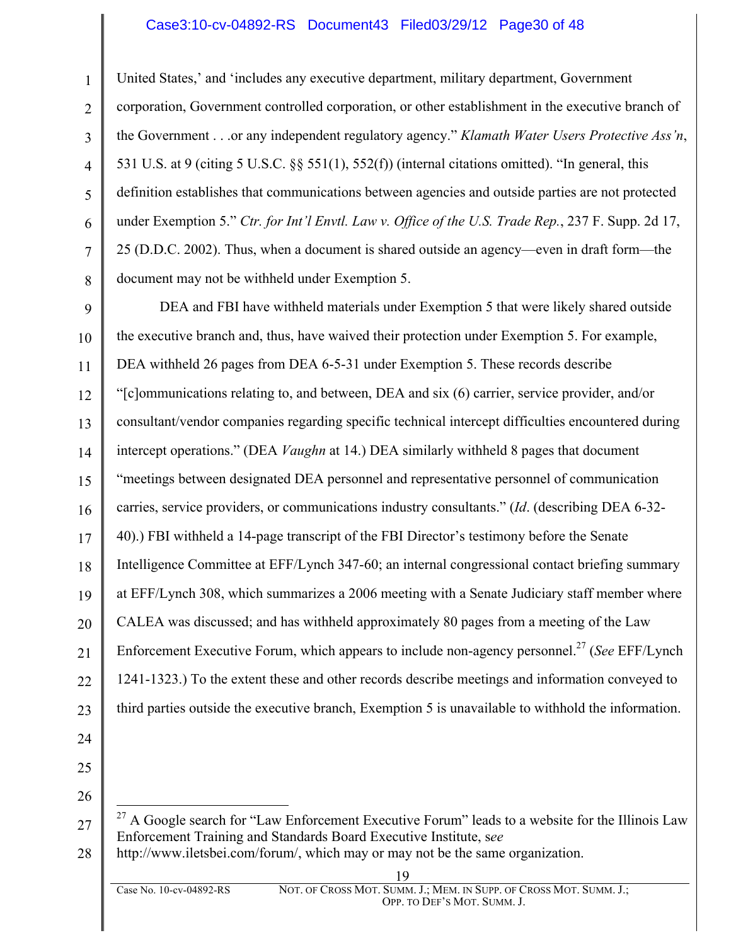#### Case3:10-cv-04892-RS Document43 Filed03/29/12 Page30 of 48

United States,' and 'includes any executive department, military department, Government corporation, Government controlled corporation, or other establishment in the executive branch of the Government . . .or any independent regulatory agency." *Klamath Water Users Protective Ass'n*, 531 U.S. at 9 (citing 5 U.S.C. §§ 551(1), 552(f)) (internal citations omitted). "In general, this definition establishes that communications between agencies and outside parties are not protected under Exemption 5." *Ctr. for Int'l Envtl. Law v. Office of the U.S. Trade Rep.*, 237 F. Supp. 2d 17, 25 (D.D.C. 2002). Thus, when a document is shared outside an agency—even in draft form—the document may not be withheld under Exemption 5.

9 10 11 12 13 14 15 16 17 18 19 20 21 22 23 DEA and FBI have withheld materials under Exemption 5 that were likely shared outside the executive branch and, thus, have waived their protection under Exemption 5. For example, DEA withheld 26 pages from DEA 6-5-31 under Exemption 5. These records describe "[c]ommunications relating to, and between, DEA and six (6) carrier, service provider, and/or consultant/vendor companies regarding specific technical intercept difficulties encountered during intercept operations." (DEA *Vaughn* at 14.) DEA similarly withheld 8 pages that document "meetings between designated DEA personnel and representative personnel of communication carries, service providers, or communications industry consultants." (*Id*. (describing DEA 6-32- 40).) FBI withheld a 14-page transcript of the FBI Director's testimony before the Senate Intelligence Committee at EFF/Lynch 347-60; an internal congressional contact briefing summary at EFF/Lynch 308, which summarizes a 2006 meeting with a Senate Judiciary staff member where CALEA was discussed; and has withheld approximately 80 pages from a meeting of the Law Enforcement Executive Forum, which appears to include non-agency personnel.27 (*See* EFF/Lynch 1241-1323.) To the extent these and other records describe meetings and information conveyed to third parties outside the executive branch, Exemption 5 is unavailable to withhold the information.

24 25

1

2

3

4

5

6

7

8

<sup>27</sup>  $27$  A Google search for "Law Enforcement Executive Forum" leads to a website for the Illinois Law Enforcement Training and Standards Board Executive Institute, s*ee*

<sup>28</sup> http://www.iletsbei.com/forum/, which may or may not be the same organization.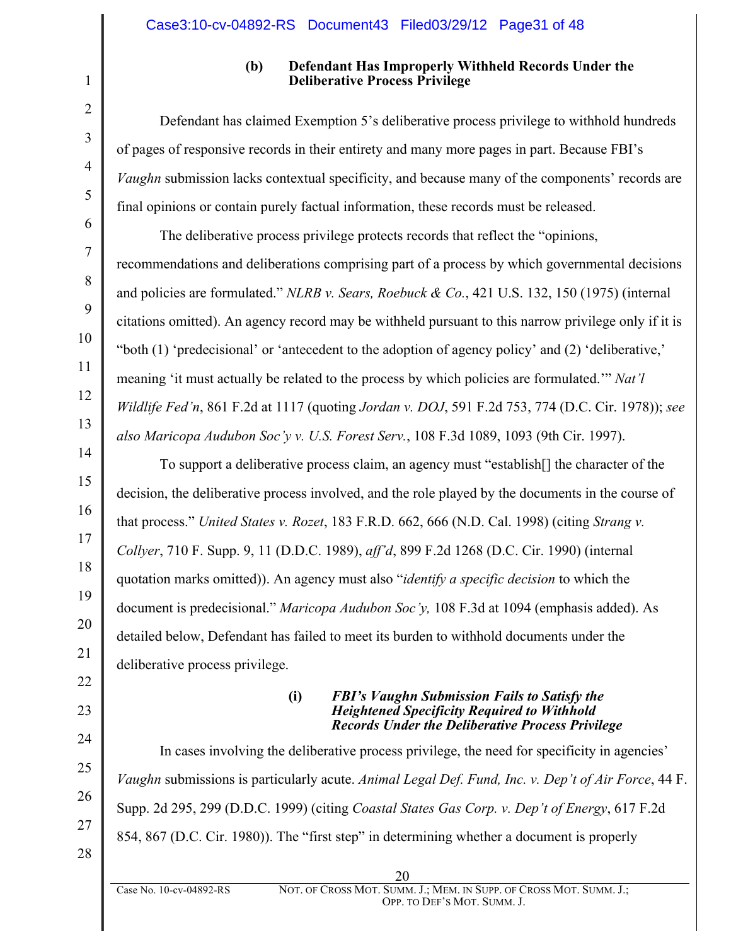#### **(b) Defendant Has Improperly Withheld Records Under the Deliberative Process Privilege**

Defendant has claimed Exemption 5's deliberative process privilege to withhold hundreds of pages of responsive records in their entirety and many more pages in part. Because FBI's *Vaughn* submission lacks contextual specificity, and because many of the components' records are final opinions or contain purely factual information, these records must be released.

The deliberative process privilege protects records that reflect the "opinions, recommendations and deliberations comprising part of a process by which governmental decisions and policies are formulated." *NLRB v. Sears, Roebuck & Co.*, 421 U.S. 132, 150 (1975) (internal citations omitted). An agency record may be withheld pursuant to this narrow privilege only if it is "both (1) 'predecisional' or 'antecedent to the adoption of agency policy' and (2) 'deliberative,' meaning 'it must actually be related to the process by which policies are formulated.'" *Nat'l Wildlife Fed'n*, 861 F.2d at 1117 (quoting *Jordan v. DOJ*, 591 F.2d 753, 774 (D.C. Cir. 1978)); *see also Maricopa Audubon Soc'y v. U.S. Forest Serv.*, 108 F.3d 1089, 1093 (9th Cir. 1997).

To support a deliberative process claim, an agency must "establish[] the character of the decision, the deliberative process involved, and the role played by the documents in the course of that process." *United States v. Rozet*, 183 F.R.D. 662, 666 (N.D. Cal. 1998) (citing *Strang v. Collyer*, 710 F. Supp. 9, 11 (D.D.C. 1989), *aff'd*, 899 F.2d 1268 (D.C. Cir. 1990) (internal quotation marks omitted)). An agency must also "*identify a specific decision* to which the document is predecisional." *Maricopa Audubon Soc'y,* 108 F.3d at 1094 (emphasis added). As detailed below, Defendant has failed to meet its burden to withhold documents under the deliberative process privilege.

> **(i)** *FBI's Vaughn Submission Fails to Satisfy the Heightened Specificity Required to Withhold Records Under the Deliberative Process Privilege*

In cases involving the deliberative process privilege, the need for specificity in agencies' *Vaughn* submissions is particularly acute. *Animal Legal Def. Fund, Inc. v. Dep't of Air Force*, 44 F. Supp. 2d 295, 299 (D.D.C. 1999) (citing *Coastal States Gas Corp. v. Dep't of Energy*, 617 F.2d 854, 867 (D.C. Cir. 1980)). The "first step" in determining whether a document is properly

20

27 28

1

2

3

4

5

6

7

8

9

10

11

12

13

14

15

16

17

18

19

20

21

22

23

24

25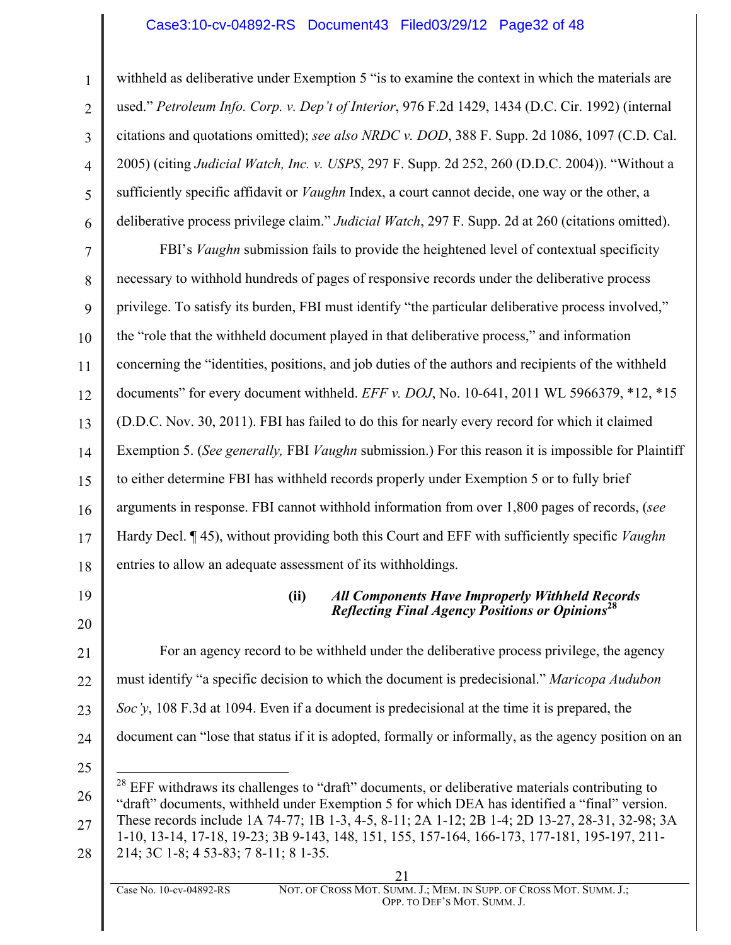#### Case3:10-cv-04892-RS Document43 Filed03/29/12 Page32 of 48

withheld as deliberative under Exemption 5 "is to examine the context in which the materials are used." *Petroleum Info. Corp. v. Dep't of Interior*, 976 F.2d 1429, 1434 (D.C. Cir. 1992) (internal citations and quotations omitted); *see also NRDC v. DOD*, 388 F. Supp. 2d 1086, 1097 (C.D. Cal. 2005) (citing *Judicial Watch, Inc. v. USPS*, 297 F. Supp. 2d 252, 260 (D.D.C. 2004)). "Without a sufficiently specific affidavit or *Vaughn* Index, a court cannot decide, one way or the other, a deliberative process privilege claim." *Judicial Watch*, 297 F. Supp. 2d at 260 (citations omitted).

7 8 9 10 11 12 13 14 15 16 17 18 FBI's *Vaughn* submission fails to provide the heightened level of contextual specificity necessary to withhold hundreds of pages of responsive records under the deliberative process privilege. To satisfy its burden, FBI must identify "the particular deliberative process involved," the "role that the withheld document played in that deliberative process," and information concerning the "identities, positions, and job duties of the authors and recipients of the withheld documents" for every document withheld. *EFF v. DOJ*, No. 10-641, 2011 WL 5966379, \*12, \*15 (D.D.C. Nov. 30, 2011). FBI has failed to do this for nearly every record for which it claimed Exemption 5. (*See generally,* FBI *Vaughn* submission.) For this reason it is impossible for Plaintiff to either determine FBI has withheld records properly under Exemption 5 or to fully brief arguments in response. FBI cannot withhold information from over 1,800 pages of records, (*see*  Hardy Decl. ¶ 45), without providing both this Court and EFF with sufficiently specific *Vaughn* entries to allow an adequate assessment of its withholdings.

19

20

1

2

3

4

5

6

#### **(ii)** *All Components Have Improperly Withheld Records Reflecting Final Agency Positions or Opinions***<sup>28</sup>**

21 22 23 24 For an agency record to be withheld under the deliberative process privilege, the agency must identify "a specific decision to which the document is predecisional." *Maricopa Audubon Soc'y*, 108 F.3d at 1094. Even if a document is predecisional at the time it is prepared, the document can "lose that status if it is adopted, formally or informally, as the agency position on an

<sup>26</sup> 27 28  $^{28}$  EFF withdraws its challenges to "draft" documents, or deliberative materials contributing to "draft" documents, withheld under Exemption 5 for which DEA has identified a "final" version. These records include 1A 74-77; 1B 1-3, 4-5, 8-11; 2A 1-12; 2B 1-4; 2D 13-27, 28-31, 32-98; 3A 1-10, 13-14, 17-18, 19-23; 3B 9-143, 148, 151, 155, 157-164, 166-173, 177-181, 195-197, 211- 214; 3C 1-8; 4 53-83; 7 8-11; 8 1-35.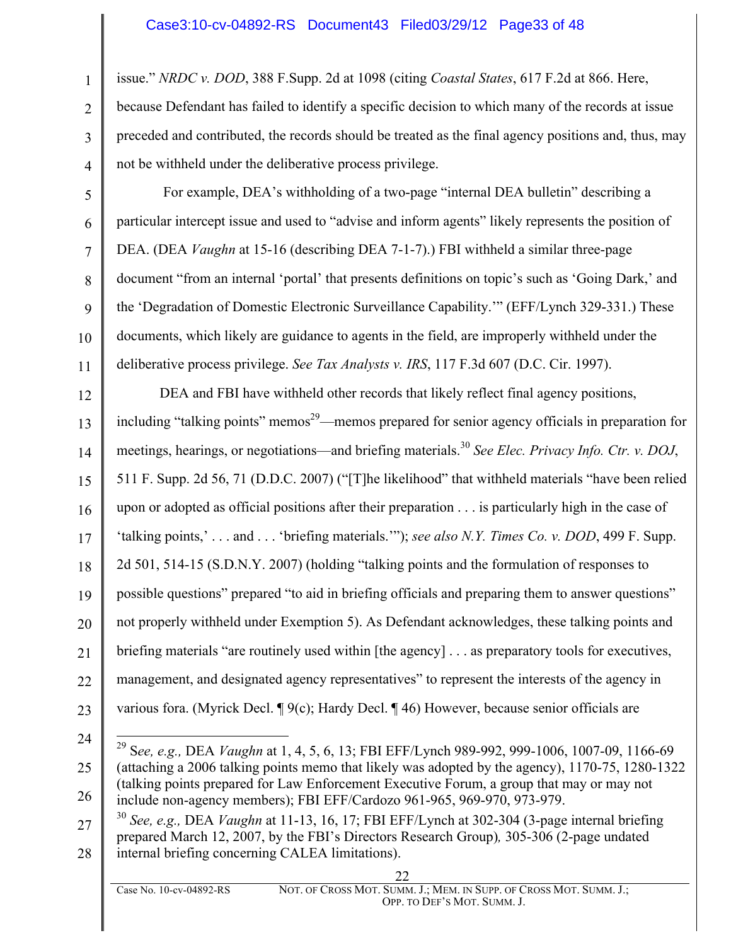issue." *NRDC v. DOD*, 388 F.Supp. 2d at 1098 (citing *Coastal States*, 617 F.2d at 866. Here, because Defendant has failed to identify a specific decision to which many of the records at issue preceded and contributed, the records should be treated as the final agency positions and, thus, may not be withheld under the deliberative process privilege.

For example, DEA's withholding of a two-page "internal DEA bulletin" describing a particular intercept issue and used to "advise and inform agents" likely represents the position of DEA. (DEA *Vaughn* at 15-16 (describing DEA 7-1-7).) FBI withheld a similar three-page document "from an internal 'portal' that presents definitions on topic's such as 'Going Dark,' and the 'Degradation of Domestic Electronic Surveillance Capability.'" (EFF/Lynch 329-331.) These documents, which likely are guidance to agents in the field, are improperly withheld under the deliberative process privilege. *See Tax Analysts v. IRS*, 117 F.3d 607 (D.C. Cir. 1997).

12 13 14 15 16 17 18 19 20 21 22 23 DEA and FBI have withheld other records that likely reflect final agency positions, including "talking points" memos<sup>29</sup>—memos prepared for senior agency officials in preparation for meetings, hearings, or negotiations—and briefing materials.<sup>30</sup> *See Elec. Privacy Info. Ctr. v. DOJ*, 511 F. Supp. 2d 56, 71 (D.D.C. 2007) ("[T]he likelihood" that withheld materials "have been relied upon or adopted as official positions after their preparation . . . is particularly high in the case of 'talking points,' . . . and . . . 'briefing materials.'"); *see also N.Y. Times Co. v. DOD*, 499 F. Supp. 2d 501, 514-15 (S.D.N.Y. 2007) (holding "talking points and the formulation of responses to possible questions" prepared "to aid in briefing officials and preparing them to answer questions" not properly withheld under Exemption 5). As Defendant acknowledges, these talking points and briefing materials "are routinely used within [the agency] . . . as preparatory tools for executives, management, and designated agency representatives" to represent the interests of the agency in various fora. (Myrick Decl. ¶ 9(c); Hardy Decl. ¶ 46) However, because senior officials are

24

1

2

3

4

5

6

7

8

9

10

<sup>25</sup> 26 29 <sup>S</sup>*ee, e.g.,* DEA *Vaughn* at 1, 4, 5, 6, 13; FBI EFF/Lynch 989-992, 999-1006, 1007-09, 1166-69 (attaching a 2006 talking points memo that likely was adopted by the agency), 1170-75, 1280-1322 (talking points prepared for Law Enforcement Executive Forum, a group that may or may not include non-agency members); FBI EFF/Cardozo 961-965, 969-970, 973-979.

<sup>27</sup> 28 <sup>30</sup> *See, e.g.,* DEA *Vaughn* at 11-13, 16, 17; FBI EFF/Lynch at 302-304 (3-page internal briefing prepared March 12, 2007, by the FBI's Directors Research Group)*,* 305-306 (2-page undated internal briefing concerning CALEA limitations).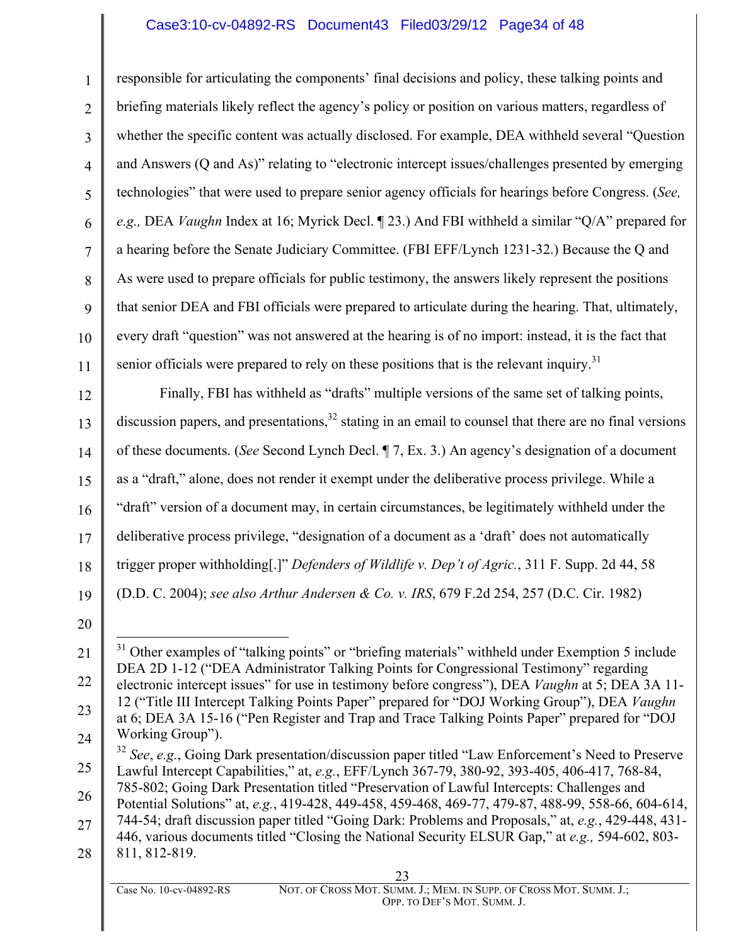## Case3:10-cv-04892-RS Document43 Filed03/29/12 Page34 of 48

4 6 7 10 responsible for articulating the components' final decisions and policy, these talking points and briefing materials likely reflect the agency's policy or position on various matters, regardless of whether the specific content was actually disclosed. For example, DEA withheld several "Question and Answers (Q and As)" relating to "electronic intercept issues/challenges presented by emerging technologies" that were used to prepare senior agency officials for hearings before Congress. (*See, e.g.,* DEA *Vaughn* Index at 16; Myrick Decl. ¶ 23.) And FBI withheld a similar "Q/A" prepared for a hearing before the Senate Judiciary Committee. (FBI EFF/Lynch 1231-32.) Because the Q and As were used to prepare officials for public testimony, the answers likely represent the positions that senior DEA and FBI officials were prepared to articulate during the hearing. That, ultimately, every draft "question" was not answered at the hearing is of no import: instead, it is the fact that senior officials were prepared to rely on these positions that is the relevant inquiry.<sup>31</sup>

12 13 14 15 16 17 18 19 Finally, FBI has withheld as "drafts" multiple versions of the same set of talking points, discussion papers, and presentations.<sup>32</sup> stating in an email to counsel that there are no final versions of these documents. (*See* Second Lynch Decl. ¶ 7, Ex. 3.) An agency's designation of a document as a "draft," alone, does not render it exempt under the deliberative process privilege. While a "draft" version of a document may, in certain circumstances, be legitimately withheld under the deliberative process privilege, "designation of a document as a 'draft' does not automatically trigger proper withholding[.]" *Defenders of Wildlife v. Dep't of Agric.*, 311 F. Supp. 2d 44, 58 (D.D. C. 2004); *see also Arthur Andersen & Co. v. IRS*, 679 F.2d 254, 257 (D.C. Cir. 1982)

20

1

2

3

5

8

9

11

28 811, 812-819.

<sup>21</sup> 22 23 24  $31$  Other examples of "talking points" or "briefing materials" withheld under Exemption 5 include DEA 2D 1-12 ("DEA Administrator Talking Points for Congressional Testimony" regarding electronic intercept issues" for use in testimony before congress"), DEA *Vaughn* at 5; DEA 3A 11- 12 ("Title III Intercept Talking Points Paper" prepared for "DOJ Working Group"), DEA *Vaughn* at 6; DEA 3A 15-16 ("Pen Register and Trap and Trace Talking Points Paper" prepared for "DOJ Working Group").

<sup>25</sup> 26 <sup>32</sup> *See*, *e.g.*, Going Dark presentation/discussion paper titled "Law Enforcement's Need to Preserve Lawful Intercept Capabilities," at, *e.g.*, EFF/Lynch 367-79, 380-92, 393-405, 406-417, 768-84, 785-802; Going Dark Presentation titled "Preservation of Lawful Intercepts: Challenges and

<sup>27</sup> Potential Solutions" at, *e.g.*, 419-428, 449-458, 459-468, 469-77, 479-87, 488-99, 558-66, 604-614, 744-54; draft discussion paper titled "Going Dark: Problems and Proposals," at, *e.g.*, 429-448, 431- 446, various documents titled "Closing the National Security ELSUR Gap," at *e.g.,* 594-602, 803-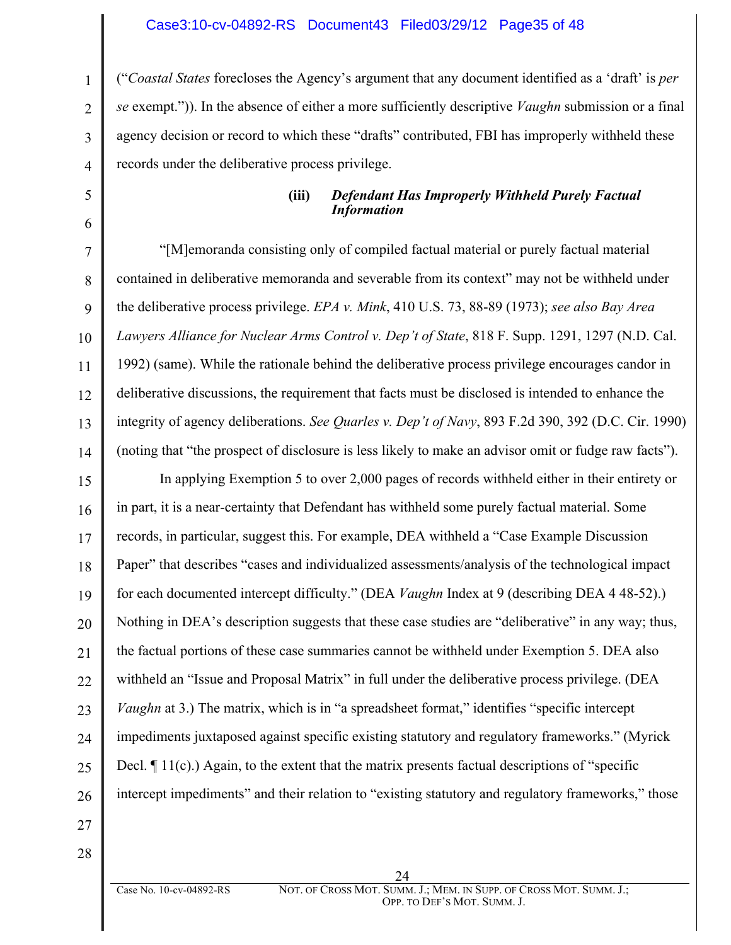#### Case3:10-cv-04892-RS Document43 Filed03/29/12 Page35 of 48

("*Coastal States* forecloses the Agency's argument that any document identified as a 'draft' is *per se* exempt.")). In the absence of either a more sufficiently descriptive *Vaughn* submission or a final agency decision or record to which these "drafts" contributed, FBI has improperly withheld these records under the deliberative process privilege.

#### **(iii)** *Defendant Has Improperly Withheld Purely Factual Information*

10 12 13 14 "[M]emoranda consisting only of compiled factual material or purely factual material contained in deliberative memoranda and severable from its context" may not be withheld under the deliberative process privilege. *EPA v. Mink*, 410 U.S. 73, 88-89 (1973); *see also Bay Area Lawyers Alliance for Nuclear Arms Control v. Dep't of State*, 818 F. Supp. 1291, 1297 (N.D. Cal. 1992) (same). While the rationale behind the deliberative process privilege encourages candor in deliberative discussions, the requirement that facts must be disclosed is intended to enhance the integrity of agency deliberations. *See Quarles v. Dep't of Navy*, 893 F.2d 390, 392 (D.C. Cir. 1990) (noting that "the prospect of disclosure is less likely to make an advisor omit or fudge raw facts").

15 16 17 18 19 20 21 22 23 24 25 26 In applying Exemption 5 to over 2,000 pages of records withheld either in their entirety or in part, it is a near-certainty that Defendant has withheld some purely factual material. Some records, in particular, suggest this. For example, DEA withheld a "Case Example Discussion Paper" that describes "cases and individualized assessments/analysis of the technological impact for each documented intercept difficulty." (DEA *Vaughn* Index at 9 (describing DEA 4 48-52).) Nothing in DEA's description suggests that these case studies are "deliberative" in any way; thus, the factual portions of these case summaries cannot be withheld under Exemption 5. DEA also withheld an "Issue and Proposal Matrix" in full under the deliberative process privilege. (DEA *Vaughn* at 3.) The matrix, which is in "a spreadsheet format," identifies "specific intercept impediments juxtaposed against specific existing statutory and regulatory frameworks." (Myrick Decl. ¶ 11(c).) Again, to the extent that the matrix presents factual descriptions of "specific intercept impediments" and their relation to "existing statutory and regulatory frameworks," those

27

1

2

3

4

5

6

7

8

9

11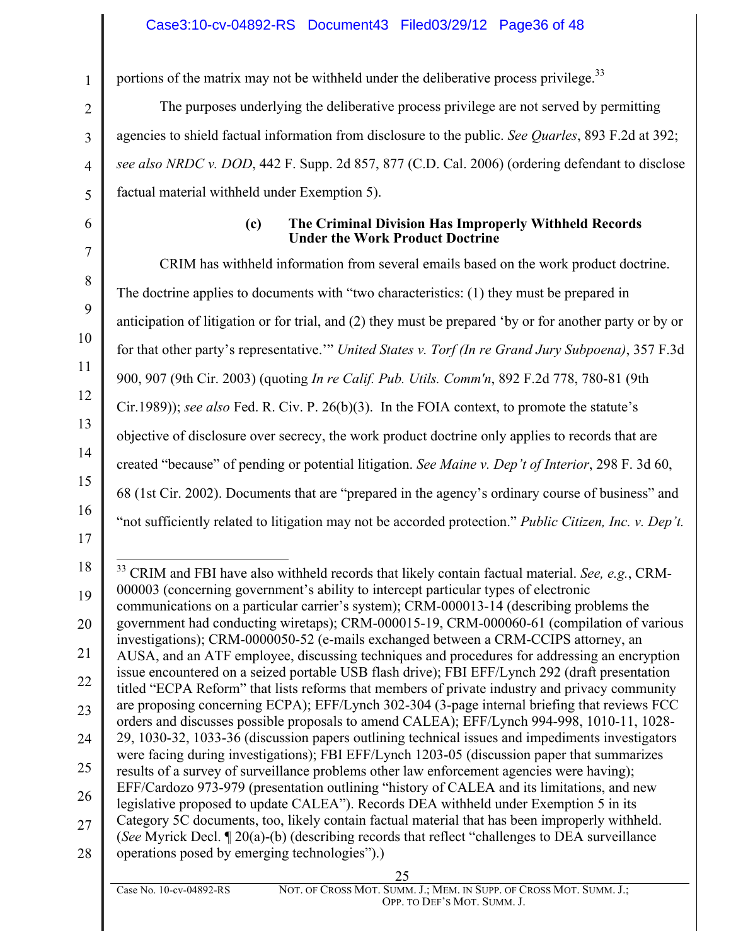portions of the matrix may not be withheld under the deliberative process privilege.<sup>33</sup>

The purposes underlying the deliberative process privilege are not served by permitting agencies to shield factual information from disclosure to the public. *See Quarles*, 893 F.2d at 392; *see also NRDC v. DOD*, 442 F. Supp. 2d 857, 877 (C.D. Cal. 2006) (ordering defendant to disclose factual material withheld under Exemption 5).

### **(c) The Criminal Division Has Improperly Withheld Records Under the Work Product Doctrine**

CRIM has withheld information from several emails based on the work product doctrine. The doctrine applies to documents with "two characteristics: (1) they must be prepared in anticipation of litigation or for trial, and (2) they must be prepared 'by or for another party or by or for that other party's representative.'" *United States v. Torf (In re Grand Jury Subpoena)*, 357 F.3d 900, 907 (9th Cir. 2003) (quoting *In re Calif. Pub. Utils. Comm'n*, 892 F.2d 778, 780-81 (9th Cir.1989)); *see also* Fed. R. Civ. P. 26(b)(3). In the FOIA context, to promote the statute's objective of disclosure over secrecy, the work product doctrine only applies to records that are created "because" of pending or potential litigation. *See Maine v. Dep't of Interior*, 298 F. 3d 60, 68 (1st Cir. 2002). Documents that are "prepared in the agency's ordinary course of business" and "not sufficiently related to litigation may not be accorded protection." *Public Citizen, Inc. v. Dep't.*

28 operations posed by emerging technologies").)

 <sup>33</sup> CRIM and FBI have also withheld records that likely contain factual material. *See, e.g.*, CRM-000003 (concerning government's ability to intercept particular types of electronic

communications on a particular carrier's system); CRM-000013-14 (describing problems the government had conducting wiretaps); CRM-000015-19, CRM-000060-61 (compilation of various investigations); CRM-0000050-52 (e-mails exchanged between a CRM-CCIPS attorney, an AUSA, and an ATF employee, discussing techniques and procedures for addressing an encryption issue encountered on a seized portable USB flash drive); FBI EFF/Lynch 292 (draft presentation titled "ECPA Reform" that lists reforms that members of private industry and privacy community

<sup>23</sup> 24 25 are proposing concerning ECPA); EFF/Lynch 302-304 (3-page internal briefing that reviews FCC orders and discusses possible proposals to amend CALEA); EFF/Lynch 994-998, 1010-11, 1028- 29, 1030-32, 1033-36 (discussion papers outlining technical issues and impediments investigators were facing during investigations); FBI EFF/Lynch 1203-05 (discussion paper that summarizes results of a survey of surveillance problems other law enforcement agencies were having); EFF/Cardozo 973-979 (presentation outlining "history of CALEA and its limitations, and new

<sup>27</sup> legislative proposed to update CALEA"). Records DEA withheld under Exemption 5 in its Category 5C documents, too, likely contain factual material that has been improperly withheld. (*See* Myrick Decl. ¶ 20(a)-(b) (describing records that reflect "challenges to DEA surveillance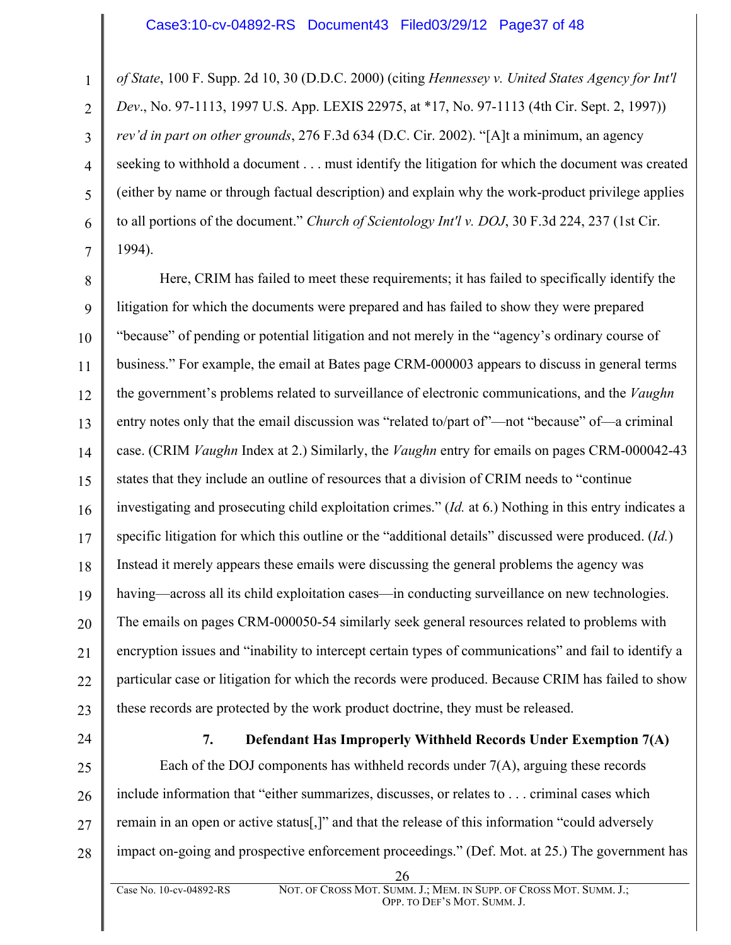*of State*, 100 F. Supp. 2d 10, 30 (D.D.C. 2000) (citing *Hennessey v. United States Agency for Int'l Dev*., No. 97-1113, 1997 U.S. App. LEXIS 22975, at \*17, No. 97-1113 (4th Cir. Sept. 2, 1997)) *rev'd in part on other grounds*, 276 F.3d 634 (D.C. Cir. 2002). "[A]t a minimum, an agency seeking to withhold a document . . . must identify the litigation for which the document was created (either by name or through factual description) and explain why the work-product privilege applies to all portions of the document." *Church of Scientology Int'l v. DOJ*, 30 F.3d 224, 237 (1st Cir. 1994).

8 9 10 11 12 13 14 15 16 17 18 19 20 21 22 23 Here, CRIM has failed to meet these requirements; it has failed to specifically identify the litigation for which the documents were prepared and has failed to show they were prepared "because" of pending or potential litigation and not merely in the "agency's ordinary course of business." For example, the email at Bates page CRM-000003 appears to discuss in general terms the government's problems related to surveillance of electronic communications, and the *Vaughn* entry notes only that the email discussion was "related to/part of"—not "because" of—a criminal case. (CRIM *Vaughn* Index at 2.) Similarly, the *Vaughn* entry for emails on pages CRM-000042-43 states that they include an outline of resources that a division of CRIM needs to "continue investigating and prosecuting child exploitation crimes." (*Id.* at 6.) Nothing in this entry indicates a specific litigation for which this outline or the "additional details" discussed were produced. (*Id.*) Instead it merely appears these emails were discussing the general problems the agency was having—across all its child exploitation cases—in conducting surveillance on new technologies. The emails on pages CRM-000050-54 similarly seek general resources related to problems with encryption issues and "inability to intercept certain types of communications" and fail to identify a particular case or litigation for which the records were produced. Because CRIM has failed to show these records are protected by the work product doctrine, they must be released.

24

1

2

3

4

5

6

7

**7. Defendant Has Improperly Withheld Records Under Exemption 7(A)**

25 26 27 28 Each of the DOJ components has withheld records under 7(A), arguing these records include information that "either summarizes, discusses, or relates to . . . criminal cases which remain in an open or active status[,]" and that the release of this information "could adversely impact on-going and prospective enforcement proceedings." (Def. Mot. at 25.) The government has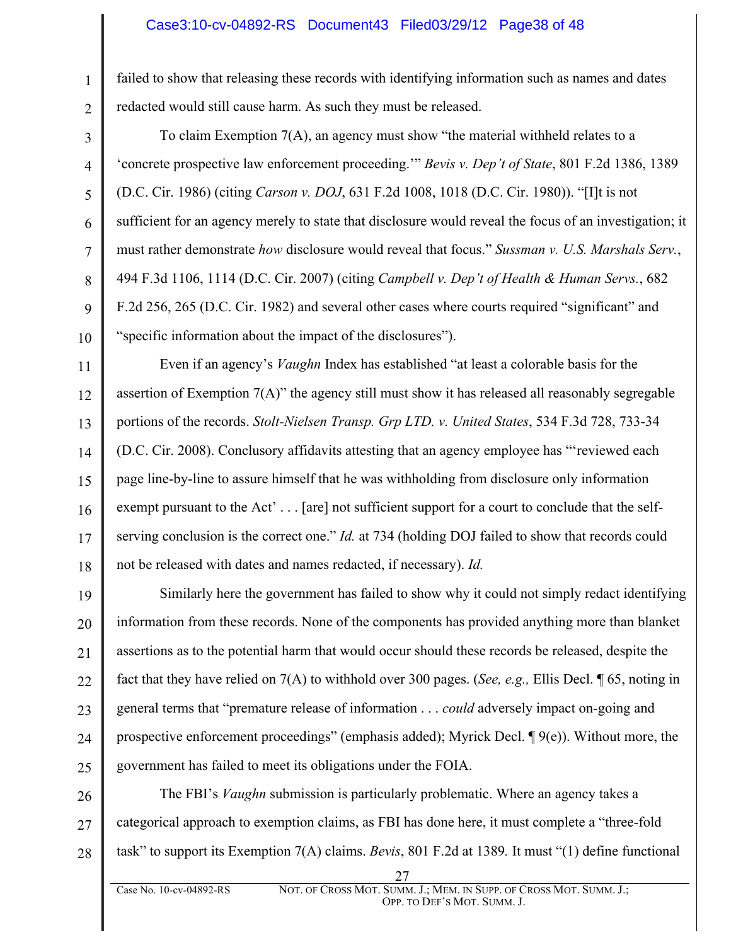#### Case3:10-cv-04892-RS Document43 Filed03/29/12 Page38 of 48

1

2

3

4

5

6

7

8

9

10

failed to show that releasing these records with identifying information such as names and dates redacted would still cause harm. As such they must be released.

To claim Exemption 7(A), an agency must show "the material withheld relates to a 'concrete prospective law enforcement proceeding.'" *Bevis v. Dep't of State*, 801 F.2d 1386, 1389 (D.C. Cir. 1986) (citing *Carson v. DOJ*, 631 F.2d 1008, 1018 (D.C. Cir. 1980)). "[I]t is not sufficient for an agency merely to state that disclosure would reveal the focus of an investigation; it must rather demonstrate *how* disclosure would reveal that focus." *Sussman v. U.S. Marshals Serv.*, 494 F.3d 1106, 1114 (D.C. Cir. 2007) (citing *Campbell v. Dep't of Health & Human Servs.*, 682 F.2d 256, 265 (D.C. Cir. 1982) and several other cases where courts required "significant" and "specific information about the impact of the disclosures").

11 12 13 14 15 16 17 18 Even if an agency's *Vaughn* Index has established "at least a colorable basis for the assertion of Exemption 7(A)" the agency still must show it has released all reasonably segregable portions of the records. *Stolt-Nielsen Transp. Grp LTD. v. United States*, 534 F.3d 728, 733-34 (D.C. Cir. 2008). Conclusory affidavits attesting that an agency employee has "'reviewed each page line-by-line to assure himself that he was withholding from disclosure only information exempt pursuant to the Act'... [are] not sufficient support for a court to conclude that the selfserving conclusion is the correct one." *Id.* at 734 (holding DOJ failed to show that records could not be released with dates and names redacted, if necessary). *Id.*

19 20 21 22 23 24 25 Similarly here the government has failed to show why it could not simply redact identifying information from these records. None of the components has provided anything more than blanket assertions as to the potential harm that would occur should these records be released, despite the fact that they have relied on 7(A) to withhold over 300 pages. (*See, e.g.,* Ellis Decl. ¶ 65, noting in general terms that "premature release of information . . . *could* adversely impact on-going and prospective enforcement proceedings" (emphasis added); Myrick Decl.  $\P$ 9(e)). Without more, the government has failed to meet its obligations under the FOIA.

26 27 28 The FBI's *Vaughn* submission is particularly problematic. Where an agency takes a categorical approach to exemption claims, as FBI has done here, it must complete a "three-fold task" to support its Exemption 7(A) claims. *Bevis*, 801 F.2d at 1389*.* It must "(1) define functional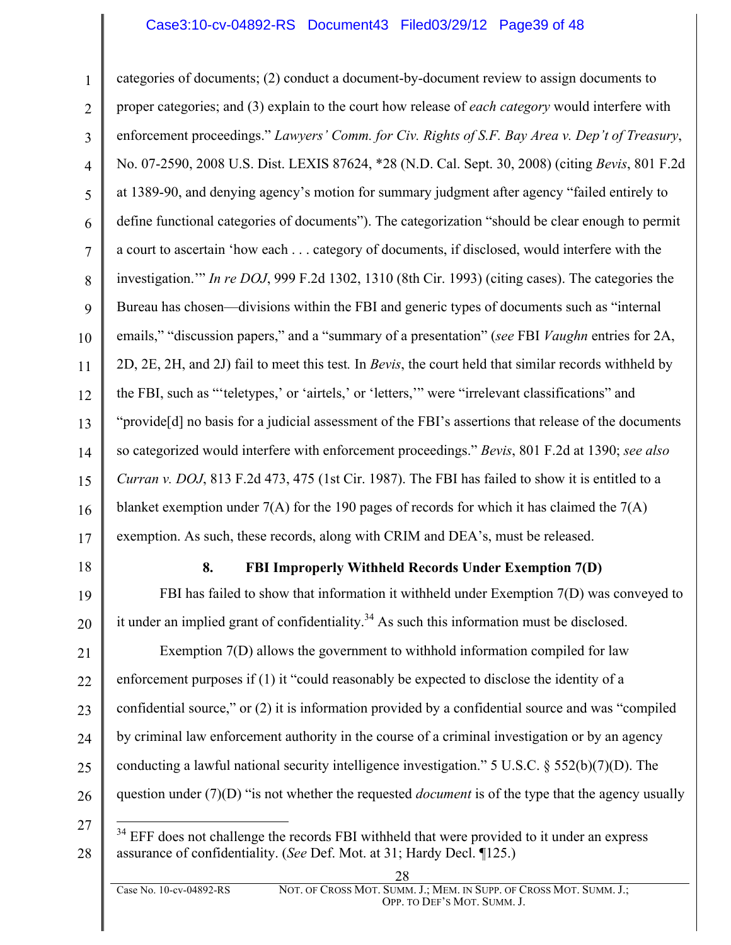#### Case3:10-cv-04892-RS Document43 Filed03/29/12 Page39 of 48

1 2 3 4 5 6 7 8 9 10 11 12 13 14 15 16 17 categories of documents; (2) conduct a document-by-document review to assign documents to proper categories; and (3) explain to the court how release of *each category* would interfere with enforcement proceedings." *Lawyers' Comm. for Civ. Rights of S.F. Bay Area v. Dep't of Treasury*, No. 07-2590, 2008 U.S. Dist. LEXIS 87624, \*28 (N.D. Cal. Sept. 30, 2008) (citing *Bevis*, 801 F.2d at 1389-90, and denying agency's motion for summary judgment after agency "failed entirely to define functional categories of documents"). The categorization "should be clear enough to permit a court to ascertain 'how each . . . category of documents, if disclosed, would interfere with the investigation.'" *In re DOJ*, 999 F.2d 1302, 1310 (8th Cir. 1993) (citing cases). The categories the Bureau has chosen—divisions within the FBI and generic types of documents such as "internal emails," "discussion papers," and a "summary of a presentation" (*see* FBI *Vaughn* entries for 2A, 2D, 2E, 2H, and 2J) fail to meet this test*.* In *Bevis*, the court held that similar records withheld by the FBI, such as "'teletypes,' or 'airtels,' or 'letters,'" were "irrelevant classifications" and "provide[d] no basis for a judicial assessment of the FBI's assertions that release of the documents so categorized would interfere with enforcement proceedings." *Bevis*, 801 F.2d at 1390; *see also Curran v. DOJ*, 813 F.2d 473, 475 (1st Cir. 1987). The FBI has failed to show it is entitled to a blanket exemption under  $7(A)$  for the 190 pages of records for which it has claimed the  $7(A)$ exemption. As such, these records, along with CRIM and DEA's, must be released.

18

#### **8. FBI Improperly Withheld Records Under Exemption 7(D)**

19 20 FBI has failed to show that information it withheld under Exemption 7(D) was conveyed to it under an implied grant of confidentiality.<sup>34</sup> As such this information must be disclosed.

21 22 23 24 25 26 Exemption 7(D) allows the government to withhold information compiled for law enforcement purposes if (1) it "could reasonably be expected to disclose the identity of a confidential source," or (2) it is information provided by a confidential source and was "compiled by criminal law enforcement authority in the course of a criminal investigation or by an agency conducting a lawful national security intelligence investigation." 5 U.S.C.  $\frac{2552(b)(7)(D)}{2}$ . The question under (7)(D) "is not whether the requested *document* is of the type that the agency usually

27

 $34$  EFF does not challenge the records FBI withheld that were provided to it under an express assurance of confidentiality. (*See* Def. Mot. at 31; Hardy Decl. ¶125.)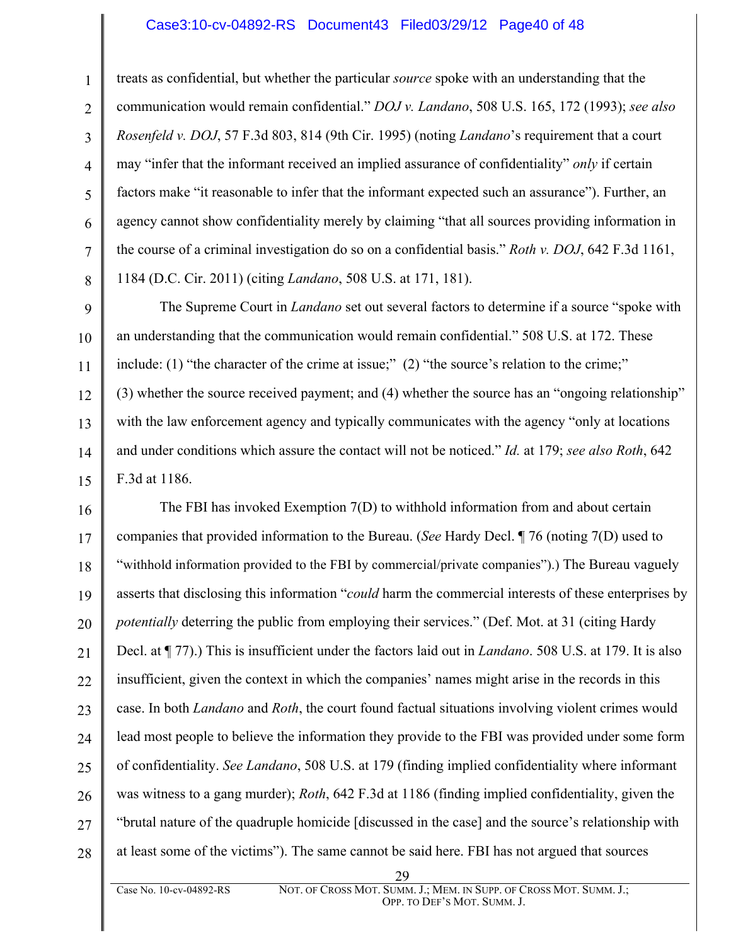#### Case3:10-cv-04892-RS Document43 Filed03/29/12 Page40 of 48

1

2

3

4

5

6

7

8

treats as confidential, but whether the particular *source* spoke with an understanding that the communication would remain confidential." *DOJ v. Landano*, 508 U.S. 165, 172 (1993); *see also Rosenfeld v. DOJ*, 57 F.3d 803, 814 (9th Cir. 1995) (noting *Landano*'s requirement that a court may "infer that the informant received an implied assurance of confidentiality" *only* if certain factors make "it reasonable to infer that the informant expected such an assurance"). Further, an agency cannot show confidentiality merely by claiming "that all sources providing information in the course of a criminal investigation do so on a confidential basis." *Roth v. DOJ*, 642 F.3d 1161, 1184 (D.C. Cir. 2011) (citing *Landano*, 508 U.S. at 171, 181).

9 10 11 12 13 14 15 The Supreme Court in *Landano* set out several factors to determine if a source "spoke with an understanding that the communication would remain confidential." 508 U.S. at 172. These include: (1) "the character of the crime at issue;" (2) "the source's relation to the crime;" (3) whether the source received payment; and (4) whether the source has an "ongoing relationship" with the law enforcement agency and typically communicates with the agency "only at locations and under conditions which assure the contact will not be noticed." *Id.* at 179; *see also Roth*, 642 F.3d at 1186.

16 17 18 19 20 21 22 23 24 25 26 27 28 The FBI has invoked Exemption 7(D) to withhold information from and about certain companies that provided information to the Bureau. (*See* Hardy Decl. ¶ 76 (noting 7(D) used to "withhold information provided to the FBI by commercial/private companies").) The Bureau vaguely asserts that disclosing this information "*could* harm the commercial interests of these enterprises by *potentially* deterring the public from employing their services." (Def. Mot. at 31 (citing Hardy Decl. at ¶ 77).) This is insufficient under the factors laid out in *Landano*. 508 U.S. at 179. It is also insufficient, given the context in which the companies' names might arise in the records in this case. In both *Landano* and *Roth*, the court found factual situations involving violent crimes would lead most people to believe the information they provide to the FBI was provided under some form of confidentiality. *See Landano*, 508 U.S. at 179 (finding implied confidentiality where informant was witness to a gang murder); *Roth*, 642 F.3d at 1186 (finding implied confidentiality, given the "brutal nature of the quadruple homicide [discussed in the case] and the source's relationship with at least some of the victims"). The same cannot be said here. FBI has not argued that sources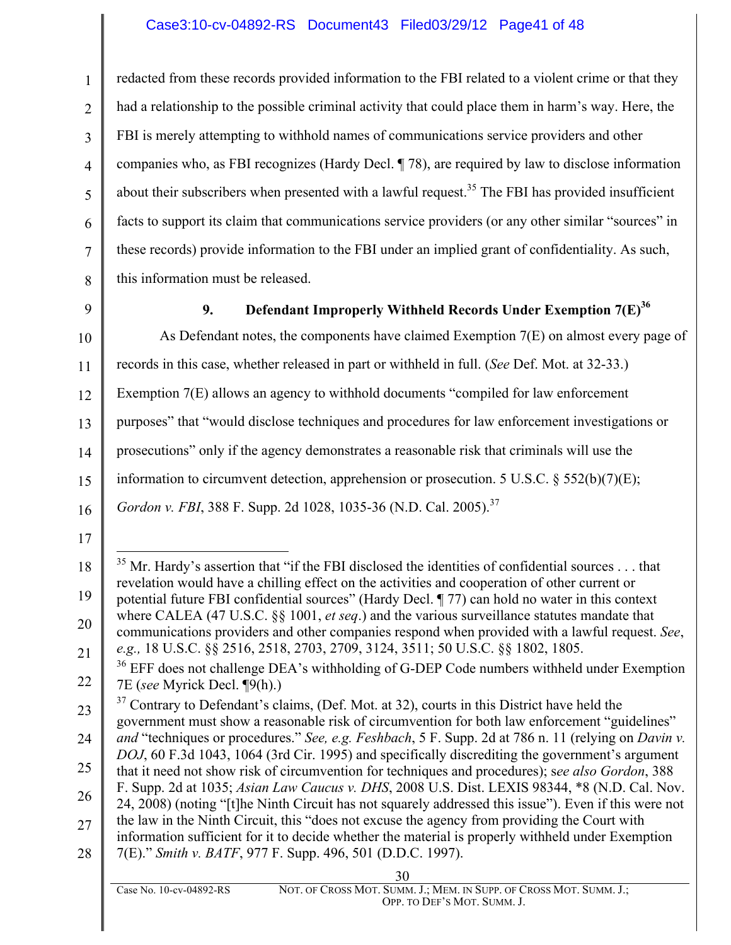## Case3:10-cv-04892-RS Document43 Filed03/29/12 Page41 of 48

4 6 7 8 redacted from these records provided information to the FBI related to a violent crime or that they had a relationship to the possible criminal activity that could place them in harm's way. Here, the FBI is merely attempting to withhold names of communications service providers and other companies who, as FBI recognizes (Hardy Decl. ¶ 78), are required by law to disclose information about their subscribers when presented with a lawful request.<sup>35</sup> The FBI has provided insufficient facts to support its claim that communications service providers (or any other similar "sources" in these records) provide information to the FBI under an implied grant of confidentiality. As such, this information must be released.

9

10

1

2

3

5

## 9. **Defendant Improperly Withheld Records Under Exemption 7(E)<sup>36</sup>**

As Defendant notes, the components have claimed Exemption 7(E) on almost every page of

11 records in this case, whether released in part or withheld in full. (*See* Def. Mot. at 32-33.)

12 Exemption 7(E) allows an agency to withhold documents "compiled for law enforcement

13 purposes" that "would disclose techniques and procedures for law enforcement investigations or

14 prosecutions" only if the agency demonstrates a reasonable risk that criminals will use the

15 information to circumvent detection, apprehension or prosecution. 5 U.S.C. § 552(b)(7)(E);

16 *Gordon v. FBI*, 388 F. Supp. 2d 1028, 1035-36 (N.D. Cal. 2005). 37

17

28 7(E)." *Smith v. BATF*, 977 F. Supp. 496, 501 (D.D.C. 1997).

<sup>18</sup> 19 20 21 35 Mr. Hardy's assertion that "if the FBI disclosed the identities of confidential sources . . . that revelation would have a chilling effect on the activities and cooperation of other current or potential future FBI confidential sources" (Hardy Decl. ¶ 77) can hold no water in this context where CALEA (47 U.S.C. §§ 1001, *et seq*.) and the various surveillance statutes mandate that communications providers and other companies respond when provided with a lawful request. *See*,

<sup>22</sup> *e.g.,* 18 U.S.C. §§ 2516, 2518, 2703, 2709, 3124, 3511; 50 U.S.C. §§ 1802, 1805.<br><sup>36</sup> EFF does not challenge DEA's withholding of G-DEP Code numbers withheld under Exemption 7E (*see* Myrick Decl. ¶9(h).)

<sup>23</sup> 24 25 26 27  $37$  Contrary to Defendant's claims, (Def. Mot. at 32), courts in this District have held the government must show a reasonable risk of circumvention for both law enforcement "guidelines" *and* "techniques or procedures." *See, e.g. Feshbach*, 5 F. Supp. 2d at 786 n. 11 (relying on *Davin v. DOJ*, 60 F.3d 1043, 1064 (3rd Cir. 1995) and specifically discrediting the government's argument that it need not show risk of circumvention for techniques and procedures); s*ee also Gordon*, 388 F. Supp. 2d at 1035; *Asian Law Caucus v. DHS*, 2008 U.S. Dist. LEXIS 98344, \*8 (N.D. Cal. Nov. 24, 2008) (noting "[t]he Ninth Circuit has not squarely addressed this issue"). Even if this were not the law in the Ninth Circuit, this "does not excuse the agency from providing the Court with information sufficient for it to decide whether the material is properly withheld under Exemption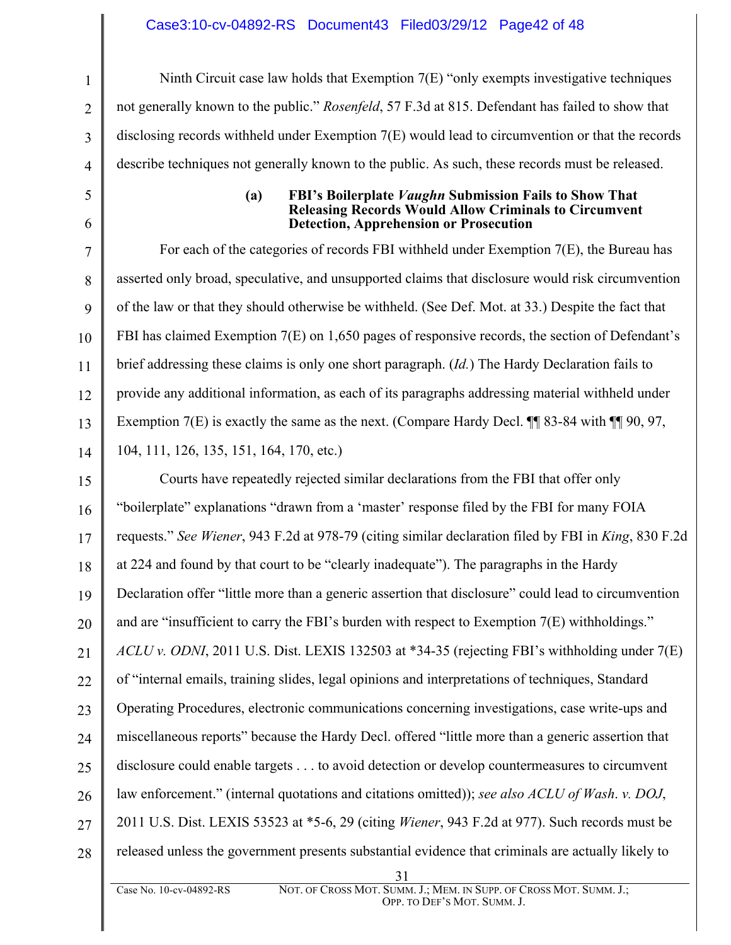#### Case3:10-cv-04892-RS Document43 Filed03/29/12 Page42 of 48

Ninth Circuit case law holds that Exemption 7(E) "only exempts investigative techniques not generally known to the public." *Rosenfeld*, 57 F.3d at 815. Defendant has failed to show that disclosing records withheld under Exemption 7(E) would lead to circumvention or that the records describe techniques not generally known to the public. As such, these records must be released.

1

2

3

4

5

6

#### **(a) FBI's Boilerplate** *Vaughn* **Submission Fails to Show That Releasing Records Would Allow Criminals to Circumvent Detection, Apprehension or Prosecution**

7 8 9 10 11 12 13 14 For each of the categories of records FBI withheld under Exemption 7(E), the Bureau has asserted only broad, speculative, and unsupported claims that disclosure would risk circumvention of the law or that they should otherwise be withheld. (See Def. Mot. at 33.) Despite the fact that FBI has claimed Exemption 7(E) on 1,650 pages of responsive records, the section of Defendant's brief addressing these claims is only one short paragraph. (*Id.*) The Hardy Declaration fails to provide any additional information, as each of its paragraphs addressing material withheld under Exemption 7(E) is exactly the same as the next. (Compare Hardy Decl.  $\P\P$  83-84 with  $\P\P$  90, 97, 104, 111, 126, 135, 151, 164, 170, etc.)

15 16 17 18 19 20 21 22 23 24 25 26 27 28 Courts have repeatedly rejected similar declarations from the FBI that offer only "boilerplate" explanations "drawn from a 'master' response filed by the FBI for many FOIA requests." *See Wiener*, 943 F.2d at 978-79 (citing similar declaration filed by FBI in *King*, 830 F.2d at 224 and found by that court to be "clearly inadequate"). The paragraphs in the Hardy Declaration offer "little more than a generic assertion that disclosure" could lead to circumvention and are "insufficient to carry the FBI's burden with respect to Exemption 7(E) withholdings." *ACLU v. ODNI*, 2011 U.S. Dist. LEXIS 132503 at \*34-35 (rejecting FBI's withholding under 7(E) of "internal emails, training slides, legal opinions and interpretations of techniques, Standard Operating Procedures, electronic communications concerning investigations, case write-ups and miscellaneous reports" because the Hardy Decl. offered "little more than a generic assertion that disclosure could enable targets . . . to avoid detection or develop countermeasures to circumvent law enforcement." (internal quotations and citations omitted)); *see also ACLU of Wash*. *v. DOJ*, 2011 U.S. Dist. LEXIS 53523 at \*5-6, 29 (citing *Wiener*, 943 F.2d at 977). Such records must be released unless the government presents substantial evidence that criminals are actually likely to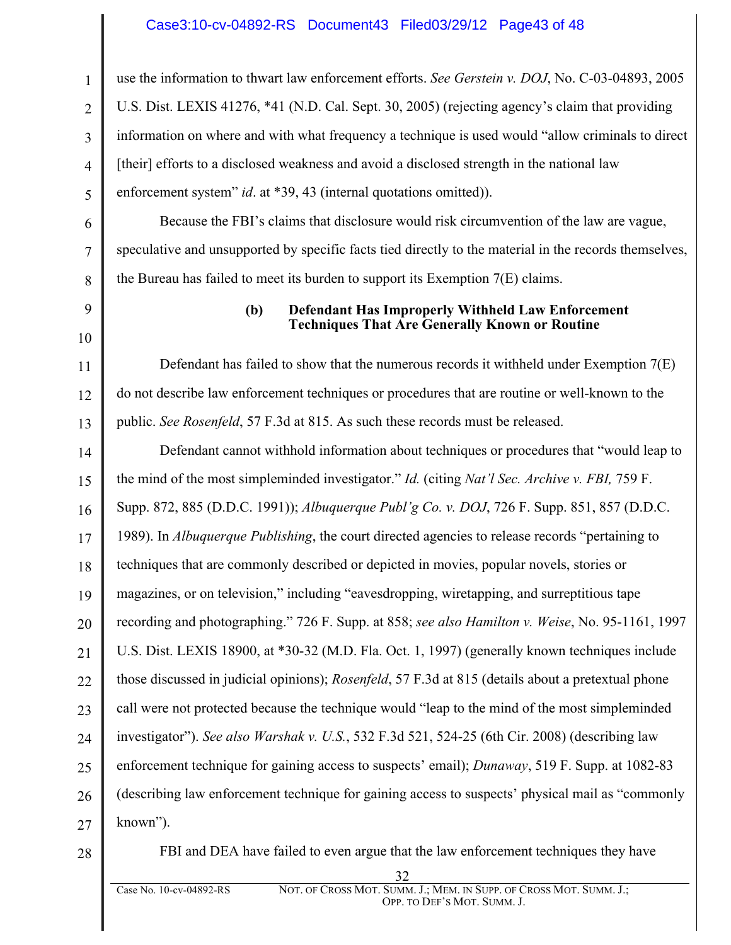#### Case3:10-cv-04892-RS Document43 Filed03/29/12 Page43 of 48

use the information to thwart law enforcement efforts. *See Gerstein v. DOJ*, No. C-03-04893, 2005 U.S. Dist. LEXIS 41276, \*41 (N.D. Cal. Sept. 30, 2005) (rejecting agency's claim that providing information on where and with what frequency a technique is used would "allow criminals to direct [their] efforts to a disclosed weakness and avoid a disclosed strength in the national law enforcement system" *id.* at \*39, 43 (internal quotations omitted)).

Because the FBI's claims that disclosure would risk circumvention of the law are vague, speculative and unsupported by specific facts tied directly to the material in the records themselves, the Bureau has failed to meet its burden to support its Exemption 7(E) claims.

# 9 10

1

2

3

4

5

6

7

8

#### **(b) Defendant Has Improperly Withheld Law Enforcement Techniques That Are Generally Known or Routine**

11 12 13 Defendant has failed to show that the numerous records it withheld under Exemption 7(E) do not describe law enforcement techniques or procedures that are routine or well-known to the public. *See Rosenfeld*, 57 F.3d at 815. As such these records must be released.

14 15 16 17 18 19 20 21 22 23 24 25 26 27 Defendant cannot withhold information about techniques or procedures that "would leap to the mind of the most simpleminded investigator." *Id.* (citing *Nat'l Sec. Archive v. FBI,* 759 F. Supp. 872, 885 (D.D.C. 1991)); *Albuquerque Publ'g Co. v. DOJ*, 726 F. Supp. 851, 857 (D.D.C. 1989). In *Albuquerque Publishing*, the court directed agencies to release records "pertaining to techniques that are commonly described or depicted in movies, popular novels, stories or magazines, or on television," including "eavesdropping, wiretapping, and surreptitious tape recording and photographing." 726 F. Supp. at 858; *see also Hamilton v. Weise*, No. 95-1161, 1997 U.S. Dist. LEXIS 18900, at \*30-32 (M.D. Fla. Oct. 1, 1997) (generally known techniques include those discussed in judicial opinions); *Rosenfeld*, 57 F.3d at 815 (details about a pretextual phone call were not protected because the technique would "leap to the mind of the most simpleminded investigator"). *See also Warshak v. U.S.*, 532 F.3d 521, 524-25 (6th Cir. 2008) (describing law enforcement technique for gaining access to suspects' email); *Dunaway*, 519 F. Supp. at 1082-83 (describing law enforcement technique for gaining access to suspects' physical mail as "commonly known").

28

FBI and DEA have failed to even argue that the law enforcement techniques they have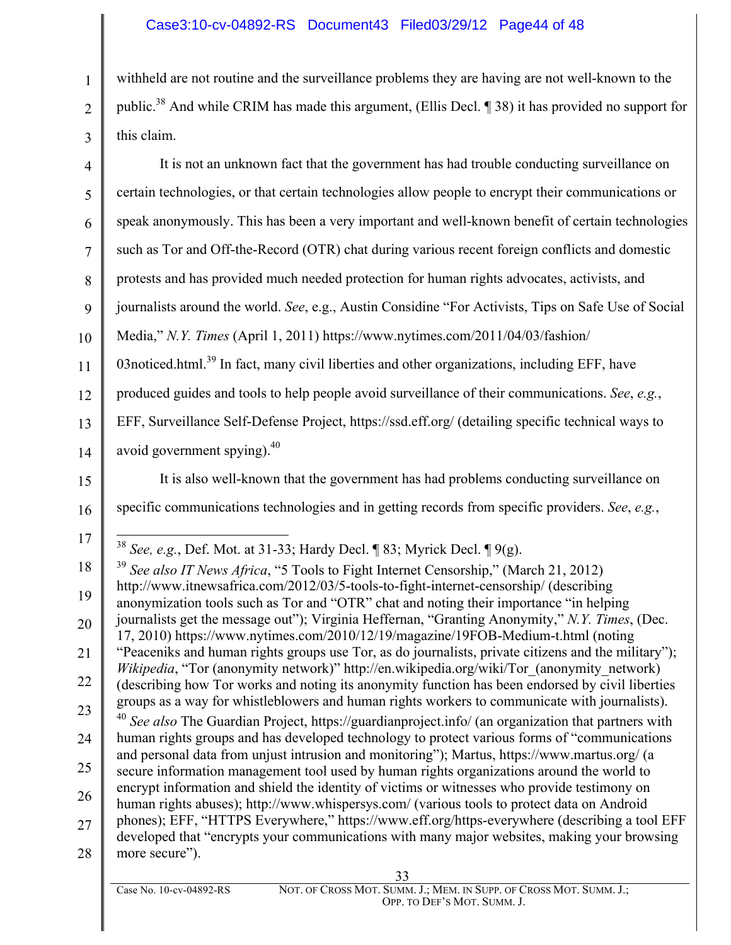## Case3:10-cv-04892-RS Document43 Filed03/29/12 Page44 of 48

withheld are not routine and the surveillance problems they are having are not well-known to the public.<sup>38</sup> And while CRIM has made this argument, (Ellis Decl. ¶ 38) it has provided no support for this claim.

| $\overline{4}$                                                       | It is not an unknown fact that the government has had trouble conducting surveillance on                                                                                                                                                                                                                                                                                                                                                                                                                                                                                                                                                                                                                                                                                                                                                                                                                                                                                                                                                                                                                                                                                                                                                                                                                                                                                                                                                                                                                                                                                                                                                                                                                                                                                                 |
|----------------------------------------------------------------------|------------------------------------------------------------------------------------------------------------------------------------------------------------------------------------------------------------------------------------------------------------------------------------------------------------------------------------------------------------------------------------------------------------------------------------------------------------------------------------------------------------------------------------------------------------------------------------------------------------------------------------------------------------------------------------------------------------------------------------------------------------------------------------------------------------------------------------------------------------------------------------------------------------------------------------------------------------------------------------------------------------------------------------------------------------------------------------------------------------------------------------------------------------------------------------------------------------------------------------------------------------------------------------------------------------------------------------------------------------------------------------------------------------------------------------------------------------------------------------------------------------------------------------------------------------------------------------------------------------------------------------------------------------------------------------------------------------------------------------------------------------------------------------------|
| 5                                                                    | certain technologies, or that certain technologies allow people to encrypt their communications or                                                                                                                                                                                                                                                                                                                                                                                                                                                                                                                                                                                                                                                                                                                                                                                                                                                                                                                                                                                                                                                                                                                                                                                                                                                                                                                                                                                                                                                                                                                                                                                                                                                                                       |
| 6                                                                    | speak anonymously. This has been a very important and well-known benefit of certain technologies                                                                                                                                                                                                                                                                                                                                                                                                                                                                                                                                                                                                                                                                                                                                                                                                                                                                                                                                                                                                                                                                                                                                                                                                                                                                                                                                                                                                                                                                                                                                                                                                                                                                                         |
| $\overline{7}$                                                       | such as Tor and Off-the-Record (OTR) chat during various recent foreign conflicts and domestic                                                                                                                                                                                                                                                                                                                                                                                                                                                                                                                                                                                                                                                                                                                                                                                                                                                                                                                                                                                                                                                                                                                                                                                                                                                                                                                                                                                                                                                                                                                                                                                                                                                                                           |
| 8                                                                    | protests and has provided much needed protection for human rights advocates, activists, and                                                                                                                                                                                                                                                                                                                                                                                                                                                                                                                                                                                                                                                                                                                                                                                                                                                                                                                                                                                                                                                                                                                                                                                                                                                                                                                                                                                                                                                                                                                                                                                                                                                                                              |
| 9                                                                    | journalists around the world. See, e.g., Austin Considine "For Activists, Tips on Safe Use of Social                                                                                                                                                                                                                                                                                                                                                                                                                                                                                                                                                                                                                                                                                                                                                                                                                                                                                                                                                                                                                                                                                                                                                                                                                                                                                                                                                                                                                                                                                                                                                                                                                                                                                     |
| 10                                                                   | Media," N.Y. Times (April 1, 2011) https://www.nytimes.com/2011/04/03/fashion/                                                                                                                                                                                                                                                                                                                                                                                                                                                                                                                                                                                                                                                                                                                                                                                                                                                                                                                                                                                                                                                                                                                                                                                                                                                                                                                                                                                                                                                                                                                                                                                                                                                                                                           |
| 11                                                                   | 03 noticed.html. <sup>39</sup> In fact, many civil liberties and other organizations, including EFF, have                                                                                                                                                                                                                                                                                                                                                                                                                                                                                                                                                                                                                                                                                                                                                                                                                                                                                                                                                                                                                                                                                                                                                                                                                                                                                                                                                                                                                                                                                                                                                                                                                                                                                |
| 12                                                                   | produced guides and tools to help people avoid surveillance of their communications. See, e.g.,                                                                                                                                                                                                                                                                                                                                                                                                                                                                                                                                                                                                                                                                                                                                                                                                                                                                                                                                                                                                                                                                                                                                                                                                                                                                                                                                                                                                                                                                                                                                                                                                                                                                                          |
| 13                                                                   | EFF, Surveillance Self-Defense Project, https://ssd.eff.org/ (detailing specific technical ways to                                                                                                                                                                                                                                                                                                                                                                                                                                                                                                                                                                                                                                                                                                                                                                                                                                                                                                                                                                                                                                                                                                                                                                                                                                                                                                                                                                                                                                                                                                                                                                                                                                                                                       |
| 14                                                                   | avoid government spying). <sup>40</sup>                                                                                                                                                                                                                                                                                                                                                                                                                                                                                                                                                                                                                                                                                                                                                                                                                                                                                                                                                                                                                                                                                                                                                                                                                                                                                                                                                                                                                                                                                                                                                                                                                                                                                                                                                  |
| 15                                                                   | It is also well-known that the government has had problems conducting surveillance on                                                                                                                                                                                                                                                                                                                                                                                                                                                                                                                                                                                                                                                                                                                                                                                                                                                                                                                                                                                                                                                                                                                                                                                                                                                                                                                                                                                                                                                                                                                                                                                                                                                                                                    |
| 16                                                                   | specific communications technologies and in getting records from specific providers. See, e.g.,                                                                                                                                                                                                                                                                                                                                                                                                                                                                                                                                                                                                                                                                                                                                                                                                                                                                                                                                                                                                                                                                                                                                                                                                                                                                                                                                                                                                                                                                                                                                                                                                                                                                                          |
| 17<br>18<br>19<br>20<br>21<br>22<br>23<br>24<br>25<br>26<br>27<br>28 | <sup>38</sup> See, e.g., Def. Mot. at 31-33; Hardy Decl. ¶ 83; Myrick Decl. ¶ 9(g).<br>$39$ See also IT News Africa, "5 Tools to Fight Internet Censorship," (March 21, 2012)<br>http://www.itnewsafrica.com/2012/03/5-tools-to-fight-internet-censorship/ (describing<br>anonymization tools such as Tor and "OTR" chat and noting their importance "in helping<br>journalists get the message out"); Virginia Heffernan, "Granting Anonymity," N.Y. Times, (Dec.<br>17, 2010) https://www.nytimes.com/2010/12/19/magazine/19FOB-Medium-t.html (noting<br>"Peaceniks and human rights groups use Tor, as do journalists, private citizens and the military");<br>Wikipedia, "Tor (anonymity network)" http://en.wikipedia.org/wiki/Tor_(anonymity_network)<br>(describing how Tor works and noting its anonymity function has been endorsed by civil liberties<br>groups as a way for whistleblowers and human rights workers to communicate with journalists).<br>40<br>See also The Guardian Project, https://guardianproject.info/ (an organization that partners with<br>human rights groups and has developed technology to protect various forms of "communications"<br>and personal data from unjust intrusion and monitoring"); Martus, https://www.martus.org/ (a<br>secure information management tool used by human rights organizations around the world to<br>encrypt information and shield the identity of victims or witnesses who provide testimony on<br>human rights abuses); http://www.whispersys.com/ (various tools to protect data on Android<br>phones); EFF, "HTTPS Everywhere," https://www.eff.org/https-everywhere (describing a tool EFF<br>developed that "encrypts your communications with many major websites, making your browsing<br>more secure"). |
|                                                                      |                                                                                                                                                                                                                                                                                                                                                                                                                                                                                                                                                                                                                                                                                                                                                                                                                                                                                                                                                                                                                                                                                                                                                                                                                                                                                                                                                                                                                                                                                                                                                                                                                                                                                                                                                                                          |

1

2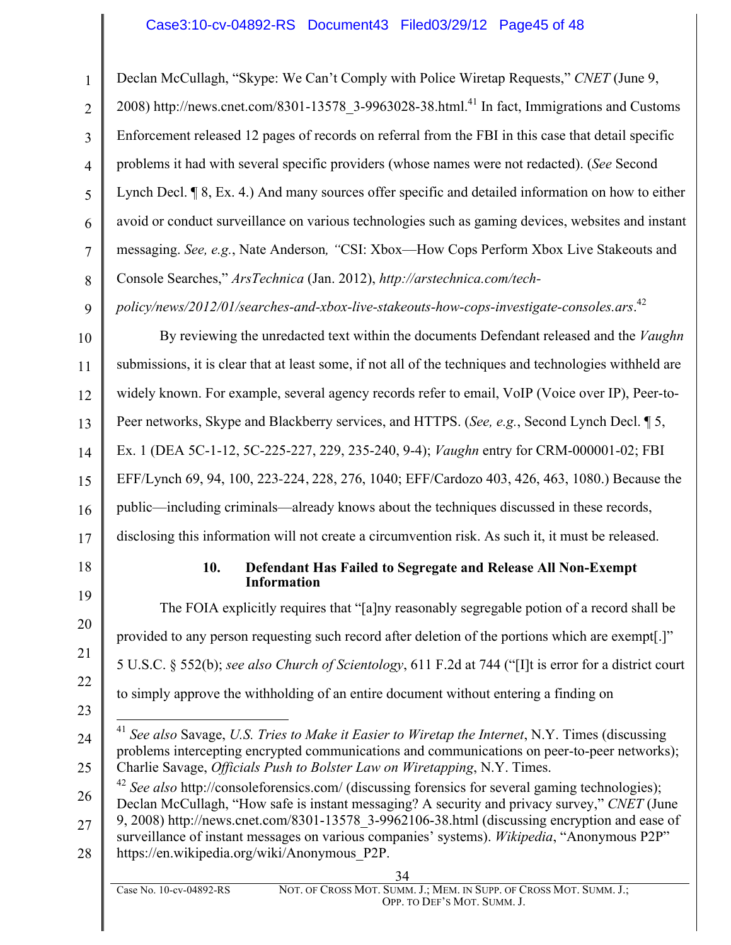Declan McCullagh, "Skype: We Can't Comply with Police Wiretap Requests," *CNET* (June 9,

3 4 6 7 8 2008) http://news.cnet.com/8301-13578\_3-9963028-38.html.<sup>41</sup> In fact, Immigrations and Customs Enforcement released 12 pages of records on referral from the FBI in this case that detail specific problems it had with several specific providers (whose names were not redacted). (*See* Second Lynch Decl. ¶ 8, Ex. 4.) And many sources offer specific and detailed information on how to either avoid or conduct surveillance on various technologies such as gaming devices, websites and instant messaging. *See, e.g.*, Nate Anderson*, "*CSI: Xbox—How Cops Perform Xbox Live Stakeouts and Console Searches," *ArsTechnica* (Jan. 2012), *http://arstechnica.com/tech-*

*policy/news/2012/01/searches-and-xbox-live-stakeouts-how-cops-investigate-consoles.ars*. 42

10 11 12 13 14 15 16 17 By reviewing the unredacted text within the documents Defendant released and the *Vaughn* submissions, it is clear that at least some, if not all of the techniques and technologies withheld are widely known. For example, several agency records refer to email, VoIP (Voice over IP), Peer-to-Peer networks, Skype and Blackberry services, and HTTPS. (*See, e.g.*, Second Lynch Decl. ¶ 5, Ex. 1 (DEA 5C-1-12, 5C-225-227, 229, 235-240, 9-4); *Vaughn* entry for CRM-000001-02; FBI EFF/Lynch 69, 94, 100, 223-224, 228, 276, 1040; EFF/Cardozo 403, 426, 463, 1080.) Because the public—including criminals—already knows about the techniques discussed in these records, disclosing this information will not create a circumvention risk. As such it, it must be released.

18

19

20

21

22

23

1

2

5

9

#### **10. Defendant Has Failed to Segregate and Release All Non-Exempt Information**

The FOIA explicitly requires that "[a]ny reasonably segregable potion of a record shall be provided to any person requesting such record after deletion of the portions which are exempt[.]" 5 U.S.C. § 552(b); *see also Church of Scientology*, 611 F.2d at 744 ("[I]t is error for a district court to simply approve the withholding of an entire document without entering a finding on

- 24 25 41 *See also* Savage, *U.S. Tries to Make it Easier to Wiretap the Internet*, N.Y. Times (discussing problems intercepting encrypted communications and communications on peer-to-peer networks); Charlie Savage, *Officials Push to Bolster Law on Wiretapping*, N.Y. Times.
- 26 <sup>42</sup> *See also* http://consoleforensics.com/ (discussing forensics for several gaming technologies); Declan McCullagh, "How safe is instant messaging? A security and privacy survey," *CNET* (June 9, 2008) http://news.cnet.com/8301-13578\_3-9962106-38.html (discussing encryption and ease of
- 27 28 surveillance of instant messages on various companies' systems). *Wikipedia*, "Anonymous P2P" https://en.wikipedia.org/wiki/Anonymous\_P2P.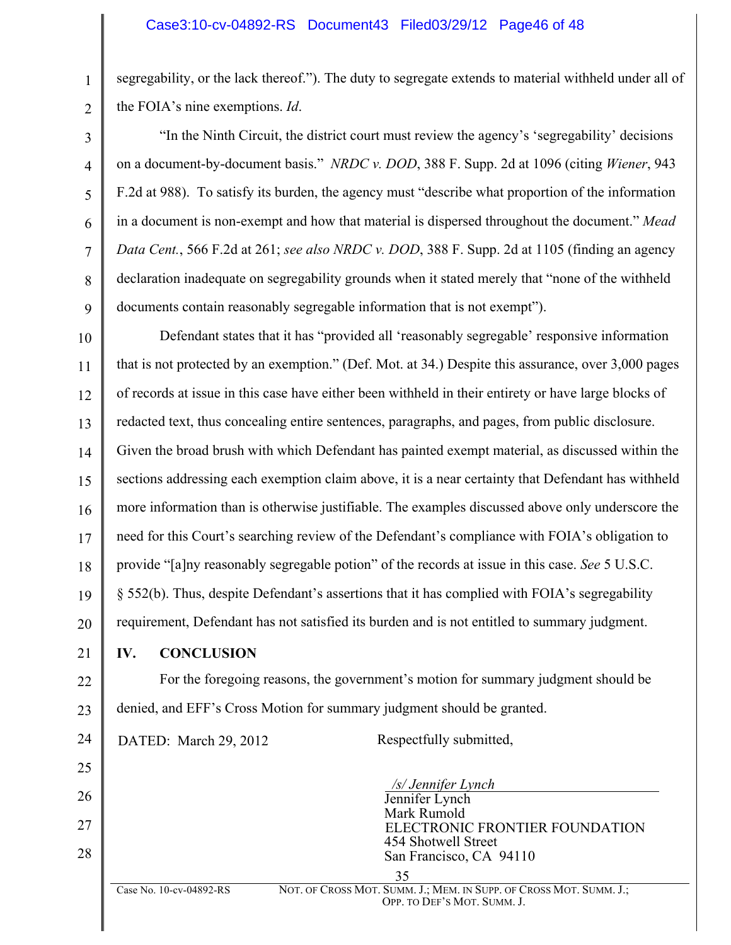segregability, or the lack thereof."). The duty to segregate extends to material withheld under all of the FOIA's nine exemptions. *Id*.

"In the Ninth Circuit, the district court must review the agency's 'segregability' decisions on a document-by-document basis." *NRDC v. DOD*, 388 F. Supp. 2d at 1096 (citing *Wiener*, 943 F.2d at 988). To satisfy its burden, the agency must "describe what proportion of the information in a document is non-exempt and how that material is dispersed throughout the document." *Mead Data Cent.*, 566 F.2d at 261; *see also NRDC v. DOD*, 388 F. Supp. 2d at 1105 (finding an agency declaration inadequate on segregability grounds when it stated merely that "none of the withheld documents contain reasonably segregable information that is not exempt").

10 11 12 13 14 15 16 17 18 19 20 Defendant states that it has "provided all 'reasonably segregable' responsive information that is not protected by an exemption." (Def. Mot. at 34.) Despite this assurance, over 3,000 pages of records at issue in this case have either been withheld in their entirety or have large blocks of redacted text, thus concealing entire sentences, paragraphs, and pages, from public disclosure. Given the broad brush with which Defendant has painted exempt material, as discussed within the sections addressing each exemption claim above, it is a near certainty that Defendant has withheld more information than is otherwise justifiable. The examples discussed above only underscore the need for this Court's searching review of the Defendant's compliance with FOIA's obligation to provide "[a]ny reasonably segregable potion" of the records at issue in this case. *See* 5 U.S.C. § 552(b). Thus, despite Defendant's assertions that it has complied with FOIA's segregability requirement, Defendant has not satisfied its burden and is not entitled to summary judgment.

21

25

26

27

28

1

2

3

4

5

6

7

8

9

**IV. CONCLUSION**

22 23 For the foregoing reasons, the government's motion for summary judgment should be denied, and EFF's Cross Motion for summary judgment should be granted.

24 DATED: March 29, 2012 Respectfully submitted,

 */s/ Jennifer Lynch* Jennifer Lynch Mark Rumold ELECTRONIC FRONTIER FOUNDATION<br>454 Shotwell Street<br>San Francisco, CA 94110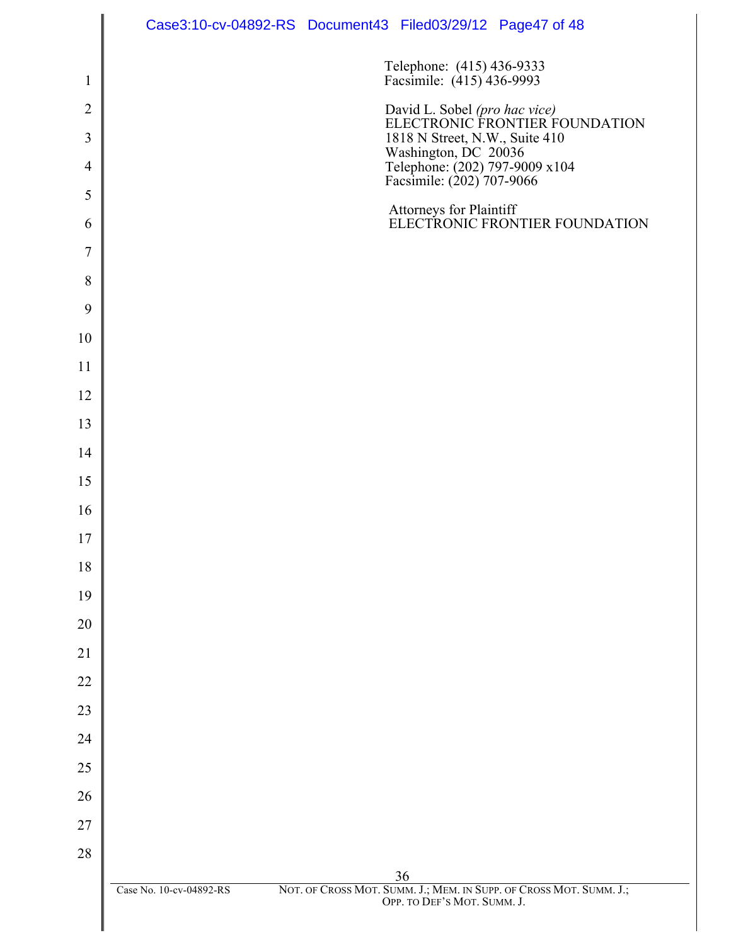|                | Case3:10-cv-04892-RS Document43 Filed03/29/12 Page47 of 48                                                            |
|----------------|-----------------------------------------------------------------------------------------------------------------------|
| $\mathbf{1}$   | Telephone: (415) 436-9333<br>Facsimile: (415) 436-9993                                                                |
| $\overline{2}$ | David L. Sobel (pro hac vice)<br>ELECTRONIC FRONTIER FOUNDATION                                                       |
| $\mathfrak{Z}$ |                                                                                                                       |
| $\overline{4}$ | 1818 N Street, N.W., Suite 410<br>Washington, DC 20036<br>Telephone: (202) 797-9009 x104<br>Facsimile: (202) 707-9066 |
| 5              |                                                                                                                       |
| 6              | Attorneys for Plaintiff<br>ELECTRONIC FRONTIER FOUNDATION                                                             |
| 7              |                                                                                                                       |
| 8              |                                                                                                                       |
| 9              |                                                                                                                       |
| 10             |                                                                                                                       |
| 11             |                                                                                                                       |
| 12             |                                                                                                                       |
| 13             |                                                                                                                       |
| 14             |                                                                                                                       |
| 15             |                                                                                                                       |
| 16             |                                                                                                                       |
| 17             |                                                                                                                       |
| 18             |                                                                                                                       |
| 19             |                                                                                                                       |
| 20             |                                                                                                                       |
| 21             |                                                                                                                       |
| 22             |                                                                                                                       |
| 23             |                                                                                                                       |
| 24             |                                                                                                                       |
| 25             |                                                                                                                       |
| 26             |                                                                                                                       |
| 27             |                                                                                                                       |
| $28\,$         |                                                                                                                       |
|                | 36<br>NOT. OF CROSS MOT. SUMM. J.; MEM. IN SUPP. OF CROSS MOT. SUMM. J.;<br>Case No. 10-cv-04892-RS                   |
|                | OPP. TO DEF'S MOT. SUMM. J.                                                                                           |
|                |                                                                                                                       |